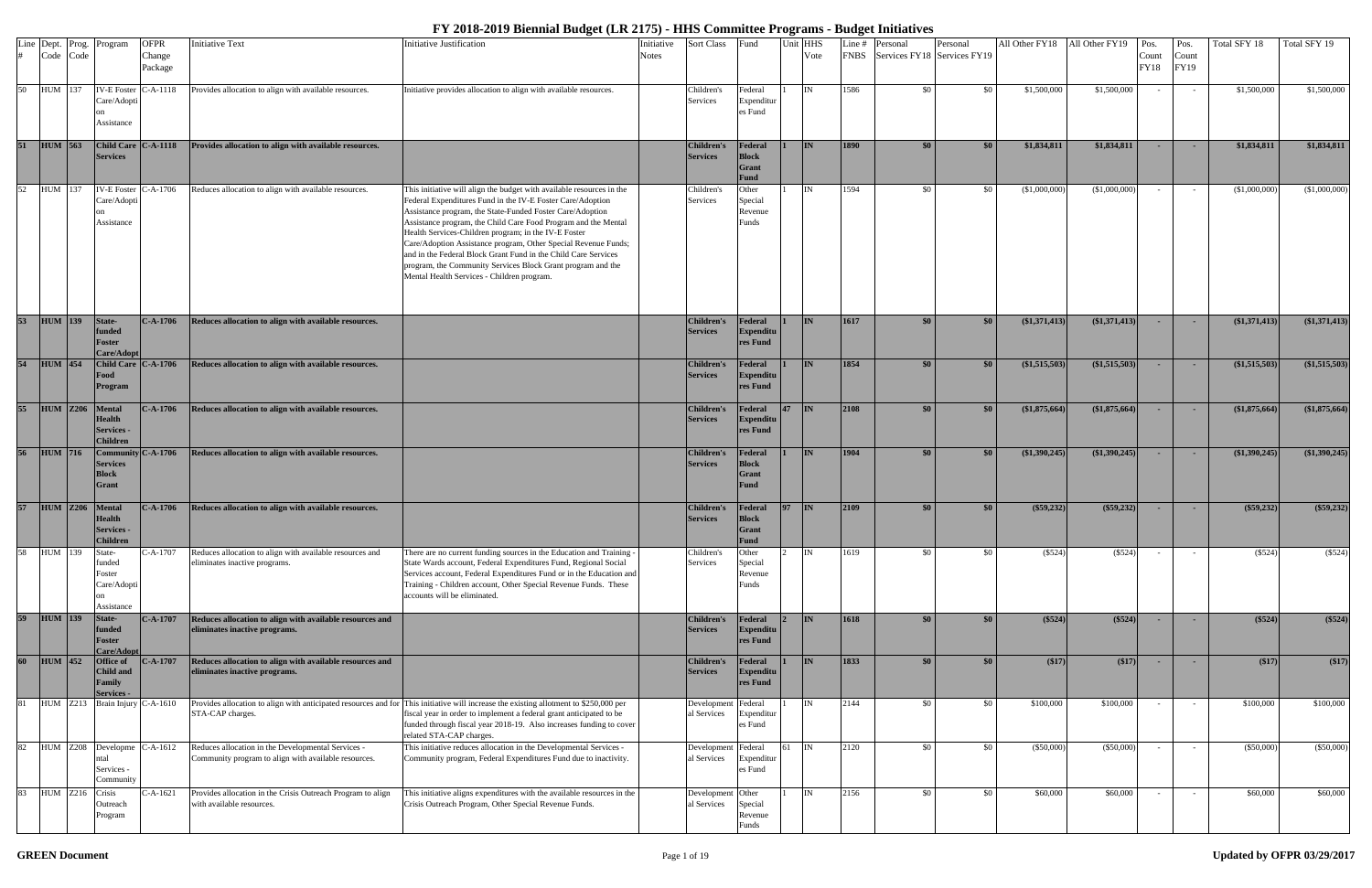|                 | Line Dept. Prog. | Program                                                         | <b>OFPR</b>               | <b>Initiative Text</b>                                                                                     | Initiative Justification                                                                                                                                                                                                                                                                                                                                                                                                                                                                                                                                                    | Initiative   | <b>Sort Class</b>                    | Fund                                            | Jnit HHS  | Line #      | Personal                    | Personal | All Other FY18 All Other FY19 Pos. |               |                      | Pos.          | Total SFY 18    | Total SFY 19  |
|-----------------|------------------|-----------------------------------------------------------------|---------------------------|------------------------------------------------------------------------------------------------------------|-----------------------------------------------------------------------------------------------------------------------------------------------------------------------------------------------------------------------------------------------------------------------------------------------------------------------------------------------------------------------------------------------------------------------------------------------------------------------------------------------------------------------------------------------------------------------------|--------------|--------------------------------------|-------------------------------------------------|-----------|-------------|-----------------------------|----------|------------------------------------|---------------|----------------------|---------------|-----------------|---------------|
|                 | Code Code        |                                                                 | Change<br>Package         |                                                                                                            |                                                                                                                                                                                                                                                                                                                                                                                                                                                                                                                                                                             | <b>Notes</b> |                                      |                                                 | Vote      | <b>FNBS</b> | Services FY18 Services FY19 |          |                                    |               | Count<br><b>FY18</b> | Count<br>FY19 |                 |               |
| 50              | HUM 137          | IV-E Foster C-A-1118<br>Care/Adopti<br>Assistance               |                           | Provides allocation to align with available resources.                                                     | Initiative provides allocation to align with available resources.                                                                                                                                                                                                                                                                                                                                                                                                                                                                                                           |              | Children's<br>Services               | Federal<br>Expenditu<br>es Fund                 | IN        | 1586        | \$0                         | \$0      | \$1,500,000                        | \$1,500,000   |                      |               | \$1,500,000     | \$1,500,000   |
| 51              | $HUM$ 563        | Child Care C-A-1118<br><b>Services</b>                          |                           | Provides allocation to align with available resources.                                                     |                                                                                                                                                                                                                                                                                                                                                                                                                                                                                                                                                                             |              | <b>Children's</b><br><b>Services</b> | Federal<br><b>Block</b><br>Grant<br><b>Fund</b> | <b>IN</b> | <b>1890</b> | \$0                         | \$0      | \$1,834,811                        | \$1,834,811   |                      |               | \$1,834,811     | \$1,834,811   |
| 52              | HUM 137          | Care/Adopti<br>Assistance                                       | IV-E Foster $C-A-1706$    | Reduces allocation to align with available resources.                                                      | This initiative will align the budget with available resources in the<br>Federal Expenditures Fund in the IV-E Foster Care/Adoption<br>Assistance program, the State-Funded Foster Care/Adoption<br>Assistance program, the Child Care Food Program and the Mental<br>Health Services-Children program; in the IV-E Foster<br>Care/Adoption Assistance program, Other Special Revenue Funds;<br>and in the Federal Block Grant Fund in the Child Care Services<br>program, the Community Services Block Grant program and the<br>Mental Health Services - Children program. |              | Children's<br>Services               | Other<br>Special<br>Revenue<br>Funds            | <b>IN</b> | 1594        | \$0                         | - \$0    | (\$1,000,000                       | (\$1,000,000) |                      |               | (\$1,000,000)   | (\$1,000,000) |
| 53              | $HUM$ 139        | State-<br>funded<br>Foster<br>Care/Adopt                        | $C-A-1706$                | Reduces allocation to align with available resources.                                                      |                                                                                                                                                                                                                                                                                                                                                                                                                                                                                                                                                                             |              | <b>Children's</b><br><b>Services</b> | Federal<br>Expenditu<br><b>res Fund</b>         | IN        | 1617        | $\$0$                       | \$0      | $(\$1,371,413$                     | (\$1,371,413) |                      |               | (\$1,371,413)   | (1,371,413)   |
| 54              | $HUM$ 454        | Food<br>Program                                                 | Child Care C-A-1706       | Reduces allocation to align with available resources.                                                      |                                                                                                                                                                                                                                                                                                                                                                                                                                                                                                                                                                             |              | <b>Children's</b><br><b>Services</b> | Federal<br>Expenditu<br>res Fund                | <b>IN</b> | 1854        | \$0                         | \$0      | (\$1,515,503)                      | (\$1,515,503) |                      | $\sim$        | $(\$1,515,503)$ | (1,515,503)   |
| 55              | <b>HUM</b> Z206  | Mental<br><b>Health</b><br><b>Services -</b><br><b>Children</b> | $C-A-1706$                | Reduces allocation to align with available resources.                                                      |                                                                                                                                                                                                                                                                                                                                                                                                                                                                                                                                                                             |              | <b>Children's</b><br><b>Services</b> | Federal<br>Expenditu<br>res Fund                | IN        | 2108        | \$0\$                       | \$0      | (\$1,875,664)                      | (\$1,875,664) | <b>COL</b>           | <b>COL</b>    | (\$1,875,664)   | (\$1,875,664) |
| 56              | <b>HUM</b> 716   | <b>Services</b><br><b>Block</b><br><b>Grant</b>                 | $\text{Commutv}$ C-A-1706 | Reduces allocation to align with available resources.                                                      |                                                                                                                                                                                                                                                                                                                                                                                                                                                                                                                                                                             |              | <b>Children's</b><br><b>Services</b> | Federal<br><b>Block</b><br><b>Grant</b><br>Fund | <b>IN</b> | 1904        | \$0                         | \$0      | (\$1,390,245)                      | (\$1,390,245) |                      |               | (\$1,390,245)   | (\$1,390,245) |
| 57              | <b>HUM</b> Z206  | Mental<br><b>Health</b><br>Services -<br>Children               | $C-A-1706$                | Reduces allocation to align with available resources.                                                      |                                                                                                                                                                                                                                                                                                                                                                                                                                                                                                                                                                             |              | Children's<br><b>Services</b>        | Federal<br><b>Block</b><br><b>Grant</b><br>Fund | IIN.      | 2109        | \$0                         | \$0      | $(\$59,232)$                       | $(\$59,232)$  |                      |               | (\$59,232)      | $(\$59,232)$  |
| $\overline{58}$ | HUM 139          | State-<br>funded<br>Foster<br>Care/Adopti<br>Assistance         | C-A-1707                  | Reduces allocation to align with available resources and<br>eliminates inactive programs.                  | There are no current funding sources in the Education and Training -<br>State Wards account, Federal Expenditures Fund, Regional Social<br>Services account, Federal Expenditures Fund or in the Education and<br>Training - Children account, Other Special Revenue Funds. These<br>accounts will be eliminated.                                                                                                                                                                                                                                                           |              | Children's<br>Services               | Other<br>Special<br>Revenue<br>Funds            | IN        | 1619        | \$0                         | \$0      | (\$524)                            | (\$524)       |                      |               | (\$524)         | (\$524)       |
|                 | 59 HUM 139       | State-<br>funded<br>Foster<br>Care/Adopt                        | $C-A-1707$                | Reduces allocation to align with available resources and<br>eliminates inactive programs.                  |                                                                                                                                                                                                                                                                                                                                                                                                                                                                                                                                                                             |              | <b>Children's</b><br><b>Services</b> | Federal<br>Expenditu<br>res Fund                | <b>IN</b> | 1618        | \$0                         | \$0      | (\$524)                            | (\$524)       |                      |               | (\$524)         | (\$524)       |
| 60              | $HUM$ 452        | Office of<br>Child and<br>Family<br><b>Services</b>             | $-.A-1707$                | Reduces allocation to align with available resources and<br>eliminates inactive programs.                  |                                                                                                                                                                                                                                                                                                                                                                                                                                                                                                                                                                             |              | <b>Children's</b><br><b>Services</b> | Federal<br>Expenditu<br>res Fund                | <b>IN</b> | 1833        | \$0                         | \$0      | (\$17)                             | (17)          |                      |               | (\$17)          | (\$17)        |
| 81              | <b>HUM</b> Z213  |                                                                 | Brain Injury C-A-1610     | STA-CAP charges.                                                                                           | Provides allocation to align with anticipated resources and for This initiative will increase the existing allotment to \$250,000 per<br>fiscal year in order to implement a federal grant anticipated to be<br>funded through fiscal year 2018-19. Also increases funding to cover<br>related STA-CAP charges.                                                                                                                                                                                                                                                             |              | Development<br>al Services           | Federal<br>Expenditu<br>es Fund                 | IN        | 2144        | \$0                         | \$0      | \$100,000                          | \$100,000     |                      |               | \$100,000       | \$100,000     |
| 82              | <b>HUM</b> Z208  | Developme $C-A-1612$<br>ntal<br>Services -<br>Community         |                           | Reduces allocation in the Developmental Services -<br>Community program to align with available resources. | This initiative reduces allocation in the Developmental Services -<br>Community program, Federal Expenditures Fund due to inactivity.                                                                                                                                                                                                                                                                                                                                                                                                                                       |              | Development<br>al Services           | Federal<br>Expenditu<br>es Fund                 | IN        | 2120        | \$0                         | \$0      | (\$50,000)                         | $(\$50,000)$  |                      |               | (\$50,000)      | $(\$50,000)$  |
| 83              | <b>HUM</b> Z216  | Crisis<br>Outreach<br>Program                                   | $C-A-1621$                | Provides allocation in the Crisis Outreach Program to align<br>with available resources.                   | This initiative aligns expenditures with the available resources in the<br>Crisis Outreach Program, Other Special Revenue Funds.                                                                                                                                                                                                                                                                                                                                                                                                                                            |              | Development Other<br>al Services     | Special<br>Revenue<br>Funds                     | IN        | 2156        | \$0                         | \$0      | \$60,000                           | \$60,000      |                      |               | \$60,000        | \$60,000      |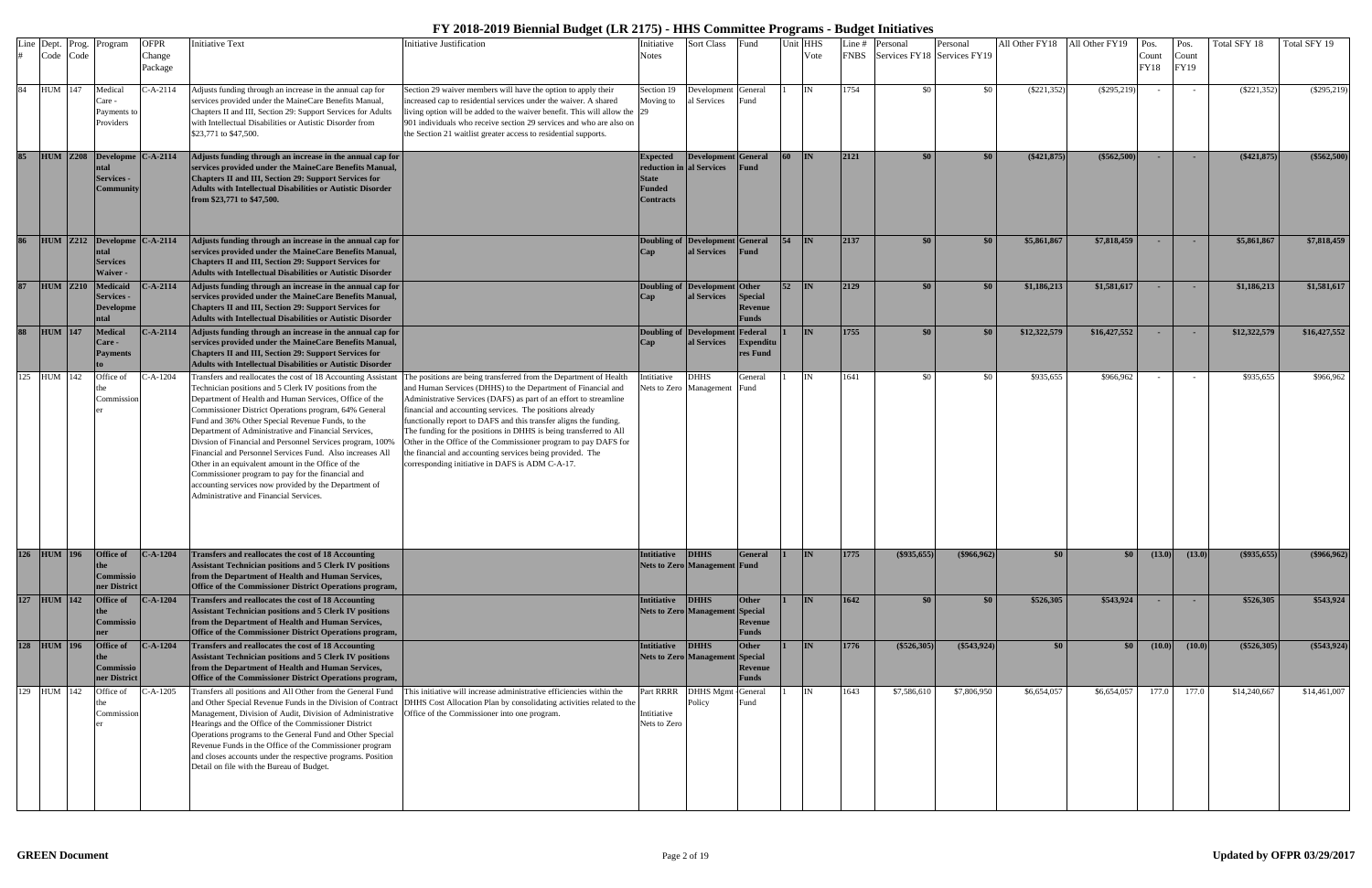|     |             | Line Dept. Prog.<br>Code Code | Program                                                          | <b>OFPR</b><br>Change<br>Package | <b>Initiative Text</b>                                                                                                                                                                                                                                                                                                                                                                                                                                                                                                                                                                                                                                                                        | Initiative Justification                                                                                                                                                                                                                                                                                                                                                                                                                                                                                                                                                                        | Initiative<br><b>Notes</b>                                                                | <b>Sort Class</b>                                     | Fund                                      |                 | Unit HHS<br>Vote | Line # | Personal<br>FNBS Services FY18 Services FY19 | Personal      | All Other FY18 All Other FY19 |               | Pos<br>Count<br><b>FY18</b> | Pos.<br>Count<br>FY19 | Total SFY 18  | Total SFY 19  |
|-----|-------------|-------------------------------|------------------------------------------------------------------|----------------------------------|-----------------------------------------------------------------------------------------------------------------------------------------------------------------------------------------------------------------------------------------------------------------------------------------------------------------------------------------------------------------------------------------------------------------------------------------------------------------------------------------------------------------------------------------------------------------------------------------------------------------------------------------------------------------------------------------------|-------------------------------------------------------------------------------------------------------------------------------------------------------------------------------------------------------------------------------------------------------------------------------------------------------------------------------------------------------------------------------------------------------------------------------------------------------------------------------------------------------------------------------------------------------------------------------------------------|-------------------------------------------------------------------------------------------|-------------------------------------------------------|-------------------------------------------|-----------------|------------------|--------|----------------------------------------------|---------------|-------------------------------|---------------|-----------------------------|-----------------------|---------------|---------------|
|     | 84 HUM 147  |                               | Medical<br>Care -<br>Payments to<br>Providers                    | -A-2114                          | Adjusts funding through an increase in the annual cap for<br>services provided under the MaineCare Benefits Manual,<br>Chapters II and III, Section 29: Support Services for Adults<br>with Intellectual Disabilities or Autistic Disorder from<br>\$23,771 to \$47,500.                                                                                                                                                                                                                                                                                                                                                                                                                      | Section 29 waiver members will have the option to apply their<br>increased cap to residential services under the waiver. A shared<br>living option will be added to the waiver benefit. This will allow the 29<br>901 individuals who receive section 29 services and who are also on<br>the Section 21 waitlist greater access to residential supports.                                                                                                                                                                                                                                        | Section 19<br>Moving to                                                                   | Development General<br>al Services                    | ≀und                                      |                 | IN               | 1754   | \$0                                          | \$0           | $(\$221,352)$                 | $(\$295,219)$ |                             |                       | $(\$221,352)$ | $(\$295,219)$ |
| 85  |             | <b>HUM</b> Z208               | Developme<br>ntal<br><b>Services -</b><br>C <b>ommunity</b>      | $C-A-2114$                       | Adjusts funding through an increase in the annual cap for<br>services provided under the MaineCare Benefits Manual,<br>Chapters II and III, Section 29: Support Services for<br><b>Adults with Intellectual Disabilities or Autistic Disorder</b><br>from \$23,771 to \$47,500.                                                                                                                                                                                                                                                                                                                                                                                                               |                                                                                                                                                                                                                                                                                                                                                                                                                                                                                                                                                                                                 | <b>Expected</b><br>reduction in al Services<br><b>State</b><br>Funded<br><b>Contracts</b> | <b>Development</b> General                            | Fund                                      | <b>60</b>       | $\mathbf{IN}$    | 2121   | \$0                                          | \$0           | $(\$421,875)$                 | $(\$562,500)$ |                             |                       | $(\$421,875)$ | $(\$562,500)$ |
| 86  |             | $HUM$ $Z212$                  | Developm<br>ntal<br><b>Services</b><br><b>Waiver -</b>           | $C-A-2114$                       | Adjusts funding through an increase in the annual cap for<br>services provided under the MaineCare Benefits Manual,<br>Chapters II and III, Section 29: Support Services for<br><b>Adults with Intellectual Disabilities or Autistic Disorder</b>                                                                                                                                                                                                                                                                                                                                                                                                                                             |                                                                                                                                                                                                                                                                                                                                                                                                                                                                                                                                                                                                 |                                                                                           | <b>Doubling of Development</b><br>al Services         | t General<br>Fund                         | 54              | IN               | 2137   | \$0                                          | \$0           | \$5,861,867                   | \$7,818,459   |                             |                       | \$5,861,867   | \$7,818,459   |
| 87  |             | $HUM$ $Z210$                  | <b>Medicaid</b><br><b>Services -</b><br><b>Developme</b><br>ntal | $-A - 2114$                      | Adjusts funding through an increase in the annual cap for<br>services provided under the MaineCare Benefits Manual,<br>Chapters II and III, Section 29: Support Services for<br><b>Adults with Intellectual Disabilities or Autistic Disorder</b>                                                                                                                                                                                                                                                                                                                                                                                                                                             |                                                                                                                                                                                                                                                                                                                                                                                                                                                                                                                                                                                                 |                                                                                           | <b>Doubling of Development Other</b><br>al Services   | <b>Special</b><br>Revenue<br><b>Funds</b> | $\overline{52}$ | IN               | 2129   | \$0                                          | \$0           | \$1,186,213                   | \$1,581,617   |                             |                       | \$1,186,213   | \$1,581,617   |
| 88  | $HUM$ 147   |                               | <b>Medical</b><br><b>Care -</b><br><b>Payments</b>               | $- A - 2114$                     | Adjusts funding through an increase in the annual cap for<br>services provided under the MaineCare Benefits Manual,<br>Chapters II and III, Section 29: Support Services for<br><b>Adults with Intellectual Disabilities or Autistic Disorder</b>                                                                                                                                                                                                                                                                                                                                                                                                                                             |                                                                                                                                                                                                                                                                                                                                                                                                                                                                                                                                                                                                 |                                                                                           | <b>Doubling of Development Federal</b><br>al Services | <b>Expenditu</b><br>res Fund              |                 | <b>IN</b>        | 1755   | \$0                                          | \$0           | \$12,322,579                  | \$16,427,552  |                             |                       | \$12,322,579  | \$16,427,552  |
|     | 125 HUM 142 |                               | Office of<br>Commission                                          | C-A-1204                         | Transfers and reallocates the cost of 18 Accounting Assistan<br>Technician positions and 5 Clerk IV positions from the<br>Department of Health and Human Services, Office of the<br>Commissioner District Operations program, 64% General<br>Fund and 36% Other Special Revenue Funds, to the<br>Department of Administrative and Financial Services,<br>Divsion of Financial and Personnel Services program, 100%<br>Financial and Personnel Services Fund. Also increases All<br>Other in an equivalent amount in the Office of the<br>Commissioner program to pay for the financial and<br>accounting services now provided by the Department of<br>Administrative and Financial Services. | The positions are being transferred from the Department of Health<br>and Human Services (DHHS) to the Department of Financial and<br>Administrative Services (DAFS) as part of an effort to streamline<br>financial and accounting services. The positions already<br>functionally report to DAFS and this transfer aligns the funding.<br>The funding for the positions in DHHS is being transferred to All<br>Other in the Office of the Commissioner program to pay DAFS for<br>the financial and accounting services being provided. The<br>corresponding initiative in DAFS is ADM C-A-17. | ntitiative                                                                                | <b>DHHS</b><br>Nets to Zero Management                | General<br>Fund                           |                 | <b>IN</b>        | 1641   | \$0                                          | - \$0         | \$935,655                     | \$966,962     |                             |                       | \$935,655     | \$966,962     |
|     | 126 HUM 196 |                               | Office of<br>Commissio<br>ner District                           | $C-A-1204$                       | Transfers and reallocates the cost of 18 Accounting<br>Assistant Technician positions and 5 Clerk IV positions<br>from the Department of Health and Human Services,<br>Office of the Commissioner District Operations program,                                                                                                                                                                                                                                                                                                                                                                                                                                                                |                                                                                                                                                                                                                                                                                                                                                                                                                                                                                                                                                                                                 | <b>Intitiative</b>                                                                        | <b>DHHS</b><br><b>Nets to Zero Management Fund</b>    | General                                   |                 | <b>IN</b>        | 1775   | $(\$935,655)$                                | $(\$966,962)$ | -\$0                          | $\$0$         | (13.0)                      | (13.0)                | $(\$935,655)$ | $(\$966,962)$ |
| 127 | $HUM$  142  |                               | Office of<br>Commissio                                           | $-.A-1204$                       | Transfers and reallocates the cost of 18 Accounting<br><b>Assistant Technician positions and 5 Clerk IV positions</b><br>from the Department of Health and Human Services,<br>Office of the Commissioner District Operations program                                                                                                                                                                                                                                                                                                                                                                                                                                                          |                                                                                                                                                                                                                                                                                                                                                                                                                                                                                                                                                                                                 | Intitiative                                                                               | <b>DHHS</b><br><b>Nets to Zero Management Special</b> | Other<br>Revenue<br><b>Funds</b>          |                 | <b>IN</b>        | 1642   | \$0                                          | \$0           | \$526,305                     | \$543,924     |                             |                       | \$526,305     | \$543,924     |
|     | 128 HUM 196 |                               | Office of<br>Commissio<br>ner District                           | $C-A-1204$                       | Transfers and reallocates the cost of 18 Accounting<br>Assistant Technician positions and 5 Clerk IV positions<br>from the Department of Health and Human Services,<br>Office of the Commissioner District Operations program,                                                                                                                                                                                                                                                                                                                                                                                                                                                                |                                                                                                                                                                                                                                                                                                                                                                                                                                                                                                                                                                                                 | <b>Intitiative</b>                                                                        | <b>DHHS</b><br><b>Nets to Zero Management Special</b> | <b>Other</b><br>Revenue<br><b>Funds</b>   |                 | IN               | 1776   | $(\$526,305)$                                | $(\$543,924)$ | \$0                           | \$0           | (10.0)                      | (10.0)                | $(\$526,305)$ | (\$543,924)   |
|     | 129 HUM 142 |                               | Office of<br>he<br>Commission                                    | $- A - 1205$                     | Transfers all positions and All Other from the General Fund<br>and Other Special Revenue Funds in the Division of Contract<br>Management, Division of Audit, Division of Administrative<br>Hearings and the Office of the Commissioner District<br>Operations programs to the General Fund and Other Special<br>Revenue Funds in the Office of the Commissioner program<br>and closes accounts under the respective programs. Position<br>Detail on file with the Bureau of Budget.                                                                                                                                                                                                           | This initiative will increase administrative efficiencies within the<br>DHHS Cost Allocation Plan by consolidating activities related to the<br>Office of the Commissioner into one program.                                                                                                                                                                                                                                                                                                                                                                                                    | Part RRRR<br>Intitiative<br>Nets to Zero                                                  | DHHS Mgmt - General<br>Policy                         | ≀und                                      |                 | <b>IN</b>        | 1643   | \$7,586,610                                  | \$7,806,950   | \$6,654,057                   | \$6,654,057   | 177.0                       | 177.0                 | \$14,240,667  | \$14,461,007  |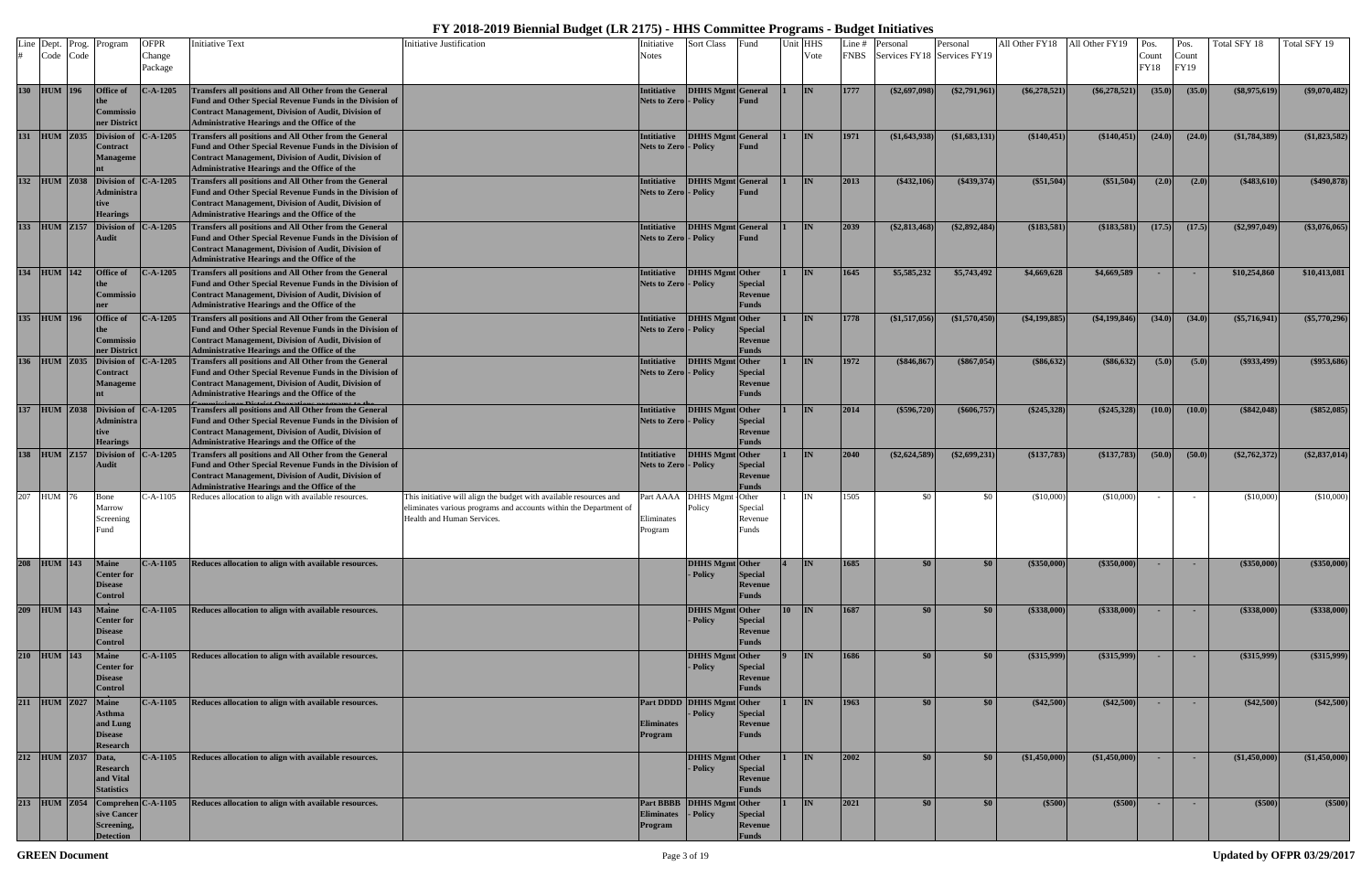| Line Dept. Prog.<br>Code Code |                    | Program                                                               | <b>OFPR</b><br>Change<br>Package | <b>Initiative Text</b>                                                                                                                                                                                                                  | Initiative Justification                                                                                                                                              | Initiative<br>Notes                                 | <b>Sort Class</b>                     | Fund                                      | Unit HHS | Vote      | Line #<br><b>FNBS</b> | Personal<br>Services FY18 Services FY19 | Personal         | All Other FY18 All Other FY19 |                    | Pos.<br>Count<br><b>FY18</b> | Pos.<br>Count<br>FY19 | Total SFY 18    | Total SFY 19    |
|-------------------------------|--------------------|-----------------------------------------------------------------------|----------------------------------|-----------------------------------------------------------------------------------------------------------------------------------------------------------------------------------------------------------------------------------------|-----------------------------------------------------------------------------------------------------------------------------------------------------------------------|-----------------------------------------------------|---------------------------------------|-------------------------------------------|----------|-----------|-----------------------|-----------------------------------------|------------------|-------------------------------|--------------------|------------------------------|-----------------------|-----------------|-----------------|
| 130 HUM 196                   |                    | Office of<br>Commissio<br>ner District                                | $C-A-1205$                       | Transfers all positions and All Other from the General<br>Fund and Other Special Revenue Funds in the Division of<br>Contract Management, Division of Audit, Division of<br>Administrative Hearings and the Office of the               |                                                                                                                                                                       | Intitiative<br>Nets to Zero - Policy                | <b>DHHS Mgmt</b> General              | Fund                                      |          | IN        | 1777                  | $(\$2,697,098)$                         | $(\$2,791,961)$  | $(\$6,278,521)$               | $(\$6,278,521)$    | (35.0)                       | (35.0)                | $(\$8,975,619)$ | $(\$9,070,482)$ |
|                               |                    | 131 HUM Z035 Division of<br>Contract<br>Manageme                      | $- A - 1205$                     | Transfers all positions and All Other from the General<br>Fund and Other Special Revenue Funds in the Division of<br>Contract Management, Division of Audit, Division of<br>Administrative Hearings and the Office of the               |                                                                                                                                                                       | Intitiative<br><b>Nets to Zero - Policy</b>         | DHHS Mgmt General                     | Fund                                      |          | <b>IN</b> | 1971                  | $(\$1,643,938)$                         | (\$1,683,131)    | (\$140,451)                   | (\$140,451)        | (24.0)                       | (24.0)                | (\$1,784,389)   | $(\$1,823,582)$ |
| 132 HUM Z038                  |                    | <b>Division of</b><br>Administra<br>tive<br><b>Hearings</b>           | $- A - 1205$                     | Transfers all positions and All Other from the General<br>Fund and Other Special Revenue Funds in the Division of<br>Contract Management, Division of Audit, Division of<br>Administrative Hearings and the Office of the               |                                                                                                                                                                       | <b>Intitiative</b><br><b>Nets to Zero - Policy</b>  | <b>DHHS Mgmt</b> General              | Fund                                      |          | <b>IN</b> | 2013                  | $(*432,106)$                            | $(\$439,374)$    | (\$51,504)                    | (\$51,504)         | (2.0)                        | (2.0)                 | $(\$483,610)$   | $(\$490,878)$   |
|                               |                    | 133 HUM Z157 Division of<br><b>Audit</b>                              | $C-A-1205$                       | Transfers all positions and All Other from the General<br>Fund and Other Special Revenue Funds in the Division of<br><b>Contract Management, Division of Audit, Division of</b><br><b>Administrative Hearings and the Office of the</b> |                                                                                                                                                                       | <b>Intitiative</b><br>Nets to Zero - Policy         | <b>DHHS Mgmt</b> General              | Fund                                      |          | <b>IN</b> | 2039                  | $(\$2,813,468)$                         | $(\$2,892,484)$  | (\$183,581)                   | (\$183,581)        | (17.5)                       | (17.5)                | $(\$2,997,049)$ | (\$3,076,065)   |
| 134 HUM 142                   |                    | Office of<br>Commissio                                                | $- A - 1205$                     | Transfers all positions and All Other from the General<br>Fund and Other Special Revenue Funds in the Division of<br>Contract Management, Division of Audit, Division of<br>Administrative Hearings and the Office of the               |                                                                                                                                                                       | <b>Intitiative</b><br><b>Nets to Zero  - Policy</b> | DHHS Mgmt Other                       | <b>Special</b><br>Revenue<br><b>Funds</b> |          | <b>IN</b> | 1645                  | \$5,585,232                             | \$5,743,492      | \$4,669,628                   | \$4,669,589        |                              | <b>COL</b>            | \$10,254,860    | \$10,413,081    |
| 135 HUM 196                   |                    | Office of<br>Commissio<br>ner District                                | $- A - 1205$                     | Transfers all positions and All Other from the General<br>Fund and Other Special Revenue Funds in the Division of<br>Contract Management, Division of Audit, Division of<br>Administrative Hearings and the Office of the               |                                                                                                                                                                       | Intitiative<br>Nets to Zero - Policy                | DHHS Mgmt Other                       | Special<br>Revenue<br><b>Funds</b>        |          | <b>IN</b> | 1778                  | $(\$1,517,056)$                         | (\$1,570,450)    | $(\$4,199,885)$               | ( \$4,199,846)     | (34.0)                       | (34.0)                | $(\$5,716,941)$ | $(\$5,770,296)$ |
|                               | 136 HUM Z035       | <b>Division of</b><br>Contract<br>Manageme                            | $-.A-1205$                       | Transfers all positions and All Other from the General<br>Fund and Other Special Revenue Funds in the Division of<br><b>Contract Management, Division of Audit, Division of</b><br>Administrative Hearings and the Office of the        |                                                                                                                                                                       | <b>Intitiative</b><br><b>Nets to Zero  - Policy</b> | DHHS Mgmt Other                       | <b>Special</b><br>Revenue<br><b>Funds</b> |          | <b>IN</b> | 1972                  | \$846,867                               | (\$867,054)      | $(\$86,632)$                  | (\$86,632)         | (5.0)                        | (5.0)                 | $(\$933,499)$   | $(\$953,686)$   |
| 137 HUM Z038                  |                    | <b>Division of</b><br>Administra<br>tive<br><b>Hearings</b>           | $- A - 1205$                     | Transfers all positions and All Other from the General<br>Fund and Other Special Revenue Funds in the Division of<br>Contract Management, Division of Audit, Division of<br>Administrative Hearings and the Office of the               |                                                                                                                                                                       | <b>Intitiative</b><br><b>Nets to Zero - Policy</b>  | DHHS Mgmt Other                       | <b>Special</b><br>Revenue<br><b>Funds</b> |          | <b>IN</b> | 2014                  | $(\$596,720)$                           | $(\$606,757)$    | $(\$245,328)$                 | (\$245,328)        | (10.0)                       | (10.0)                | (\$842,048)     | $(\$852,085)$   |
|                               | 138 HUM Z157       | <b>Division of</b><br><b>Audit</b>                                    | $- A - 1205$                     | Transfers all positions and All Other from the General<br>Fund and Other Special Revenue Funds in the Division of<br>Contract Management, Division of Audit, Division of<br>Administrative Hearings and the Office of the               |                                                                                                                                                                       | <b>Intitiative</b><br><b>Nets to Zero - Policy</b>  | DHHS Mgmt Other                       | <b>Special</b><br>Revenue<br><b>Funds</b> |          | <b>IN</b> | 2040                  | $(\$2,624,589)$                         | $(\$2,699,231)$  | (\$137,783)                   | (\$137,783)        | (50.0)                       | (50.0)                | $(\$2,762,372)$ | $(\$2,837,014)$ |
| 207 HUM 76                    |                    | Bone<br>Marrow<br>Screening<br>Fund                                   | $- A - 1105$                     | Reduces allocation to align with available resources.                                                                                                                                                                                   | This initiative will align the budget with available resources and<br>eliminates various programs and accounts within the Department of<br>Health and Human Services. | Eliminates<br>Program                               | Part AAAA DHHS Mgmt<br>Policy         | Other<br>Special<br>Revenue<br>Funds      |          | <b>IN</b> | 1505                  | \$0                                     | - \$0            | (\$10,000)                    | (\$10,000)         |                              |                       | (\$10,000)      | (\$10,000)      |
| 208 HUM 143                   |                    | <b>Maine</b><br><b>Center for</b><br><b>Disease</b><br><b>Control</b> | $C-A-1105$                       | Reduces allocation to align with available resources.                                                                                                                                                                                   |                                                                                                                                                                       |                                                     | DHHS Mgmt Other<br>- Policy           | Special<br>Revenue<br>Funds               |          | <b>IN</b> | 1685                  | \$0 <sub>1</sub>                        | $\$0$            | (\$350,000)                   | (\$350,000)        | $\sim$                       |                       | (\$350,000)     | (\$350,000)     |
| 209 HUM 143                   |                    | <b>Maine</b><br><b>Center for</b><br><b>Disease</b><br>Control        | $C-A-1105$                       | Reduces allocation to align with available resources.                                                                                                                                                                                   |                                                                                                                                                                       |                                                     | <b>DHHS Mgmt</b> Other<br>- Policy    | <b>Special</b><br>Revenue<br>Funds        | 10       | IN        | 1687                  | \$0                                     | \$0              | (\$338,000)                   | $(*338,000)$       | <b>Contract</b>              |                       | (\$338,000)     | (\$338,000)     |
| 210 HUM 143                   |                    | <b>Maine</b><br><b>Center for</b><br><b>Disease</b><br><b>Control</b> | $C-A-1105$                       | Reduces allocation to align with available resources.                                                                                                                                                                                   |                                                                                                                                                                       |                                                     | DHHS Mgmt Other<br>- Policy           | <b>Special</b><br>Revenue<br>Funds        |          | <b>IN</b> | 1686                  | \$0                                     | \$0 <sub>1</sub> | $(\$315,999)$                 | $($ \$315,999) $ $ | <b>Section</b>               | <b>Contract</b>       | $(\$315,999)$   | $(\$315,999)$   |
|                               | 211 HUM Z027 Maine | <b>Asthma</b><br>and Lung<br><b>Disease</b><br><b>Research</b>        | $C-A-1105$                       | Reduces allocation to align with available resources.                                                                                                                                                                                   |                                                                                                                                                                       | <b>Eliminates</b><br>Program                        | Part DDDD DHHS Mgmt Other<br>- Policy | <b>Special</b><br>Revenue<br>Funds        |          | IN        | 1963                  | \$0                                     | \$0              | (\$42,500)                    | $(*42,500)$        |                              |                       | $(\$42,500)$    | (\$42,500)      |
|                               | 212 HUM Z037 Data, | Research<br>and Vital<br><b>Statistics</b>                            | $C-A-1105$                       | Reduces allocation to align with available resources.                                                                                                                                                                                   |                                                                                                                                                                       |                                                     | DHHS Mgmt Other<br>- Policy           | <b>Special</b><br>Revenue<br>Funds        |          | <b>IN</b> | 2002                  | \$0                                     | \$0              | (\$1,450,000)                 | (\$1,450,000)      |                              | <b>COL</b>            | (\$1,450,000)   | (\$1,450,000)   |
|                               |                    | 213 HUM Z054 Comprehen C-A-1105<br>sive Cancer<br>Screening,          |                                  | Reduces allocation to align with available resources.                                                                                                                                                                                   |                                                                                                                                                                       | <b>Eliminates</b><br>Program                        | Part BBBB DHHS Mgmt Other<br>- Policy | <b>Special</b><br>Revenue                 |          | IN        | 2021                  | \$0                                     | \$0              | (\$500)                       | (\$500)            | $\sim$                       | $\sim$                | (\$500)         | (\$500)         |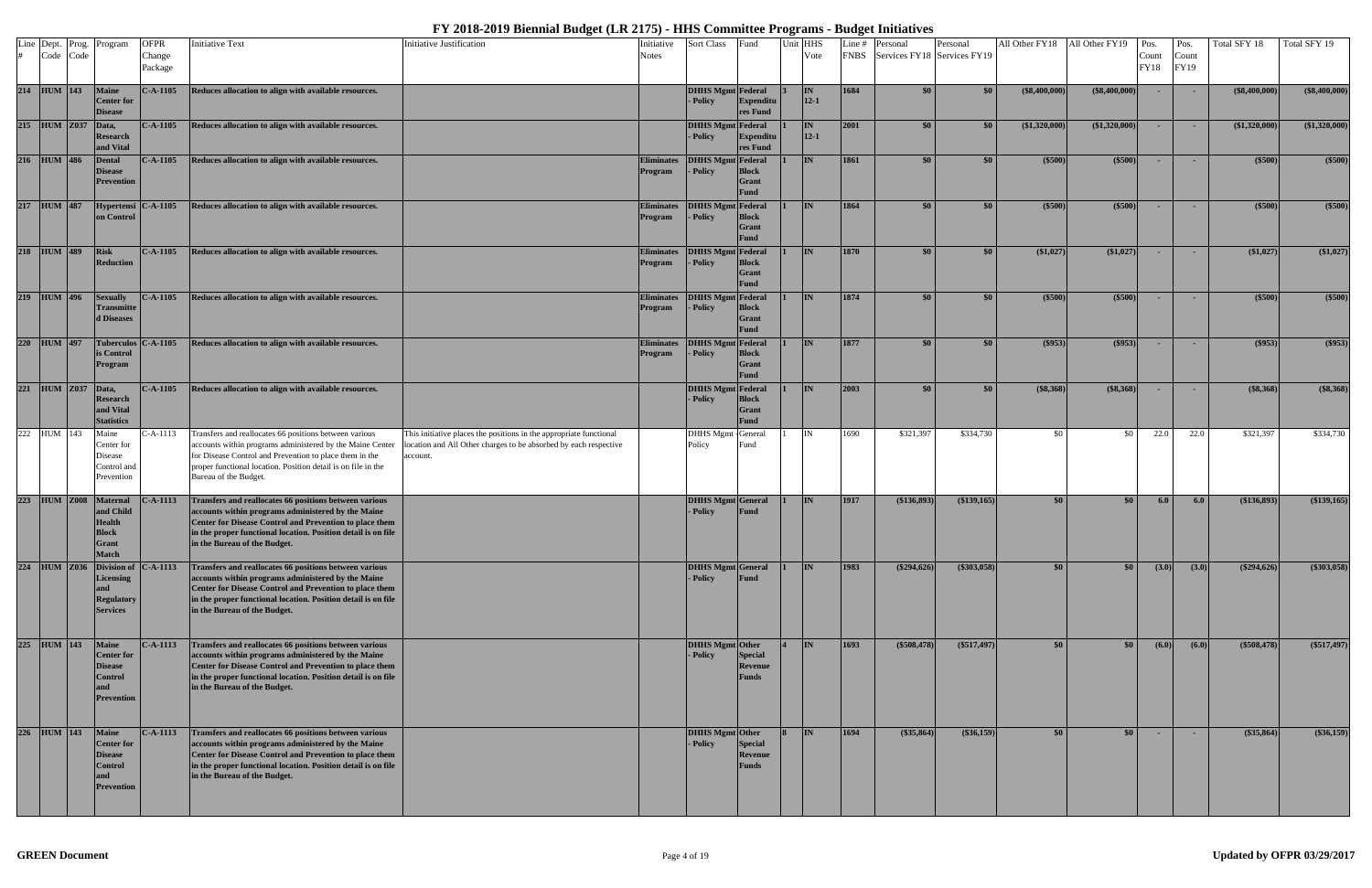|                  | Line Dept. Prog.<br>Code Code | Program                                                                                           | <b>OFPR</b><br>Change<br>Package           | <b>Initiative Text</b>                                                                                                                                                                                                                                                   | <b>Initiative Justification</b>                                                                                                                    | Initiative<br><b>Notes</b>   | <b>Sort Class</b>                    | Fund                                        | Jnit HHS<br>Vote | Line $#$<br><b>FNBS</b> | Personal<br>Services FY18 Services FY19 | Personal           | All Other FY18 All Other FY19 Pos. |                 | Count<br><b>FY18</b> | Pos.<br>Count<br>FY19 | Total SFY 18    | Total SFY 19  |
|------------------|-------------------------------|---------------------------------------------------------------------------------------------------|--------------------------------------------|--------------------------------------------------------------------------------------------------------------------------------------------------------------------------------------------------------------------------------------------------------------------------|----------------------------------------------------------------------------------------------------------------------------------------------------|------------------------------|--------------------------------------|---------------------------------------------|------------------|-------------------------|-----------------------------------------|--------------------|------------------------------------|-----------------|----------------------|-----------------------|-----------------|---------------|
|                  | 214 HUM 143                   | <b>Maine</b><br>Center for<br><b>Disease</b>                                                      | $C-A-1105$                                 | Reduces allocation to align with available resources.                                                                                                                                                                                                                    |                                                                                                                                                    |                              | <b>DHHS Mgmt</b> Federal<br>- Policy | <b>Expenditu</b><br>res Fund                | IN<br>$12 - 1$   | 1684                    | \$0                                     | \$0                | $($ \$8,400,000 $)$                | $(\$8,400,000)$ |                      |                       | $(\$8,400,000)$ | (\$8,400,000) |
|                  | 215 HUM Z037                  | Data,<br><b>Research</b><br>and Vital                                                             | $C-A-1105$                                 | Reduces allocation to align with available resources.                                                                                                                                                                                                                    |                                                                                                                                                    |                              | <b>DHHS Mgmt Federal</b><br>- Policy | <b>Expenditu</b><br>res Fund                | IN<br>$12 - 1$   | 2001                    | \$0                                     | \$0                | (\$1,320,000)                      | (\$1,320,000)   |                      |                       | (\$1,320,000)   | (\$1,320,000) |
| 216              | <b>HUM</b> 486                | <b>Dental</b><br><b>Disease</b><br>Prevention                                                     | $C-A-1105$                                 | Reduces allocation to align with available resources.                                                                                                                                                                                                                    |                                                                                                                                                    | <b>Eliminates</b><br>Program | <b>DHHS Mgmt</b> Federal<br>- Policy | <b>Block</b><br>Grant<br><b>Fund</b>        | <b>IN</b>        | 1861                    | \$0                                     | \$0                | ( \$500]                           | (\$500)         |                      |                       | $($ \$500)      | (\$500)       |
|                  | 217 HUM 487                   | on Control                                                                                        | Hypertensi C-A-1105                        | Reduces allocation to align with available resources.                                                                                                                                                                                                                    |                                                                                                                                                    | <b>Eliminates</b><br>Program | <b>DHHS Mgmt</b> Federal<br>- Policy | <b>Block</b><br><b>Grant</b><br>Fund        | <b>IN</b>        | 1864                    | \$0                                     | \$0                | $(\$500)$                          | (\$500)         |                      |                       | (\$500)         | (\$500)       |
| 218              | <b>HUM</b> 489                | <b>Risk</b><br>Reduction                                                                          | $C-A-1105$                                 | Reduces allocation to align with available resources.                                                                                                                                                                                                                    |                                                                                                                                                    | <b>Eliminates</b><br>Program | <b>DHHS Mgmt</b> Federal<br>- Policy | <b>Block</b><br><b>Grant</b><br>Fund        | <b>IN</b>        | 1870                    | \$0                                     | \$0                | (\$1,027)                          | (\$1,027)       |                      |                       | (\$1,027)       | \$1,027       |
|                  | 219 HUM 496                   | <b>Sexually</b><br><b>Transmitte</b><br>d Diseases                                                | $\mathbf{C}\text{-}\mathbf{A}\text{-}1105$ | Reduces allocation to align with available resources.                                                                                                                                                                                                                    |                                                                                                                                                    | <b>Eliminates</b><br>Program | <b>DHHS Mgmt Federal</b><br>- Policy | <b>Block</b><br><b>Grant</b><br><b>Fund</b> | IN.              | 1874                    | \$0                                     | \$0                | (\$500)                            | (\$500)         |                      |                       | $($ \$500)      | (\$500)       |
| $\boxed{220}$    | <b>HUM</b> 497                | is Control<br>Program                                                                             | Tuberculos $C-A-1105$                      | Reduces allocation to align with available resources.                                                                                                                                                                                                                    |                                                                                                                                                    | <b>Eliminates</b><br>Program | <b>DHHS Mgmt</b> Federal<br>- Policy | <b>Block</b><br>Grant<br>Fund               | <b>IN</b>        | 1877                    | \$0\$                                   | \$0                | $(\$953)$                          | (\$953)         |                      |                       | (\$953)         | (\$953)       |
| $\boxed{221}$    | <b>HUM</b> Z037               | Data,<br><b>Research</b><br>and Vital<br><b>Statistics</b>                                        | $C-A-1105$                                 | Reduces allocation to align with available resources.                                                                                                                                                                                                                    |                                                                                                                                                    |                              | <b>DHHS Mgmt Federal</b><br>- Policy | <b>Block</b><br><b>Grant</b><br><b>Fund</b> | IN               | 2003                    | \$0                                     | \$0                | (\$8,368)                          | (\$8,368)       |                      |                       | (\$8,368)       | (\$8,368)     |
|                  | 222 HUM 143                   | Maine<br>Center for<br>Disease<br>Control and<br>Prevention                                       | $C-A-1113$                                 | Transfers and reallocates 66 positions between various<br>accounts within programs administered by the Maine Center<br>for Disease Control and Prevention to place them in the<br>proper functional location. Position detail is on file in the<br>Bureau of the Budget. | This initiative places the positions in the appropriate functional<br>location and All Other charges to be absorbed by each respective<br>account. |                              | <b>DHHS Mgmt</b> - General<br>Policy | Fund                                        | IN               | 1690                    | \$321,397                               | \$334,730          | \$0                                | \$0             | 22.0                 | 22.0                  | \$321,397       | \$334,730     |
|                  | 223 HUM Z008                  | <b>Maternal</b><br>and Child<br><b>Health</b><br><b>Block</b><br>Grant<br><b>Match</b>            | $-.A-1113$                                 | Transfers and reallocates 66 positions between various<br>accounts within programs administered by the Maine<br>Center for Disease Control and Prevention to place them<br>in the proper functional location. Position detail is on file<br>in the Bureau of the Budget. |                                                                                                                                                    |                              | <b>DHHS Mgmt General</b><br>- Policy | Fund                                        | IN               | 1917                    | (\$136,893)                             | $($ \$139,165) $ $ | \$0                                | $\$0$           | 6.0                  | 6.0                   | (\$136,893)     | (\$139,165)   |
|                  | 224 HUM Z036                  | Licensing<br>and<br><b>Regulatory</b><br><b>Services</b>                                          | Division of C-A-1113                       | Transfers and reallocates 66 positions between various<br>accounts within programs administered by the Maine<br>Center for Disease Control and Prevention to place them<br>in the proper functional location. Position detail is on file<br>in the Bureau of the Budget. |                                                                                                                                                    |                              | <b>DHHS Mgmt</b> General<br>- Policy | Fund                                        | <b>IN</b>        | 1983                    | (\$294,626)                             | $($ \$303,058)     | \$0                                | \$0             | (3.0)                | (3.0)                 | (\$294,626)     | (\$303,058)   |
|                  | 225 HUM 143                   | <b>Maine</b><br><b>Center for</b><br><b>Disease</b><br><b>Control</b><br>and<br><b>Prevention</b> | $C-A-1113$                                 | Transfers and reallocates 66 positions between various<br>accounts within programs administered by the Maine<br>Center for Disease Control and Prevention to place them<br>in the proper functional location. Position detail is on file<br>in the Bureau of the Budget. |                                                                                                                                                    |                              | DHHS Mgmt Other<br>- Policy          | <b>Special</b><br>Revenue<br>Funds          | <b>IN</b>        | 1693                    | $(\$508,478)$                           | (\$517,497)        | \$0                                | \$0             | (6.0)                | (6.0)                 | (\$508,478)     | $(\$517,497)$ |
| $\overline{226}$ | <b>HUM</b> 143                | <b>Maine</b><br><b>Center for</b><br><b>Disease</b><br><b>Control</b><br>and<br><b>Prevention</b> | $C-A-1113$                                 | Transfers and reallocates 66 positions between various<br>accounts within programs administered by the Maine<br>Center for Disease Control and Prevention to place them<br>in the proper functional location. Position detail is on file<br>in the Bureau of the Budget. |                                                                                                                                                    |                              | DHHS Mgmt Other<br>- Policy          | Special<br>Revenue<br>Funds                 | <b>IN</b>        | 1694                    | (\$35,864)                              | $(\$36,159)$       | \$0                                | \$0             | <b>COL</b>           |                       | (\$35,864)      | $(*36,159)$   |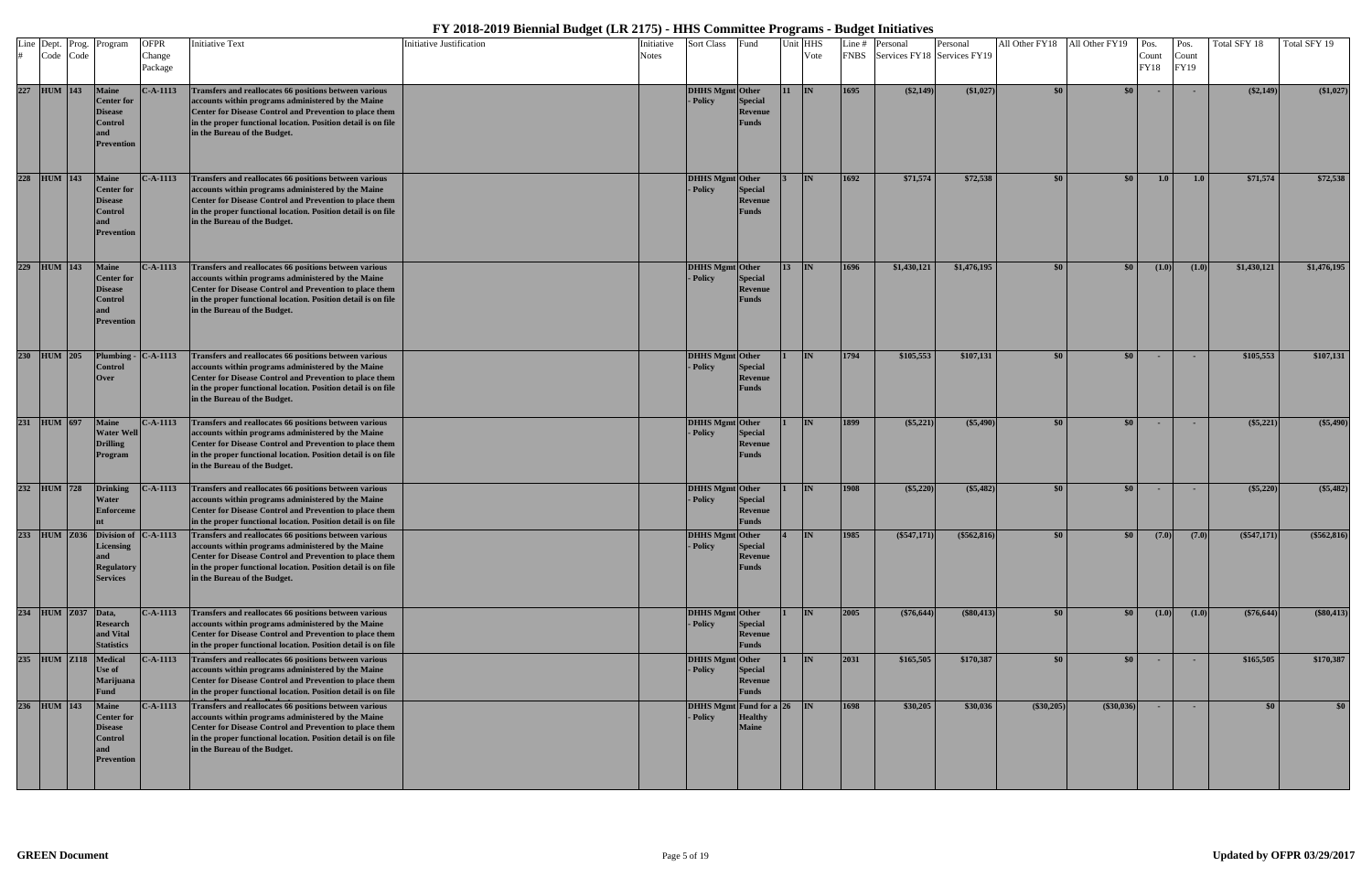| Line Dept.<br>Code Code | Prog. | Program                                                                             | <b>OFPR</b><br>Change<br>Package | <b>Initiative Text</b>                                                                                                                                                                                                                                                                                     | Initiative Justification | Initiative<br>Notes | Sort Class                          | Fund                                      | Unit HHS   | Vote      | Line # | Personal<br>FNBS Services FY18 Services FY19 | Personal     | All Other FY18   | All Other FY19   | Pos.<br>Count<br>FY18 | Pos.<br>Count<br><b>FY19</b> | Total SFY 18  | Total SFY 19  |
|-------------------------|-------|-------------------------------------------------------------------------------------|----------------------------------|------------------------------------------------------------------------------------------------------------------------------------------------------------------------------------------------------------------------------------------------------------------------------------------------------------|--------------------------|---------------------|-------------------------------------|-------------------------------------------|------------|-----------|--------|----------------------------------------------|--------------|------------------|------------------|-----------------------|------------------------------|---------------|---------------|
| 227 HUM 143             |       | <b>Maine</b><br><b>Center</b> for<br><b>Disease</b><br>Control<br><b>Prevention</b> | $C-A-1113$                       | Transfers and reallocates 66 positions between various<br>accounts within programs administered by the Maine<br>Center for Disease Control and Prevention to place them<br>in the proper functional location. Position detail is on file<br>in the Bureau of the Budget.                                   |                          |                     | <b>DHHS Mgmt</b> Other<br>- Policy  | Special<br>Revenue<br><b>Funds</b>        | <b>111</b> | IN        | 1695   | (\$2,149)                                    | (\$1,027)    | \$0              | \$0 <sub>1</sub> |                       |                              | $(\$2,149)$   | (\$1,027)     |
| 228 HUM 143             |       | <b>Maine</b><br><b>Center for</b><br>Disease<br>Control<br><b>Prevention</b>        | $C-A-1113$                       | Transfers and reallocates 66 positions between various<br>accounts within programs administered by the Maine<br>Center for Disease Control and Prevention to place them<br>in the proper functional location. Position detail is on file<br>in the Bureau of the Budget.                                   |                          |                     | DHHS Mgmt Other<br>- Policy         | <b>Special</b><br>Revenue<br><b>Funds</b> |            | <b>IN</b> | 1692   | \$71,574                                     | \$72,538     | \$0              | \$0              | 1.0                   | 1.0                          | \$71,574      | \$72,538      |
| 229 HUM 143             |       | Maine<br><b>Center</b> for<br>Disease<br>Control<br><b>Prevention</b>               | $C-A-1113$                       | Transfers and reallocates 66 positions between various<br>accounts within programs administered by the Maine<br>Center for Disease Control and Prevention to place them<br>in the proper functional location. Position detail is on file<br>in the Bureau of the Budget.                                   |                          |                     | <b>DHHS Mgmt</b> Other<br>- Policy  | Special<br>Revenue<br><b>Funds</b>        |            | <b>IN</b> | 1696   | \$1,430,121                                  | \$1,476,195  | \$0              | \$0              | (1.0)                 | (1.0)                        | \$1,430,121   | \$1,476,195   |
| 230 HUM 205             |       | Plumbing<br>Control<br>Over                                                         | $C-A-1113$                       | Transfers and reallocates 66 positions between various<br>accounts within programs administered by the Maine<br>Center for Disease Control and Prevention to place them<br>in the proper functional location. Position detail is on file<br>in the Bureau of the Budget.                                   |                          |                     | <b>DHHS Mgmt</b> Other<br>- Policy  | Special<br>Revenue<br><b>Funds</b>        |            | <b>IN</b> | 1794   | \$105,553                                    | \$107,131    | \$0              | \$0 <sub>1</sub> | $\sim$                | <b>COL</b>                   | \$105,553     | \$107,131     |
| 231 HUM 697             |       | <b>Maine</b><br><b>Water Well</b><br><b>Drilling</b><br>Program                     | $C-A-1113$                       | Transfers and reallocates 66 positions between various<br>accounts within programs administered by the Maine<br>Center for Disease Control and Prevention to place them<br>in the proper functional location. Position detail is on file<br>in the Bureau of the Budget.                                   |                          |                     | <b>DHHS Mgmt</b> Other<br>- Policy  | Special<br>Revenue<br>Funds               |            | <b>IN</b> | 1899   | (\$5,221)                                    | $(\$5,490)$  | \$0              | \$0 <sub>1</sub> | $\sim$                |                              | (\$5,221)     | (\$5,490)     |
| 232 HUM 728             |       | <b>Drinking</b><br>Water<br><b>Enforceme</b>                                        | $C-A-1113$                       | Transfers and reallocates 66 positions between various<br>accounts within programs administered by the Maine<br>Center for Disease Control and Prevention to place them<br>in the proper functional location. Position detail is on file                                                                   |                          |                     | DHHS Mgmt Other<br>- Policy         | <b>Special</b><br>Revenue<br><b>Funds</b> |            | <b>IN</b> | 1908   | (\$5,220)                                    | $(\$5,482)$  | \$0              | \$0 <sub>1</sub> | <b>COL</b>            |                              | (\$5,220)     | (\$5,482)     |
|                         |       | <b>Licensing</b><br><b>Regulatory</b><br><b>Services</b>                            |                                  | 233 HUM Z036 Division of C-A-1113 Transfers and reallocates 66 positions between various<br>accounts within programs administered by the Maine<br>Center for Disease Control and Prevention to place them<br>in the proper functional location. Position detail is on file<br>in the Bureau of the Budget. |                          |                     | DHHS Mgmt Other<br>- Policy         | <b>Special</b><br>Revenue<br><b>Funds</b> |            | <b>IN</b> | 1985   | $(\$547,171)$                                | (\$562,816)  | \$0 <sub>1</sub> | \$0              | (7.0)                 | (7.0)                        | $(\$547,171)$ | $(\$562,816)$ |
| 234 HUM Z037            |       | Data,<br>Research<br>and Vital<br><b>Statistics</b>                                 | $C-A-1113$                       | Transfers and reallocates 66 positions between various<br>accounts within programs administered by the Maine<br>Center for Disease Control and Prevention to place them<br>in the proper functional location. Position detail is on file                                                                   |                          |                     | DHHS Mgmt Other<br>- Policy         | <b>Special</b><br>Revenue<br>Funds        |            | <b>IN</b> | 2005   | (\$76,644)                                   | $(\$80,413)$ | \$0              | \$0              | (1.0)                 | (1.0)                        | $(*76,644)$   | (\$80,413)    |
|                         |       | 235 HUM Z118 Medical<br>Use of<br>Marijuana<br>Fund                                 | $C-A-1113$                       | Transfers and reallocates 66 positions between various<br>accounts within programs administered by the Maine<br>Center for Disease Control and Prevention to place them<br>in the proper functional location. Position detail is on file                                                                   |                          |                     | DHHS Mgmt Other<br>- Policy         | Special<br>Revenue<br>Funds               |            | <b>IN</b> | 2031   | \$165,505                                    | \$170,387    | \$0              | \$0 <sub>1</sub> | $\sim$                |                              | \$165,505     | \$170,387     |
| 236 HUM 143             |       | <b>Maine</b><br><b>Center</b> for<br><b>Disease</b><br>Control<br><b>Prevention</b> | $C-A-1113$                       | Transfers and reallocates 66 positions between various<br>accounts within programs administered by the Maine<br>Center for Disease Control and Prevention to place them<br>in the proper functional location. Position detail is on file<br>in the Bureau of the Budget.                                   |                          |                     | DHHS Mgmt Fund for a 26<br>- Policy | <b>Healthy</b><br><b>Maine</b>            |            |           | 1698   | \$30,205                                     | \$30,036     | $(*30,205)$      | $(\$30,036)$     |                       |                              | \$0           | \$0           |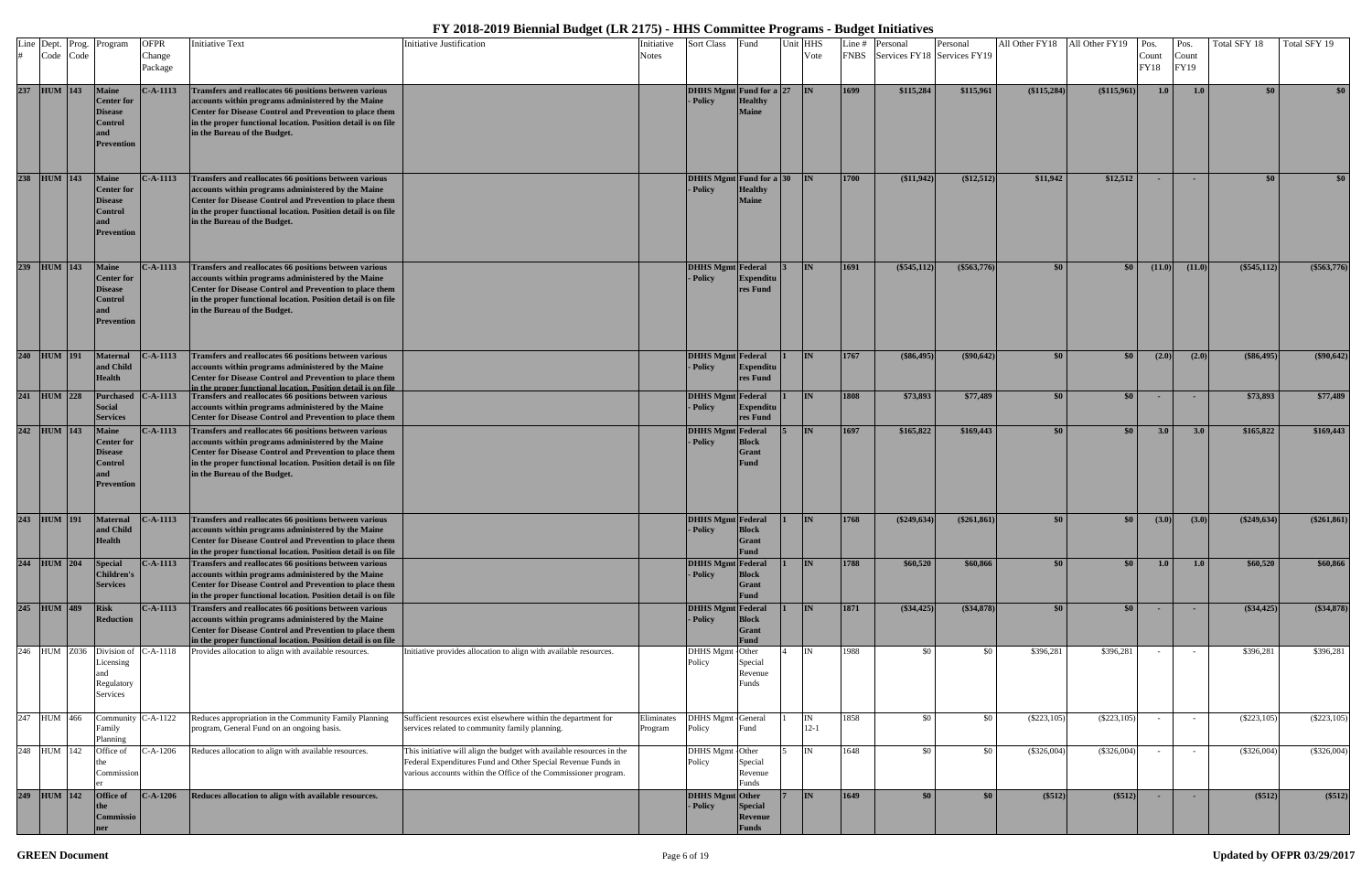|     | Line Dept. Prog. | Program                                                                             | <b>OFPR</b>       | <b>Initiative Text</b>                                                                                                                                                                                                                                                   | <b>Initiative Justification</b>                                                                                                                                                                          | Initiative            | Sort Class                           | Fund                                        | Unit HHS |                | Line # | Personal                         | Personal      |               | All Other FY18 All Other FY19 Pos. |                      | Pos.          | Total SFY 18   | Total SFY 19     |
|-----|------------------|-------------------------------------------------------------------------------------|-------------------|--------------------------------------------------------------------------------------------------------------------------------------------------------------------------------------------------------------------------------------------------------------------------|----------------------------------------------------------------------------------------------------------------------------------------------------------------------------------------------------------|-----------------------|--------------------------------------|---------------------------------------------|----------|----------------|--------|----------------------------------|---------------|---------------|------------------------------------|----------------------|---------------|----------------|------------------|
|     | Code Code        |                                                                                     | Change<br>Package |                                                                                                                                                                                                                                                                          |                                                                                                                                                                                                          | Notes                 |                                      |                                             |          | Vote           |        | FNBS Services FY18 Services FY19 |               |               |                                    | Count<br><b>FY18</b> | Count<br>FY19 |                |                  |
|     | 237 HUM 143      | <b>Maine</b><br><b>Center</b> for<br><b>Disease</b><br>Control<br><b>Prevention</b> | $C-A-1113$        | Transfers and reallocates 66 positions between various<br>accounts within programs administered by the Maine<br>Center for Disease Control and Prevention to place them<br>in the proper functional location. Position detail is on file<br>in the Bureau of the Budget. |                                                                                                                                                                                                          |                       | DHHS Mgmt Fund for a 27<br>- Policy  | <b>Healthy</b><br><b>Maine</b>              |          | IN             | 1699   | \$115,284                        | \$115,961     | (\$115,284)   | (\$115,961)                        | 1.0                  | 1.0           | \$0            | \$0 <sub>1</sub> |
|     | 238 HUM 143      | <b>Maine</b><br><b>Center</b> for<br>Disease<br>Control<br><b>Prevention</b>        | $C-A-1113$        | Transfers and reallocates 66 positions between various<br>accounts within programs administered by the Maine<br>Center for Disease Control and Prevention to place them<br>in the proper functional location. Position detail is on file<br>in the Bureau of the Budget. |                                                                                                                                                                                                          |                       | DHHS Mgmt Fund for a 30<br>- Policy  | <b>Healthy</b><br><b>Maine</b>              |          | <b>IN</b>      | 1700   | (\$11,942)                       | (\$12,512)    | \$11,942      | \$12,512                           |                      |               | \$0            | \$0 <sub>1</sub> |
|     | 239 HUM 143      | <b>Maine</b><br><b>Center for</b><br>Disease<br>Control<br><b>Prevention</b>        | $C-A-1113$        | Transfers and reallocates 66 positions between various<br>accounts within programs administered by the Maine<br>Center for Disease Control and Prevention to place them<br>in the proper functional location. Position detail is on file<br>in the Bureau of the Budget. |                                                                                                                                                                                                          |                       | <b>DHHS Mgmt</b> Federal<br>- Policy | <b>Expenditu</b><br>res Fund                |          | <b>IN</b>      | 1691   | $(\$545,112)$                    | $(\$563,776)$ | \$0           | \$0                                | (11.0)               | (11.0)        | (\$545,112)    | (\$563,776)      |
|     | 240 HUM 191      | <b>Maternal</b><br>and Child<br><b>Health</b>                                       | $2-A-1113$        | Transfers and reallocates 66 positions between various<br>accounts within programs administered by the Maine<br><b>Center for Disease Control and Prevention to place them</b><br>in the proper functional location Position detail is on file                           |                                                                                                                                                                                                          |                       | <b>DHHS Mgmt</b> Federal<br>- Policy | <b>Expenditu</b><br>res Fund                |          | <b>IN</b>      | 1767   | (\$86,495)                       | $(\$90,642)$  | \$0           | \$0 <sub>1</sub>                   | (2.0)                | (2.0)         | (\$86,495)     | $(\$90,642)$     |
|     | 241 HUM 228      | <b>Purchased</b><br><b>Social</b><br><b>Services</b>                                | $C-A-1113$        | Transfers and reallocates 66 positions between various<br>accounts within programs administered by the Maine<br>Center for Disease Control and Prevention to place them                                                                                                  |                                                                                                                                                                                                          |                       | <b>DHHS Mgmt</b> Federal<br>- Policy | <b>Expenditu</b><br>res Fund                |          | <b>IN</b>      | 1808   | \$73,893                         | \$77,489      | \$0           | \$0 <sub>1</sub>                   | $\sim$               | $\sim$        | \$73,893       | \$77,489         |
|     | 242 HUM 143      | <b>Maine</b><br><b>Center</b> for<br>Disease<br>Control<br><b>Prevention</b>        | $C-A-1113$        | Transfers and reallocates 66 positions between various<br>accounts within programs administered by the Maine<br>Center for Disease Control and Prevention to place them<br>in the proper functional location. Position detail is on file<br>in the Bureau of the Budget. |                                                                                                                                                                                                          |                       | <b>DHHS Mgmt</b> Federal<br>- Policy | <b>Block</b><br><b>Grant</b><br><b>Fund</b> |          | <b>IN</b>      | 1697   | \$165,822                        | \$169,443     | \$0           | \$0 <sub>1</sub>                   | 3.0                  | 3.0           | \$165,822      | \$169,443        |
|     | 243 HUM 191      | <b>Maternal</b><br>and Child<br><b>Health</b>                                       | $-.A-1113$        | Transfers and reallocates 66 positions between various<br>accounts within programs administered by the Maine<br>Center for Disease Control and Prevention to place them<br>in the proper functional location. Position detail is on file                                 |                                                                                                                                                                                                          |                       | <b>DHHS Mgmt Federal</b><br>- Policy | <b>Block</b><br><b>Grant</b><br>Fund        |          | <b>IN</b>      | 1768   | $(\$249,634)$                    | $(\$261,861)$ | \$0           | \$0                                | (3.0)                | (3.0)         | $(\$249,634)$  | $(\$261,861)$    |
|     | 244 HUM 204      | <b>Special</b><br><b>Children's</b><br><b>Services</b>                              | <b>C-A-1113</b>   | Transfers and reallocates 66 positions between various<br>accounts within programs administered by the Maine<br>Center for Disease Control and Prevention to place them<br>in the proper functional location. Position detail is on file                                 |                                                                                                                                                                                                          |                       | <b>DHHS Mgmt Federal</b><br>- Policy | <b>Block</b><br>Grant<br><b>Fund</b>        |          | <b>IN</b>      | 1788   | \$60,520                         | \$60,866      | \$0           | \$0 <sub>1</sub>                   | 1.0                  | 1.0           | \$60,520       | \$60,866         |
|     | 245 HUM 489      | <b>Risk</b><br>Reduction                                                            | <b>C-A-1113</b>   | Transfers and reallocates 66 positions between various<br>accounts within programs administered by the Maine<br>Center for Disease Control and Prevention to place them<br>in the proper functional location. Position detail is on file                                 |                                                                                                                                                                                                          |                       | <b>DHHS Mgmt</b> Federal<br>- Policy | <b>Block</b><br>Grant<br><b>Fund</b>        |          | <b>IN</b>      | 1871   | $(\$34,425)$                     | (\$34,878)    | \$0           | $\$0$                              |                      |               | $(*34,425)$    | (\$34,878)       |
| 246 | <b>HUM Z036</b>  | Division of<br>Licensing<br>Regulatory<br>Services                                  | $C-A-1118$        | Provides allocation to align with available resources.                                                                                                                                                                                                                   | Initiative provides allocation to align with available resources.                                                                                                                                        |                       | <b>DHHS</b> Mgmt<br>Policy           | Other<br>Special<br>Revenue<br>Funds        |          | IN             | 1988   | \$0                              | \$0           | \$396,281     | \$396,281                          |                      | $\sim$        | \$396,281      | \$396,281        |
|     | 247 HUM 466      | ommur<br>Family<br>Planning                                                         | $C-A-1122$        | Reduces appropriation in the Community Family Planning<br>program, General Fund on an ongoing basis.                                                                                                                                                                     | Sufficient resources exist elsewhere within the department for<br>services related to community family planning.                                                                                         | Eliminates<br>Program | <b>DHHS</b> Mgmt<br>Policy           | -General<br>Fund                            |          | IN<br>$12 - 1$ | 1858   | \$0                              | \$0           | $(\$223, 105$ | $(\$223, 105)$                     |                      | $\sim$        | $(\$223, 105)$ | $(\$223,105)$    |
|     | 248 HUM 142      | Office of<br>Commission                                                             | $2-A-1206$        | Reduces allocation to align with available resources.                                                                                                                                                                                                                    | This initiative will align the budget with available resources in the<br>Federal Expenditures Fund and Other Special Revenue Funds in<br>various accounts within the Office of the Commissioner program. |                       | <b>DHHS</b> Mgmt<br>Policy           | -Other<br>Special<br>Revenue<br>Funds       |          | IN             | 1648   | \$0                              | \$0           | (\$326,004)   | (\$326,004)                        |                      |               | (\$326,004)    | $(\$326,004)$    |
|     | 249 HUM 142      | Office of<br>C <b>ommissio</b>                                                      | $C-A-1206$        | Reduces allocation to align with available resources.                                                                                                                                                                                                                    |                                                                                                                                                                                                          |                       | DHHS Mgmt Other<br>- Policy          | Special<br>Revenue                          |          | <b>IN</b>      | 1649   | \$0 <sub>1</sub>                 | \$0           | (\$512)       | (\$512)                            |                      |               | (\$512)        | (\$512)          |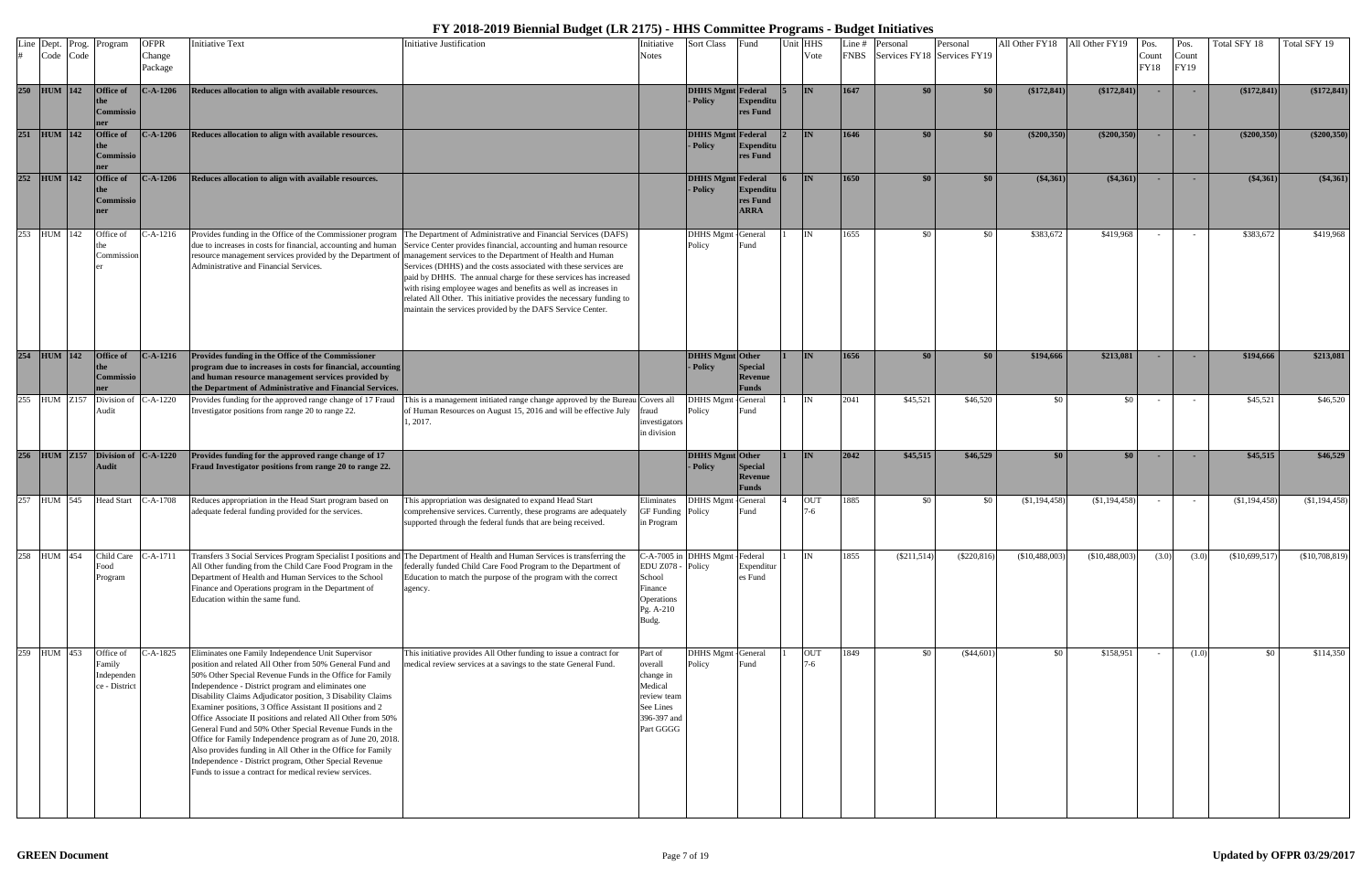|     | Line Dept. Prog.<br>Code Code | Program                                            | <b>OFPR</b><br>Change<br>Package | <b>Initiative Text</b>                                                                                                                                                                                                                                                                                                                                                                                                                                                                                                                                                                                                                                                                                                                    | <b>Initiative Justification</b>                                                                                                                                                                                                                                                                                                                                                                                                                                                                                                                                                                                                                                                                                                      | Initiative<br><b>Notes</b>                                                                         | Sort Class                           | Fund                                      | Jnit HHS<br>Vote    | Line #<br><b>FNBS</b> | Personal<br>Services FY18 Services FY19 | Personal      | All Other FY18 All Other FY19 |                 | $P$ os.<br>Count<br><b>FY18</b> | Pos.<br>Count<br>FY19 | Total SFY 18    | Total SFY 19   |
|-----|-------------------------------|----------------------------------------------------|----------------------------------|-------------------------------------------------------------------------------------------------------------------------------------------------------------------------------------------------------------------------------------------------------------------------------------------------------------------------------------------------------------------------------------------------------------------------------------------------------------------------------------------------------------------------------------------------------------------------------------------------------------------------------------------------------------------------------------------------------------------------------------------|--------------------------------------------------------------------------------------------------------------------------------------------------------------------------------------------------------------------------------------------------------------------------------------------------------------------------------------------------------------------------------------------------------------------------------------------------------------------------------------------------------------------------------------------------------------------------------------------------------------------------------------------------------------------------------------------------------------------------------------|----------------------------------------------------------------------------------------------------|--------------------------------------|-------------------------------------------|---------------------|-----------------------|-----------------------------------------|---------------|-------------------------------|-----------------|---------------------------------|-----------------------|-----------------|----------------|
|     | 250 HUM 142                   | <b>Office of</b><br>Commissio                      | <b>C-A-1206</b>                  | Reduces allocation to align with available resources.                                                                                                                                                                                                                                                                                                                                                                                                                                                                                                                                                                                                                                                                                     |                                                                                                                                                                                                                                                                                                                                                                                                                                                                                                                                                                                                                                                                                                                                      |                                                                                                    | <b>DHHS Mgmt</b> Federal<br>- Policy | <b>Expenditu</b><br>res Fund              | <b>IN</b>           | 1647                  |                                         | $\$0$         | $(\$172,841)$                 | $(*172, 841)$   |                                 |                       | (\$172,841)     | (\$172,841)    |
| 251 | $HUM$ 142                     | Office of<br><b>Commissio</b>                      | $-.A-1206$                       | Reduces allocation to align with available resources.                                                                                                                                                                                                                                                                                                                                                                                                                                                                                                                                                                                                                                                                                     |                                                                                                                                                                                                                                                                                                                                                                                                                                                                                                                                                                                                                                                                                                                                      |                                                                                                    | <b>DHHS Mgmt</b> Federal<br>- Policy | Expenditu<br>res Fund                     | IN                  | 1646                  | \$0                                     | \$0           | $(\$200,350)$                 | $(\$200,350)$   |                                 |                       | $(\$200,350)$   | $(\$200,350)$  |
|     | 252 HUM 142                   | Office of<br>Commissio                             | $C-A-1206$                       | Reduces allocation to align with available resources.                                                                                                                                                                                                                                                                                                                                                                                                                                                                                                                                                                                                                                                                                     |                                                                                                                                                                                                                                                                                                                                                                                                                                                                                                                                                                                                                                                                                                                                      |                                                                                                    | <b>DHHS Mgmt</b> Federal<br>- Policy | Expenditu<br>res Fund<br><b>ARRA</b>      | <b>IN</b>           | 1650                  | \$0                                     | \$0           | $(*4,361)$                    | $(*4,361)$      |                                 |                       | $(*4,361)$      | (\$4,361)      |
|     | 253 HUM 142                   | Office of<br>Commission                            | $-A-1216$                        | Administrative and Financial Services.                                                                                                                                                                                                                                                                                                                                                                                                                                                                                                                                                                                                                                                                                                    | Provides funding in the Office of the Commissioner program The Department of Administrative and Financial Services (DAFS)<br>due to increases in costs for financial, accounting and human Service Center provides financial, accounting and human resource<br>resource management services provided by the Department of management services to the Department of Health and Human<br>Services (DHHS) and the costs associated with these services are<br>paid by DHHS. The annual charge for these services has increased<br>with rising employee wages and benefits as well as increases in<br>related All Other. This initiative provides the necessary funding to<br>maintain the services provided by the DAFS Service Center. |                                                                                                    | DHHS Mgmt - General<br>Policy        | Fund                                      | <b>IN</b>           | 1655                  | \$0                                     | \$0           | \$383,672                     | \$419,968       |                                 |                       | \$383,672       | \$419,968      |
|     | 254 HUM 142                   | <b>Office of</b><br><b>Commissio</b>               | $C-A-1216$                       | Provides funding in the Office of the Commissioner<br>program due to increases in costs for financial, accounting<br>and human resource management services provided by<br>the Department of Administrative and Financial Services.                                                                                                                                                                                                                                                                                                                                                                                                                                                                                                       |                                                                                                                                                                                                                                                                                                                                                                                                                                                                                                                                                                                                                                                                                                                                      |                                                                                                    | <b>DHHS Mgmt</b> Other<br>- Policy   | Special<br>Revenue<br>Funds               | IN                  | 1656                  | $\$0$                                   | \$0           | \$194,666                     | \$213,081       | $\sim$                          |                       | \$194,666       | \$213,081      |
|     | 255 HUM Z157                  | Division of<br>Audit                               | C-A-1220                         | Provides funding for the approved range change of 17 Fraud<br>Investigator positions from range 20 to range 22.                                                                                                                                                                                                                                                                                                                                                                                                                                                                                                                                                                                                                           | This is a management initiated range change approved by the Bureau Covers all<br>of Human Resources on August 15, 2016 and will be effective July<br>1, 2017.                                                                                                                                                                                                                                                                                                                                                                                                                                                                                                                                                                        | aud<br>investigators<br>in division                                                                | DHHS Mgmt -<br>Policy                | General<br>Fund                           | IN                  | 2041                  | \$45,521                                | \$46,520      | - \$0                         | -\$0            |                                 |                       | \$45,521        | \$46,520       |
| 256 | <b>HUM</b> Z157               | Division of $C-A-1220$<br><b>Audit</b>             |                                  | Provides funding for the approved range change of 17<br>Fraud Investigator positions from range 20 to range 22.                                                                                                                                                                                                                                                                                                                                                                                                                                                                                                                                                                                                                           |                                                                                                                                                                                                                                                                                                                                                                                                                                                                                                                                                                                                                                                                                                                                      |                                                                                                    | <b>DHHS Mgmt</b> Other<br>- Policy   | <b>Special</b><br>Revenue<br><b>Funds</b> | <b>IN</b>           | 2042                  | \$45,515                                | \$46,529      | \$0                           | \$0             |                                 |                       | \$45,515        | \$46,529       |
|     | 257 HUM 545                   | <b>Head Start</b>                                  | $C-A-1708$                       | Reduces appropriation in the Head Start program based on<br>adequate federal funding provided for the services.                                                                                                                                                                                                                                                                                                                                                                                                                                                                                                                                                                                                                           | This appropriation was designated to expand Head Start<br>comprehensive services. Currently, these programs are adequately<br>supported through the federal funds that are being received.                                                                                                                                                                                                                                                                                                                                                                                                                                                                                                                                           | Eliminates<br><b>GF</b> Funding<br>in Program                                                      | DHHS Mgmt - General<br>Policy        | Fund                                      | <b>OUT</b><br>7-6   | 1885                  | \$0                                     | \$0           | (\$1,194,458)                 | $(\$1,194,458)$ |                                 |                       | (\$1,194,458)   | (\$1,194,458)  |
|     | 258 HUM 454                   | Child Care<br>Food<br>Program                      | $C-A-1711$                       | Transfers 3 Social Services Program Specialist I positions an<br>All Other funding from the Child Care Food Program in the<br>Department of Health and Human Services to the School<br>Finance and Operations program in the Department of<br>Education within the same fund.                                                                                                                                                                                                                                                                                                                                                                                                                                                             | The Department of Health and Human Services is transferring the<br>federally funded Child Care Food Program to the Department of<br>Education to match the purpose of the program with the correct<br>agency.                                                                                                                                                                                                                                                                                                                                                                                                                                                                                                                        | C-A-7005 in<br>EDU Z078<br>School<br>Finance<br>Operations<br>Pg. A-210<br>Budg.                   | DHHS Mgmt - Federal<br>Policy        | Expenditur<br>es Fund                     | ΙN                  | 1855                  | (\$211,514)                             | $(\$220,816)$ | (\$10,488,003                 | (S10, 488, 003) | (3.0)                           | (3.0)                 | (\$10,699,517)  | (\$10,708,819) |
| 259 | HUM 453                       | Office of<br>Family<br>Independen<br>ce - District | C-A-1825                         | Eliminates one Family Independence Unit Supervisor<br>position and related All Other from 50% General Fund and<br>50% Other Special Revenue Funds in the Office for Family<br>Independence - District program and eliminates one<br>Disability Claims Adjudicator position, 3 Disability Claims<br>Examiner positions, 3 Office Assistant II positions and 2<br>Office Associate II positions and related All Other from 50%<br>General Fund and 50% Other Special Revenue Funds in the<br>Office for Family Independence program as of June 20, 2018.<br>Also provides funding in All Other in the Office for Family<br>Independence - District program, Other Special Revenue<br>Funds to issue a contract for medical review services. | This initiative provides All Other funding to issue a contract for<br>medical review services at a savings to the state General Fund.                                                                                                                                                                                                                                                                                                                                                                                                                                                                                                                                                                                                | Part of<br>overall<br>change in<br>Medical<br>review team<br>See Lines<br>396-397 and<br>Part GGGG | DHHS Mgmt General<br>Policy          | Fund                                      | <b>OUT</b><br>$7-6$ | 1849                  | \$0                                     | $(\$44,601)$  | \$0                           | \$158,951       |                                 | (1.0)                 | $\mathcal{S}^0$ | \$114,350      |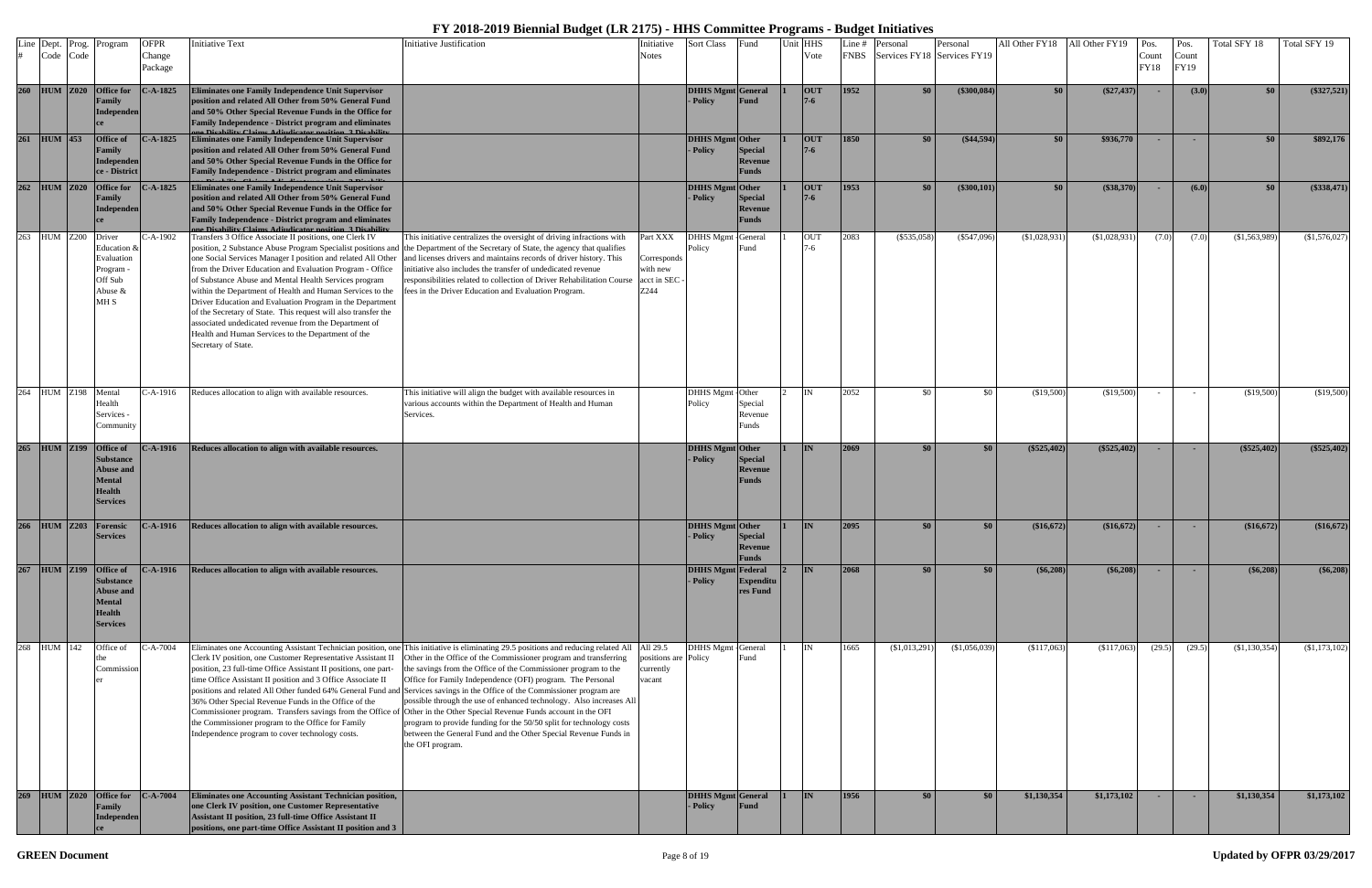|     | Line Dept. Prog.<br>Code Code | Program                                                                                                       | <b>OFPR</b><br>Change | <b>Initiative Text</b>                                                                                                                                                                                                                                                                                                                                                                                                                                                                                                                                                                                                                          | Initiative Justification                                                                                                                                                                                                                                                                                                                                                                                                                                                                                                                                                                                                                                                                                                                                                    | Initiative<br><b>Notes</b>                                 | Sort Class                           | Fund                                      | Unit HHS<br>Vote      | Line # | Personal<br>FNBS Services FY18 Services FY19 | Personal      | All Other FY18 | All Other FY19 | Pos.<br>Count | Pos.<br>Count | Total SFY 18  | Total SFY 19  |
|-----|-------------------------------|---------------------------------------------------------------------------------------------------------------|-----------------------|-------------------------------------------------------------------------------------------------------------------------------------------------------------------------------------------------------------------------------------------------------------------------------------------------------------------------------------------------------------------------------------------------------------------------------------------------------------------------------------------------------------------------------------------------------------------------------------------------------------------------------------------------|-----------------------------------------------------------------------------------------------------------------------------------------------------------------------------------------------------------------------------------------------------------------------------------------------------------------------------------------------------------------------------------------------------------------------------------------------------------------------------------------------------------------------------------------------------------------------------------------------------------------------------------------------------------------------------------------------------------------------------------------------------------------------------|------------------------------------------------------------|--------------------------------------|-------------------------------------------|-----------------------|--------|----------------------------------------------|---------------|----------------|----------------|---------------|---------------|---------------|---------------|
|     |                               |                                                                                                               | Package               |                                                                                                                                                                                                                                                                                                                                                                                                                                                                                                                                                                                                                                                 |                                                                                                                                                                                                                                                                                                                                                                                                                                                                                                                                                                                                                                                                                                                                                                             |                                                            |                                      |                                           |                       |        |                                              |               |                |                | FY18          | <b>FY19</b>   |               |               |
|     | 260 HUM Z020 Office for       | <b>Tamily</b><br>Independen                                                                                   | $C-A-1825$            | <b>Eliminates one Family Independence Unit Supervisor</b><br>position and related All Other from 50% General Fund<br>and 50% Other Special Revenue Funds in the Office for<br>Family Independence - District program and eliminates                                                                                                                                                                                                                                                                                                                                                                                                             |                                                                                                                                                                                                                                                                                                                                                                                                                                                                                                                                                                                                                                                                                                                                                                             |                                                            | <b>DHHS Mgmt General</b><br>- Policy | Fund                                      | <b>OUT</b><br>7-6     | 1952   | \$0\$                                        | (\$300,084)   | \$0            | $(\$27,437)$   |               | (3.0)         | $\$0$         | (\$327,521)   |
| 261 | $HUM$ 453                     | <b>Office of</b><br>`amily<br><b>Independen</b><br>ce - District                                              | $C-A-1825$            | Eliminates one Family Independence Unit Supervisor<br>position and related All Other from 50% General Fund<br>and 50% Other Special Revenue Funds in the Office for<br><b>Family Independence - District program and eliminates</b>                                                                                                                                                                                                                                                                                                                                                                                                             |                                                                                                                                                                                                                                                                                                                                                                                                                                                                                                                                                                                                                                                                                                                                                                             |                                                            | DHHS Mgmt Other<br>- Policy          | <b>Special</b><br>Revenue<br><b>Funds</b> | <b>OUT</b><br>$7 - 6$ | 1850   | \$0                                          | $(*44,594)$   | \$0            | \$936,770      | $\sim$        | . н.          | \$0           | \$892,176     |
| 262 | <b>HUM</b> Z020               | <b>Office for</b><br><b>Tamily</b><br>Independen                                                              | $2-A-1825$            | Eliminates one Family Independence Unit Supervisor<br>position and related All Other from 50% General Fund<br>and 50% Other Special Revenue Funds in the Office for<br><b>Family Independence - District program and eliminates</b><br><b>Nicobility Claims Adjudicator position 3 Disabilit</b>                                                                                                                                                                                                                                                                                                                                                |                                                                                                                                                                                                                                                                                                                                                                                                                                                                                                                                                                                                                                                                                                                                                                             |                                                            | DHHS Mgmt Other<br>- Policy          | <b>Special</b><br>Revenue<br><b>Funds</b> | <b>OUT</b><br>$7 - 6$ | 1953   | \$0\$                                        | (\$300,101)   | \$0            | (\$38,370)     |               | (6.0)         | \$0           | (\$338,471)   |
| 263 | <b>HUM Z200</b>               | Driver<br>Education &<br>Evaluation<br>rogram<br>Off Sub<br>Abuse &<br>MH <sub>S</sub>                        | -A-1902               | Transfers 3 Office Associate II positions, one Clerk IV<br>position, 2 Substance Abuse Program Specialist positions and<br>one Social Services Manager I position and related All Other<br>from the Driver Education and Evaluation Program - Office<br>of Substance Abuse and Mental Health Services program<br>within the Department of Health and Human Services to the<br>Driver Education and Evaluation Program in the Department<br>of the Secretary of State. This request will also transfer the<br>associated undedicated revenue from the Department of<br>Health and Human Services to the Department of the<br>Secretary of State. | This initiative centralizes the oversight of driving infractions with<br>the Department of the Secretary of State, the agency that qualifies<br>and licenses drivers and maintains records of driver history. This<br>initiative also includes the transfer of undedicated revenue<br>responsibilities related to collection of Driver Rehabilitation Course<br>fees in the Driver Education and Evaluation Program.                                                                                                                                                                                                                                                                                                                                                        | Part XXX<br>Corresponds<br>with new<br>acct in SEC<br>Z244 | <b>DHHS</b> Mgmt<br>Policy           | General<br>≀und                           | OUT<br>$7-6$          | 2083   | $(\$535,058)$                                | $(\$547,096)$ | (\$1,028,931   | (\$1,028,931)  | (7.0)         | (7.0)         | \$1,563,989   | (\$1,576,027) |
|     | 264 HUM Z198                  | Mental<br>Iealth<br>Services -<br>Community                                                                   | C-A-1916              | Reduces allocation to align with available resources.                                                                                                                                                                                                                                                                                                                                                                                                                                                                                                                                                                                           | This initiative will align the budget with available resources in<br>various accounts within the Department of Health and Human<br>Services.                                                                                                                                                                                                                                                                                                                                                                                                                                                                                                                                                                                                                                |                                                            | DHHS Mgmt - Other<br>Policy          | Special<br>Revenue<br>'unds               | IN                    | 2052   | \$0                                          | \$0           | (\$19,500)     | (\$19,500)     |               |               | (\$19,500)    | (\$19,500)    |
|     | 265 HUM Z199                  | <b>Office of</b><br><b>Substance</b><br><b>Abuse and</b><br><b>Mental</b><br><b>Health</b><br><b>Services</b> | $- A - 1916$          | Reduces allocation to align with available resources.                                                                                                                                                                                                                                                                                                                                                                                                                                                                                                                                                                                           |                                                                                                                                                                                                                                                                                                                                                                                                                                                                                                                                                                                                                                                                                                                                                                             |                                                            | DHHS Mgmt Other<br>- Policy          | Special<br>Revenue<br><b>Funds</b>        | <b>IN</b>             | 2069   | \$0\$                                        | \$0           | $(\$525,402)$  | $(*525,402)$   |               |               | $(\$525,402)$ | (\$525,402)   |
| 266 | HUM Z203 Forensic             | <b>Services</b>                                                                                               | $C-A-1916$            | Reduces allocation to align with available resources.                                                                                                                                                                                                                                                                                                                                                                                                                                                                                                                                                                                           |                                                                                                                                                                                                                                                                                                                                                                                                                                                                                                                                                                                                                                                                                                                                                                             |                                                            | DHHS Mgmt Other<br>1- Policy         | <b>Special</b><br>Revenue<br><b>Funds</b> | <b>IN</b>             | 2095   | \$0\$                                        | \$0           | (\$16,672)     | \$16,672       |               |               | (\$16,672)    | \$16,672)     |
| 267 | <b>HUM Z199</b>               | <b>Office of</b><br><b>Substance</b><br><b>Abuse and</b><br><b>Mental</b><br><b>Health</b><br><b>Services</b> | $C-A-1916$            | Reduces allocation to align with available resources.                                                                                                                                                                                                                                                                                                                                                                                                                                                                                                                                                                                           |                                                                                                                                                                                                                                                                                                                                                                                                                                                                                                                                                                                                                                                                                                                                                                             |                                                            | <b>DHHS Mgmt</b> Federal<br>- Policy | Expenditu<br>res Fund                     | <b>IN</b>             | 2068   | \$0                                          | \$0           | $(\$6,208)$    | (\$6,208)      |               | <b>COL</b>    | $(\$6,208)$   | $($ \$6,208)  |
| 268 | HUM 142                       | Office of<br>Commission                                                                                       | $- A - 7004$          | Clerk IV position, one Customer Representative Assistant II<br>position, 23 full-time Office Assistant II positions, one part-<br>time Office Assistant II position and 3 Office Associate II<br>36% Other Special Revenue Funds in the Office of the<br>Commissioner program. Transfers savings from the Office of<br>the Commissioner program to the Office for Family<br>Independence program to cover technology costs.                                                                                                                                                                                                                     | Eliminates one Accounting Assistant Technician position, one This initiative is eliminating 29.5 positions and reducing related All<br>Other in the Office of the Commissioner program and transferring<br>the savings from the Office of the Commissioner program to the<br>Office for Family Independence (OFI) program. The Personal<br>positions and related All Other funded 64% General Fund and Services savings in the Office of the Commissioner program are<br>possible through the use of enhanced technology. Also increases All<br>f Other in the Other Special Revenue Funds account in the OFI<br>program to provide funding for the 50/50 split for technology costs<br>between the General Fund and the Other Special Revenue Funds in<br>the OFI program. | All 29.5<br>positions are<br>currently<br>vacant           | DHHS Mgmt - General<br>Policy        | Fund                                      | IN                    | 1665   | (\$1,013,291)                                | (\$1,056,039) | (\$117,063)    | (\$117,063)    | (29.5)        | (29.5)        | (\$1,130,354) | (\$1,173,102) |
| 269 | HUM Z020 Office for           | <b>Tamily</b><br>Independen                                                                                   | $\mathbf{C-A-7004}$   | Eliminates one Accounting Assistant Technician position,<br>one Clerk IV position, one Customer Representative<br>Assistant II position, 23 full-time Office Assistant II<br>positions, one part-time Office Assistant II position and 3                                                                                                                                                                                                                                                                                                                                                                                                        |                                                                                                                                                                                                                                                                                                                                                                                                                                                                                                                                                                                                                                                                                                                                                                             |                                                            | <b>DHHS Mgmt</b> General<br>- Policy | Fund                                      | IN                    | 1956   | \$0\$                                        | \$0           | \$1,130,354    | \$1,173,102    |               |               | \$1,130,354   | \$1,173,102   |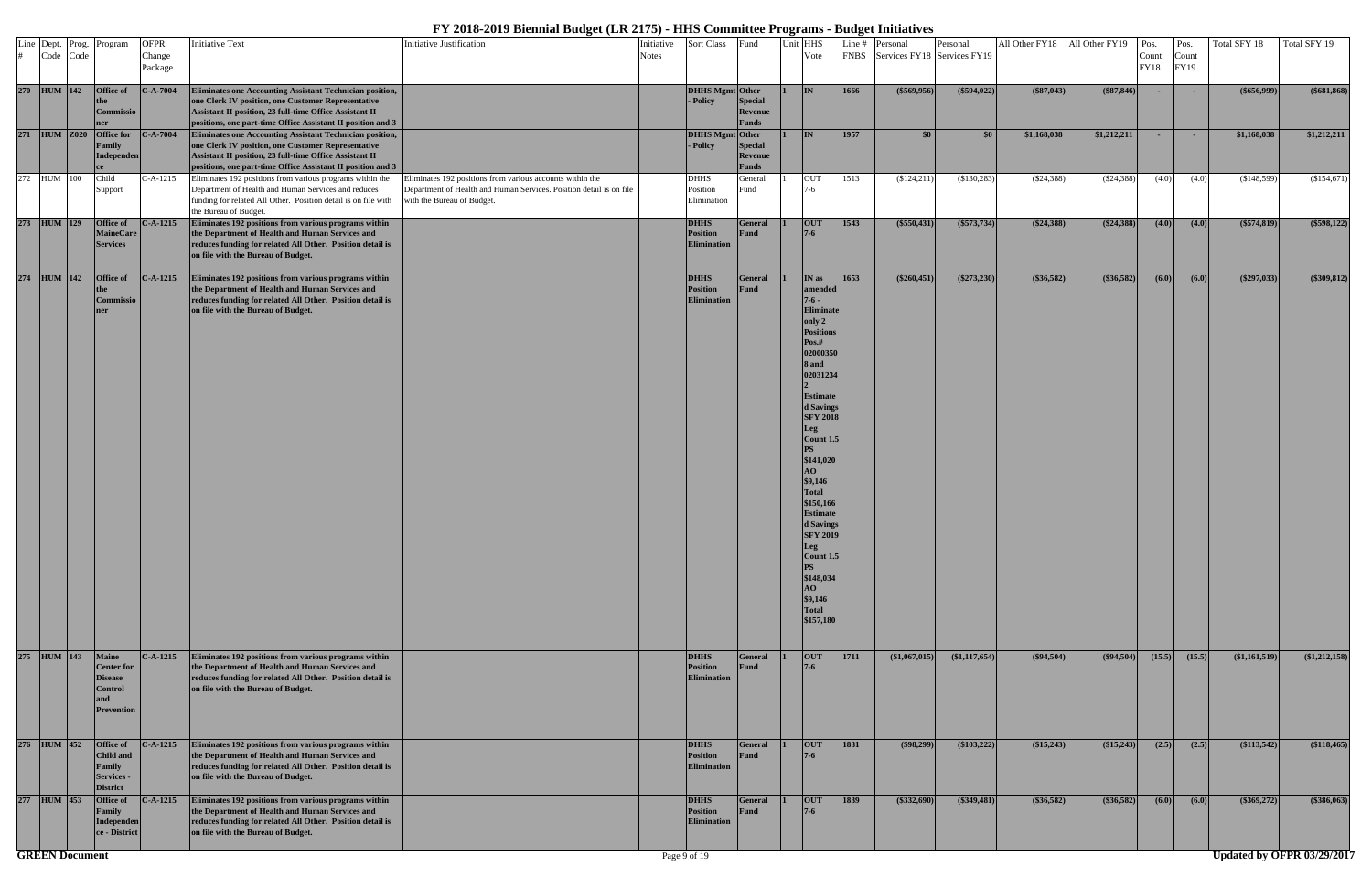| Line Dept. Prog.<br>Code Code | Program                                                                                    | <b>OFPR</b><br>Change<br>Package | <b>Initiative Text</b>                                                                                                                                                                                                                   | <b>Initiative Justification</b>                                                                                                                                | Initiative<br><b>Notes</b> | Sort Class                                           | Fund                               | Unit HHS<br>Vote                                                                                                                                                                                                                                                                                                                                                                                     |      | Line # Personal<br>FNBS Services FY18 Services FY19 | Personal      |              | All Other FY18 All Other FY19 Pos. | Count<br>FY18 | Pos.<br>Count<br>FY19 | Total SFY 18  | Total SFY 19  |
|-------------------------------|--------------------------------------------------------------------------------------------|----------------------------------|------------------------------------------------------------------------------------------------------------------------------------------------------------------------------------------------------------------------------------------|----------------------------------------------------------------------------------------------------------------------------------------------------------------|----------------------------|------------------------------------------------------|------------------------------------|------------------------------------------------------------------------------------------------------------------------------------------------------------------------------------------------------------------------------------------------------------------------------------------------------------------------------------------------------------------------------------------------------|------|-----------------------------------------------------|---------------|--------------|------------------------------------|---------------|-----------------------|---------------|---------------|
| 270 HUM 142                   | Office of<br>Commissio                                                                     | $C-A-7004$                       | Eliminates one Accounting Assistant Technician position,<br>one Clerk IV position, one Customer Representative<br>Assistant II position, 23 full-time Office Assistant II<br>positions, one part-time Office Assistant II position and 3 |                                                                                                                                                                |                            | <b>DHHS Mgmt</b> Other<br>- Policy                   | Special<br>Revenue<br>Funds        | IN.                                                                                                                                                                                                                                                                                                                                                                                                  | 1666 | (\$569,956)                                         | (\$594,022)   | $(*87,043)$  | $(*87,846)$                        | $\sim$        | $\sim$                | $(\$656,999)$ | $(\$681,868)$ |
| 271 HUM Z020                  | <b>Office for</b><br>Family<br><b>Independen</b>                                           | $-.A-7004$                       | Eliminates one Accounting Assistant Technician position,<br>one Clerk IV position, one Customer Representative<br>Assistant II position, 23 full-time Office Assistant II<br>positions, one part-time Office Assistant II position and 3 |                                                                                                                                                                |                            | DHHS Mgmt Other<br>- Policy                          | Special<br>Revenue<br><b>Funds</b> | <b>IN</b>                                                                                                                                                                                                                                                                                                                                                                                            | 1957 | \$0\$                                               | \$0           | \$1,168,038  | \$1,212,211                        | $\sim$        | $\sim$                | \$1,168,038   | \$1,212,211   |
| 272 HUM 100                   | Child<br>Support                                                                           | -A-1215                          | Eliminates 192 positions from various programs within the<br>Department of Health and Human Services and reduces<br>funding for related All Other. Position detail is on file with<br>the Bureau of Budget.                              | Eliminates 192 positions from various accounts within the<br>Department of Health and Human Services. Position detail is on file<br>with the Bureau of Budget. |                            | <b>DHHS</b><br>Position<br>Elimination               | General<br>Fund                    | <b>OUT</b><br>7-6                                                                                                                                                                                                                                                                                                                                                                                    | 1513 | (\$124,211)                                         | $(\$130,283)$ | (\$24,388)   | (S24,388)                          | (4.0)         | (4.0)                 | (\$148,599)   | (\$154,671)   |
| 273 HUM 129                   | <b>Office of</b><br><b>MaineCare</b><br><b>Services</b>                                    | $C-A-1215$                       | Eliminates 192 positions from various programs within<br>the Department of Health and Human Services and<br>reduces funding for related All Other. Position detail is<br>on file with the Bureau of Budget.                              |                                                                                                                                                                |                            | <b>DHHS</b><br><b>Position</b><br><b>Elimination</b> | General<br>Fund                    | <b>OUT</b><br>$7 - 6$                                                                                                                                                                                                                                                                                                                                                                                | 1543 | $($ \$550,431)                                      | $(\$573,734)$ | $(\$24,388)$ | $(*24,388)$                        | (4.0)         | (4.0)                 | $(\$574,819)$ | (\$598,122)   |
| 274 HUM 142                   | Office of<br>Commissio                                                                     | $C-A-1215$                       | Eliminates 192 positions from various programs within<br>the Department of Health and Human Services and<br>reduces funding for related All Other. Position detail is<br>on file with the Bureau of Budget.                              |                                                                                                                                                                |                            | <b>DHHS</b><br><b>Position</b><br>Elimination        | General<br>Fund                    | IN as<br>amended<br>$7 - 6 -$<br><b>Eliminate</b><br>only 2<br><b>Positions</b><br>Pos.#<br>02000350<br>8 and<br>02031234<br><b>Estimate</b><br>d Savings<br><b>SFY 2018</b><br>Leg<br>Count 1.5<br>\$141,020<br>AO<br>\$9,146<br><b>Total</b><br>\$150,166<br><b>Estimate</b><br>d Savings<br><b>SFY 2019</b><br><b>Leg</b><br>Count 1.5<br>\$148,034<br>AO<br>\$9,146<br><b>Total</b><br>\$157,180 | 1653 | $(*260,451)$                                        | $(\$273,230)$ | $(*36,582)$  | $(*36,582)$                        | (6.0)         | (6.0)                 | $(\$297,033)$ | (\$309,812)   |
| 275 HUM 143                   | <b>Maine</b><br><b>Center for</b><br><b>Disease</b><br>Control<br>and<br><b>Prevention</b> | $C-A-1215$                       | Eliminates 192 positions from various programs within<br>the Department of Health and Human Services and<br>reduces funding for related All Other. Position detail is<br>on file with the Bureau of Budget.                              |                                                                                                                                                                |                            | <b>DHHS</b><br><b>Position</b><br><b>Elimination</b> | General<br>Fund                    | <b>OUT</b><br>$7-6$                                                                                                                                                                                                                                                                                                                                                                                  | 1711 | (\$1,067,015)                                       | (\$1,117,654) | (\$94,504)   | $(\$94,504)$                       | (15.5)        | (15.5)                | (\$1,161,519) | (\$1,212,158) |
| 276 HUM 452                   | Office of<br>Child and<br>Family<br>Services -<br><b>District</b>                          | $C-A-1215$                       | Eliminates 192 positions from various programs within<br>the Department of Health and Human Services and<br>reduces funding for related All Other. Position detail is<br>on file with the Bureau of Budget.                              |                                                                                                                                                                |                            | <b>DHHS</b><br><b>Position</b><br><b>Elimination</b> | General<br><b>Fund</b>             | <b>OUT</b><br>$7-6$                                                                                                                                                                                                                                                                                                                                                                                  | 1831 | ( \$98,299)                                         | (\$103,222)   | (\$15,243)   | $(\$15,243)$                       | (2.5)         | (2.5)                 | (\$113,542)   | (\$118,465)   |
| 277 HUM 453                   | <b>Office of</b><br><b>Family</b><br>Independen<br>ce - District                           | $C-A-1215$                       | Eliminates 192 positions from various programs within<br>the Department of Health and Human Services and<br>reduces funding for related All Other. Position detail is<br>on file with the Bureau of Budget.                              |                                                                                                                                                                |                            | <b>DHHS</b><br>Position<br><b>Elimination</b>        | General<br>Fund                    | <b>OUT</b><br>$7-6$                                                                                                                                                                                                                                                                                                                                                                                  | 1839 | $(*332,690)$                                        | (\$349,481)   | $(*36,582)$  | $(*36,582)$                        | (6.0)         | (6.0)                 | $(*369,272)$  | (\$386,063)   |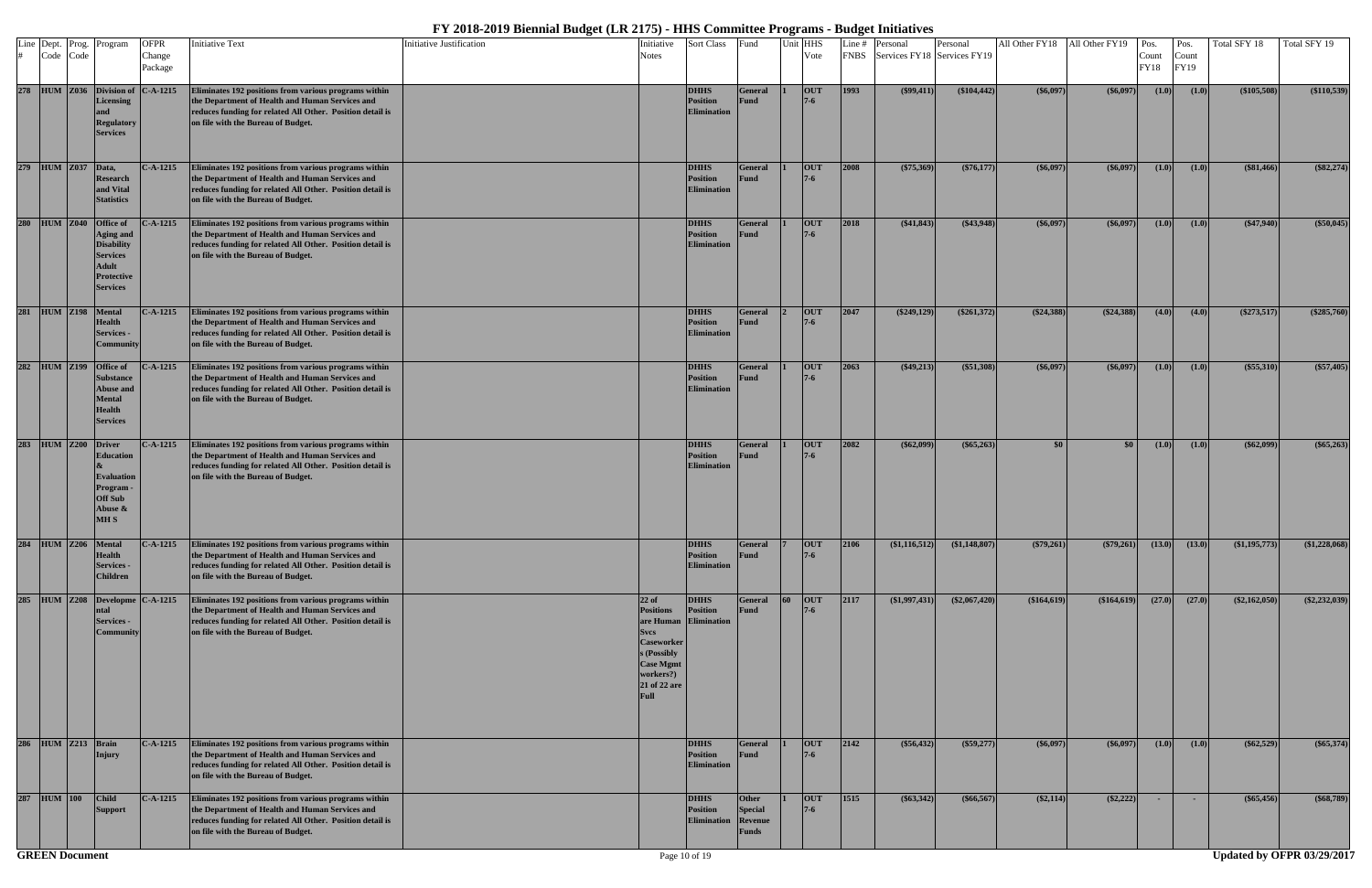| Line Dept. Prog.<br>Code Code |                     | Program                                                                                                                             | <b>OFPR</b><br>Change<br>Package | <b>Initiative Text</b>                                                                                                                                                                                      | <b>Initiative Justification</b> | Initiative<br>Notes                                                                                                                     | <b>Sort Class</b>                                       | Fund                                                      |                 | Unit HHS<br>Vote      | Line# | Personal<br>FNBS Services FY18 Services FY19 | Personal      | All Other FY18 All Other FY19 |                  | Pos.<br>Count<br><b>FY18</b> | Pos.<br>Count<br>FY19 | Total SFY 18  | Total SFY 19    |
|-------------------------------|---------------------|-------------------------------------------------------------------------------------------------------------------------------------|----------------------------------|-------------------------------------------------------------------------------------------------------------------------------------------------------------------------------------------------------------|---------------------------------|-----------------------------------------------------------------------------------------------------------------------------------------|---------------------------------------------------------|-----------------------------------------------------------|-----------------|-----------------------|-------|----------------------------------------------|---------------|-------------------------------|------------------|------------------------------|-----------------------|---------------|-----------------|
|                               |                     | 278 HUM Z036 Division of<br><b>Licensing</b><br><b>Regulatory</b><br><b>Services</b>                                                | $C-A-1215$                       | Eliminates 192 positions from various programs within<br>the Department of Health and Human Services and<br>reduces funding for related All Other. Position detail is<br>on file with the Bureau of Budget. |                                 |                                                                                                                                         | <b>DHHS</b><br><b>Position</b><br><b>Elimination</b>    | General<br>Fund                                           |                 | <b>OUT</b>            | 1993  | $(\$99,411)$                                 | (\$104,442)   | $(\$6,097)$                   | $($ \$6,097)     | (1.0)                        | (1.0)                 | (\$105,508)   | (\$110,539)     |
|                               | 279 HUM Z037 Data,  | <b>Research</b><br>and Vital<br><b>Statistics</b>                                                                                   | $C-A-1215$                       | Eliminates 192 positions from various programs within<br>the Department of Health and Human Services and<br>reduces funding for related All Other. Position detail is<br>on file with the Bureau of Budget. |                                 |                                                                                                                                         | <b>DHHS</b><br><b>Position</b><br><b>Elimination</b>    | General<br>Fund                                           |                 | <b>OUT</b><br>$7-6$   | 2008  | $(\$75,369)$                                 | $(\$76,177)$  | (\$6,097)                     | $($ \$6,097)     | (1.0)                        | (1.0)                 | $(*81,466)$   | $(\$82,274)$    |
|                               |                     | 280 HUM Z040 Office of<br><b>Aging and</b><br><b>Disability</b><br><b>Services</b><br>Adult<br><b>Protective</b><br><b>Services</b> | $- A - 1215$                     | Eliminates 192 positions from various programs within<br>the Department of Health and Human Services and<br>reduces funding for related All Other. Position detail is<br>on file with the Bureau of Budget. |                                 |                                                                                                                                         | <b>DHHS</b><br><b>Position</b><br><b>Elimination</b>    | General<br>Fund                                           |                 | <b>OUT</b><br>$7 - 6$ | 2018  | $(*41,843)$                                  | $(*43,948)$   | (\$6,097                      | (\$6,097)        | (1.0)                        | (1.0)                 | $(\$47,940)$  | (\$50,045)      |
|                               | 281 HUM Z198 Mental | <b>Health</b><br>Services -<br>Community                                                                                            | $C-A-1215$                       | Eliminates 192 positions from various programs within<br>the Department of Health and Human Services and<br>reduces funding for related All Other. Position detail is<br>on file with the Bureau of Budget. |                                 |                                                                                                                                         | <b>DHHS</b><br><b>Position</b><br><b>Elimination</b>    | General<br>Fund                                           |                 | OUT                   | 2047  | $(\$249,129)$                                | $(\$261,372)$ | $(\$24,388)$                  | (S24, 388)       | (4.0)                        | (4.0)                 | $(\$273,517)$ | $(\$285,760)$   |
| 282 HUM Z199                  |                     | Office of<br><b>Substance</b><br>Abuse and<br><b>Mental</b><br>Health<br><b>Services</b>                                            | $- A - 1215$                     | Eliminates 192 positions from various programs within<br>the Department of Health and Human Services and<br>reduces funding for related All Other. Position detail is<br>on file with the Bureau of Budget. |                                 |                                                                                                                                         | <b>DHHS</b><br><b>Position</b><br><b>Elimination</b>    | General<br>Fund                                           |                 | <b>OUT</b><br>$7 - 6$ | 2063  | $(*49,213)$                                  | $(*51,308)$   | (\$6,097)                     | $($ \$6,097)     | (1.0)                        | (1.0)                 | (\$55,310)    | (\$57,405)      |
|                               | 283 HUM Z200 Driver | <b>Education</b><br><b>Evaluation</b><br>Program -<br>Off Sub<br>Abuse &<br><b>MHS</b>                                              | $C-A-1215$                       | Eliminates 192 positions from various programs within<br>the Department of Health and Human Services and<br>reduces funding for related All Other. Position detail is<br>on file with the Bureau of Budget. |                                 |                                                                                                                                         | <b>DHHS</b><br><b>Position</b><br><b>Elimination</b>    | General<br>Fund                                           |                 | OUT<br>$7 - 6$        | 2082  | (\$62,099)                                   | (\$65,263)    | \$0                           | \$0 <sub>1</sub> | (1.0)                        | (1.0)                 | $(\$62,099)$  | $(\$65,263)$    |
|                               |                     | 284 HUM Z206 Mental<br><b>Health</b><br><b>Services -</b><br><b>Children</b>                                                        | $C-A-1215$                       | Eliminates 192 positions from various programs within<br>the Department of Health and Human Services and<br>reduces funding for related All Other. Position detail is<br>on file with the Bureau of Budget. |                                 |                                                                                                                                         | <b>DHHS</b><br><b>Position</b><br><b>Elimination</b>    | General<br>Fund                                           |                 | OUT<br>$7 - 6$        | 2106  | (\$1,116,512)                                | (\$1,148,807) | $(\$79,261)$                  | $(*79,261)$      | (13.0)                       | (13.0)                | (\$1,195,773) | $(\$1,228,068)$ |
|                               |                     | 285 HUM Z208 Developme C-A-1215<br>ntal<br><b>Services -</b><br>Community                                                           |                                  | Eliminates 192 positions from various programs within<br>the Department of Health and Human Services and<br>reduces funding for related All Other. Position detail is<br>on file with the Bureau of Budget. |                                 | $22$ of<br><b>Positions</b><br><b>Svcs</b><br><b>Caseworker</b><br>s (Possibly<br><b>Case Mgmt</b><br>workers?)<br>21 of 22 are<br>Full | <b>DHHS</b><br><b>Position</b><br>are Human Elimination | General<br>Fund                                           | $\overline{60}$ | <b>OUT</b><br>$7 - 6$ | 2117  | (\$1,997,431)                                | (\$2,067,420) | (\$164,619)                   | (\$164,619)      | (27.0)                       | (27.0)                | (\$2,162,050) | $(*2,232,039)$  |
|                               | 286 HUM Z213 Brain  | Injury                                                                                                                              | $C-A-1215$                       | Eliminates 192 positions from various programs within<br>the Department of Health and Human Services and<br>reduces funding for related All Other. Position detail is<br>on file with the Bureau of Budget. |                                 |                                                                                                                                         | <b>DHHS</b><br><b>Position</b><br><b>Elimination</b>    | General<br>Fund                                           |                 | <b>OUT</b><br>$7 - 6$ | 2142  | $(\$56,432)$                                 | $(\$59,277)$  | $(\$6,097)$                   | $($ \$6,097)     | (1.0)                        | (1.0)                 | $(\$62,529)$  | (\$65,374)      |
| 287 HUM 100                   |                     | <b>Child</b><br><b>Support</b>                                                                                                      | $C-A-1215$                       | Eliminates 192 positions from various programs within<br>the Department of Health and Human Services and<br>reduces funding for related All Other. Position detail is<br>on file with the Bureau of Budget. |                                 |                                                                                                                                         | <b>DHHS</b><br><b>Position</b><br><b>Elimination</b>    | <b>Other</b><br><b>Special</b><br>Revenue<br><b>Funds</b> |                 | <b>OUT</b><br>$7-6$   | 1515  | ( \$63,342)                                  | $(\$66,567)$  | $(\$2,114)$                   | $(*2,222)$       | <b>COL</b>                   | $\sim$                | $(*65,456)$   | $(\$68,789)$    |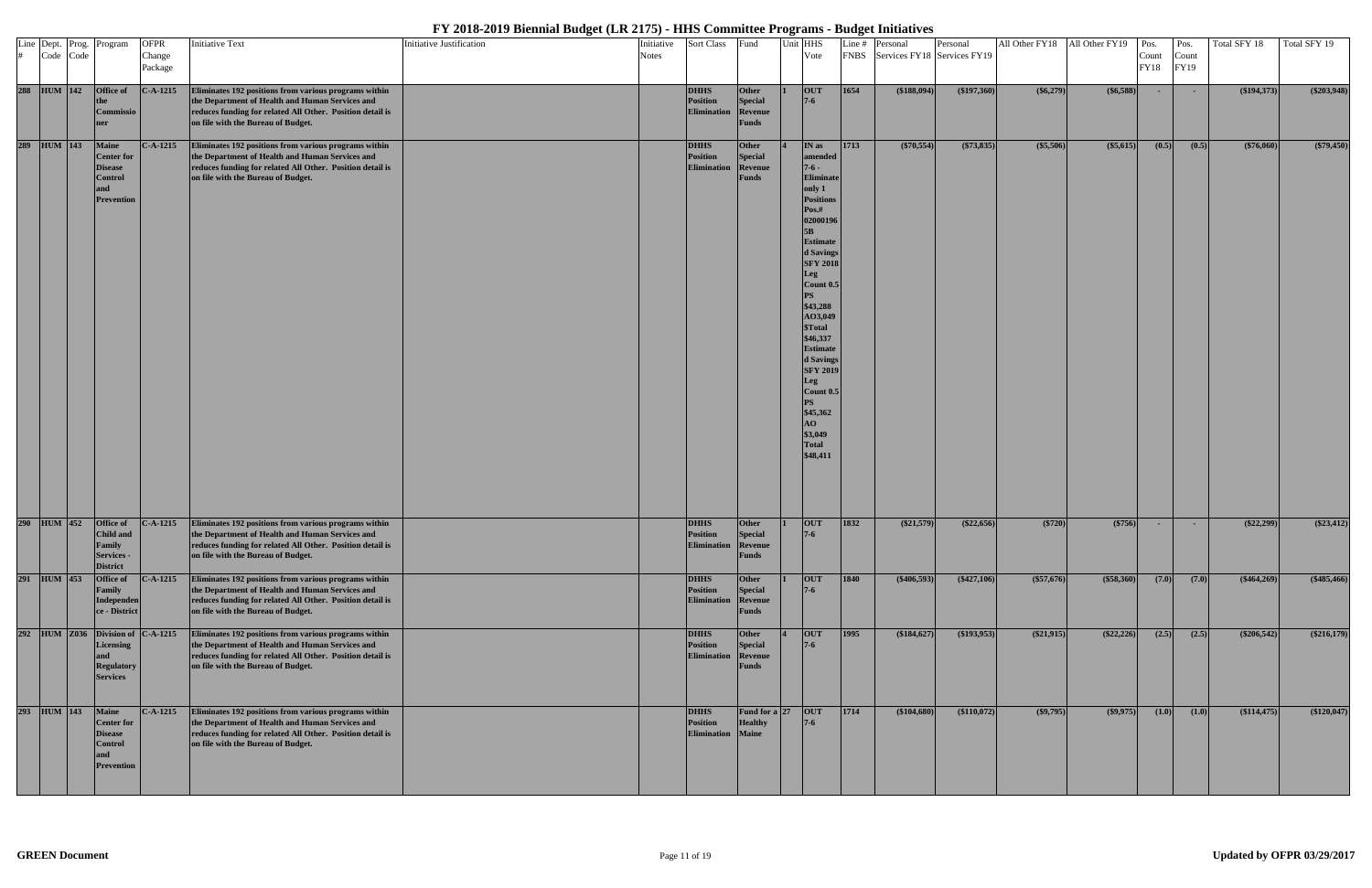| # Code Code  | Line Dept. Prog. Program                                                                          | <b>OFPR</b><br>Change<br>Package | <b>Initiative Text</b>                                                                                                                                                                                      | Initiative Justification | Initiative<br><b>Notes</b> | <b>Sort Class</b>                                    | Fund                                               | Unit HHS | Vote                                                                                                                                                                                                                                                                                                                                                                                                             |                | Line # Personal<br>FNBS Services FY18 Services FY19 | Personal     |              | All Other FY18 All Other FY19 Pos. | Count<br>FY18 | Pos.<br>Count<br>FY19 | Total SFY 18 | Total SFY 19 |
|--------------|---------------------------------------------------------------------------------------------------|----------------------------------|-------------------------------------------------------------------------------------------------------------------------------------------------------------------------------------------------------------|--------------------------|----------------------------|------------------------------------------------------|----------------------------------------------------|----------|------------------------------------------------------------------------------------------------------------------------------------------------------------------------------------------------------------------------------------------------------------------------------------------------------------------------------------------------------------------------------------------------------------------|----------------|-----------------------------------------------------|--------------|--------------|------------------------------------|---------------|-----------------------|--------------|--------------|
| 288 HUM 142  | <b>Office of</b><br>Commissio<br>ner                                                              | $C-A-1215$                       | Eliminates 192 positions from various programs within<br>the Department of Health and Human Services and<br>reduces funding for related All Other. Position detail is<br>on file with the Bureau of Budget. |                          |                            | <b>DHHS</b><br>Position<br><b>Elimination</b>        | Other<br>Special<br>Revenue<br>Funds               |          | <b>OUT</b><br>$7 - 6$                                                                                                                                                                                                                                                                                                                                                                                            | 1654           | ( \$188,094)                                        | (\$197,360)  | (\$6,279)    | $($ \$6,588) $ $                   | $\sim$        | $\sim$                | (\$194,373)  | (\$203,948)  |
| 289 HUM 143  | <b>Maine</b><br><b>Center for</b><br><b>Disease</b><br><b>Control</b><br>and<br><b>Prevention</b> | $C-A-1215$                       | Eliminates 192 positions from various programs within<br>the Department of Health and Human Services and<br>reduces funding for related All Other. Position detail is<br>on file with the Bureau of Budget. |                          |                            | <b>DHHS</b><br><b>Position</b><br><b>Elimination</b> | Other<br><b>Special</b><br>Revenue<br>Funds        |          | IN as<br>amended<br>$7-6-$<br>Eliminate<br>only 1<br><b>Positions</b><br>Pos.#<br>02000196<br>5B<br><b>Estimate</b><br>d Savings<br><b>SFY 2018</b><br><b>Leg</b><br>$\lfloor$ Count 0.5 $\rfloor$<br>PS<br>\$43,288<br>AO3,049<br>\$Total<br>\$46,337<br><b>Estimate</b><br>d Savings<br><b>SFY 2019</b><br>Leg<br>$\lfloor$ Count 0.5 $\rfloor$<br><b>PS</b><br>\$45,362<br>AO<br>\$3,049<br>Total<br>\$48,411 | 1713           | (\$70,554)                                          | (\$73,835)   | (\$5,506)    | (\$5,615)                          | (0.5)         | (0.5)                 | $(*76,060)$  | (\$79,450)   |
| 290 HUM 452  | Office of<br>Child and<br>Family<br>Services -<br><b>District</b>                                 | $C-A-1215$                       | Eliminates 192 positions from various programs within<br>the Department of Health and Human Services and<br>reduces funding for related All Other. Position detail is<br>on file with the Bureau of Budget. |                          |                            | <b>DHHS</b><br>Position<br><b>Elimination</b>        | <b>Other</b><br>Special<br>Revenue<br><b>Funds</b> |          | <b>OUT</b><br>$7-6$                                                                                                                                                                                                                                                                                                                                                                                              | 1832           | $(\$21,579)$                                        | (\$22,656)   | (\$720)      | (\$756)                            | $\sim$        | $\sim$                | $(\$22,299)$ | $(\$23,412)$ |
| 291 HUM 453  | Office of<br><b>Family</b><br>Independen<br>ce - District                                         | $C-A-1215$                       | Eliminates 192 positions from various programs within<br>the Department of Health and Human Services and<br>reduces funding for related All Other. Position detail is<br>on file with the Bureau of Budget. |                          |                            | <b>DHHS</b><br><b>Position</b><br>Elimination        | <b>Other</b><br><b>Special</b><br>Revenue<br>Funds |          | <b>OUT</b>                                                                                                                                                                                                                                                                                                                                                                                                       | $\boxed{1840}$ | ( \$406,593)                                        | $(*427,106)$ | $(*57,676)$  | (\$58,360)                         | (7.0)         | (7.0)                 | $(*464,269)$ | $(*485,466)$ |
| 292 HUM Z036 | Division of C-A-1215<br>Licensing<br><b>Regulatory</b><br><b>Services</b>                         |                                  | Eliminates 192 positions from various programs within<br>the Department of Health and Human Services and<br>reduces funding for related All Other. Position detail is<br>on file with the Bureau of Budget. |                          |                            | <b>DHHS</b><br><b>Position</b><br><b>Elimination</b> | <b>Other</b><br><b>Special</b><br>Revenue<br>Funds |          | <b>OUT</b><br>$7 - 6$                                                                                                                                                                                                                                                                                                                                                                                            | 1995           | \$184,627                                           | (193, 953)   | $(\$21,915)$ | $(*22,226)$                        | (2.5)         | (2.5)                 | (\$206,542)  | (\$216,179)  |
| 293 HUM 143  | <b>Maine</b><br><b>Center for</b><br><b>Disease</b><br><b>Control</b><br><b>Prevention</b>        | $C-A-1215$                       | Eliminates 192 positions from various programs within<br>the Department of Health and Human Services and<br>reduces funding for related All Other. Position detail is<br>on file with the Bureau of Budget. |                          |                            | <b>DHHS</b><br>Position<br>Elimination Maine         | Fund for a $ 27 $<br><b>Healthy</b>                |          | OUT<br>$7 - 6$                                                                                                                                                                                                                                                                                                                                                                                                   | 1714           | (\$104,680)                                         | (\$110,072)  | $(\$9,795)$  | $($ \$9,975)                       | (1.0)         | (1.0)                 | (\$114,475)  | (\$120,047)  |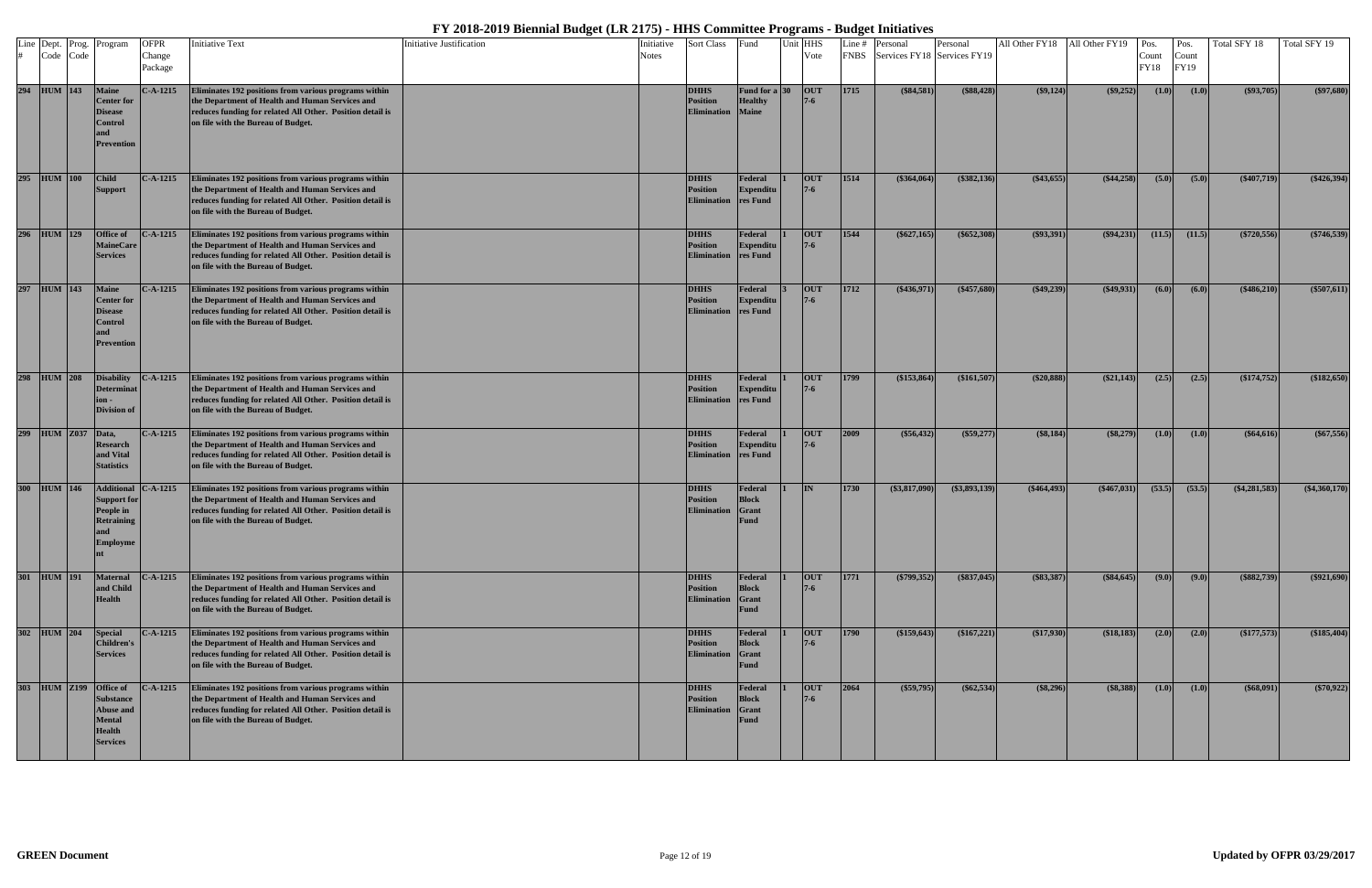|     | Line Dept. Prog.<br>Code Code | Program                                                                                                       | <b>OFPR</b><br>Change<br>Package | <b>Initiative Text</b>                                                                                                                                                                                      | <b>Initiative Justification</b> | Initiative<br>Notes | <b>Sort Class</b>                                    | Fund                                                   | Jnit HHS<br>Vote      | Line $#$<br><b>FNBS</b> | Personal<br>Services FY18 Services FY19 | Personal        |               | All Other FY18 All Other FY19 Pos. | Count<br><b>FY18</b> | Pos.<br>Count<br>FY19 | Total SFY 18    | Total SFY 19   |
|-----|-------------------------------|---------------------------------------------------------------------------------------------------------------|----------------------------------|-------------------------------------------------------------------------------------------------------------------------------------------------------------------------------------------------------------|---------------------------------|---------------------|------------------------------------------------------|--------------------------------------------------------|-----------------------|-------------------------|-----------------------------------------|-----------------|---------------|------------------------------------|----------------------|-----------------------|-----------------|----------------|
|     | 294 HUM 143                   | <b>Maine</b><br><b>Center for</b><br><b>Disease</b><br>Control<br><b>Prevention</b>                           | $C-A-1215$                       | Eliminates 192 positions from various programs within<br>the Department of Health and Human Services and<br>reduces funding for related All Other. Position detail is<br>on file with the Bureau of Budget. |                                 |                     | <b>DHHS</b><br><b>Position</b><br><b>Elimination</b> | <b>Fund for a 30</b><br><b>Healthy</b><br><b>Maine</b> | OUT<br>$7 - 6$        | 1715                    | $(\$84,581)$                            | (\$88,428)      | (\$9,124)     | $($ \$9,252) $ $                   | (1.0)                | (1.0)                 | $(\$93,705)$    | $(\$97,680)$   |
|     | 295 HUM 100                   | <b>Child</b><br><b>Support</b>                                                                                | $C-A-1215$                       | Eliminates 192 positions from various programs within<br>the Department of Health and Human Services and<br>reduces funding for related All Other. Position detail is<br>on file with the Bureau of Budget. |                                 |                     | <b>DHHS</b><br><b>Position</b><br><b>Elimination</b> | Federal<br>Expenditu<br>res Fund                       | <b>OUT</b>            | 1514                    | (\$364,064)                             | (\$382,136)     | $(\$43,655)$  | (\$44,258)                         | (5.0)                | (5.0)                 | $(*407,719)$    | $(*426,394)$   |
| 296 | <b>HUM</b> 129                | Office of<br><b>MaineCare</b><br><b>Services</b>                                                              | $C-A-1215$                       | Eliminates 192 positions from various programs within<br>the Department of Health and Human Services and<br>reduces funding for related All Other. Position detail is<br>on file with the Bureau of Budget. |                                 |                     | <b>DHHS</b><br>Position<br><b>Elimination</b>        | Federal<br><b>Expenditu</b><br>res Fund                | <b>OUT</b>            | 1544                    | $(\$627,165)$                           | $(*652,308)$    | $($ \$93,391) | (\$94,231)                         | (11.5)               | (11.5)                | $(*720,556)$    | $(*746,539)$   |
|     | 297 HUM 143                   | <b>Maine</b><br><b>Center for</b><br><b>Disease</b><br><b>Control</b><br>and<br><b>Prevention</b>             | $C-A-1215$                       | Eliminates 192 positions from various programs within<br>the Department of Health and Human Services and<br>reduces funding for related All Other. Position detail is<br>on file with the Bureau of Budget. |                                 |                     | <b>DHHS</b><br><b>Position</b><br><b>Elimination</b> | Federal<br>Expenditu<br>res Fund                       | <b>OUT</b><br>$7 - 6$ | 1712                    | $(*436,971)$                            | $(\$457,680)$   | $(\$49,239)$  | (\$49,931)                         | (6.0)                | (6.0)                 | (\$486,210)     | $(\$507,611)$  |
| 298 | <b>HUM</b> 208                | <b>Disability</b><br><b>Determinat</b><br>$on -$<br><b>Division of</b>                                        | $C-A-1215$                       | Eliminates 192 positions from various programs within<br>the Department of Health and Human Services and<br>reduces funding for related All Other. Position detail is<br>on file with the Bureau of Budget. |                                 |                     | <b>DHHS</b><br><b>Position</b><br><b>Elimination</b> | Federal<br><b>Expenditu</b><br>res Fund                | <b>OUT</b>            | <b>1799</b>             | (\$153,864)                             | (\$161,507)     | (\$20,888)    | (\$21,143)                         | (2.5)                | (2.5)                 | $(*174,752)$    | (\$182,650)    |
| 299 | $HUM$ $Z037$                  | Data,<br><b>Research</b><br>and Vital<br><b>Statistics</b>                                                    | $C-A-1215$                       | Eliminates 192 positions from various programs within<br>the Department of Health and Human Services and<br>reduces funding for related All Other. Position detail is<br>on file with the Bureau of Budget. |                                 |                     | <b>DHHS</b><br><b>Position</b><br><b>Elimination</b> | Federal<br>Expenditu<br>res Fund                       | <b>OUT</b>            | 2009                    | (\$56,432)                              | (\$59,277)      | (\$8,184)     | (\$8,279)                          | (1.0)                | (1.0)                 | (\$64,616)      | $(\$67,556)$   |
| 300 | $HUM$ 146                     | <b>Support for</b><br>People in<br><b>Retraining</b><br>and<br>Employme                                       | Additional C-A-1215              | Eliminates 192 positions from various programs within<br>the Department of Health and Human Services and<br>reduces funding for related All Other. Position detail is<br>on file with the Bureau of Budget. |                                 |                     | <b>DHHS</b><br><b>Position</b><br><b>Elimination</b> | Federal<br><b>Block</b><br>Grant<br><b>Fund</b>        | IN                    | 1730                    | (\$3,817,090)                           | $(\$3,893,139)$ | $(\$464,493)$ | $(*467,031)$                       | (53.5)               | (53.5)                | $(\$4,281,583)$ | $(*4,360,170)$ |
| 301 | <b>HUM</b> 191                | <b>Maternal</b><br>and Child<br><b>Health</b>                                                                 | $C-A-1215$                       | Eliminates 192 positions from various programs within<br>the Department of Health and Human Services and<br>reduces funding for related All Other. Position detail is<br>on file with the Bureau of Budget. |                                 |                     | <b>DHHS</b><br><b>Position</b><br><b>Elimination</b> | Federal<br><b>Block</b><br>Grant<br>Fund               | <b>OUT</b><br>$7 - 6$ | 1771                    | $(*799,352)$                            | $($ \$837,045)  | (\$83,387)    | $($ \$84,645) $ $                  | (9.0)                | (9.0)                 | $($ \$882,739)  | $(\$921,690)$  |
|     | 302 HUM 204                   | <b>Special</b><br><b>Children's</b><br><b>Services</b>                                                        | $C-A-1215$                       | Eliminates 192 positions from various programs within<br>the Department of Health and Human Services and<br>reduces funding for related All Other. Position detail is<br>on file with the Bureau of Budget. |                                 |                     | <b>DHHS</b><br><b>Position</b><br><b>Elimination</b> | Federal<br><b>Block</b><br>Grant<br><b>Fund</b>        | <b>OUT</b><br>$7 - 6$ | $\boxed{1790}$          | (\$159,643)                             | (\$167,221)     | (\$17,930)    | (\$18,183)                         | (2.0)                | (2.0)                 | $(*177,573)$    | (\$185,404)    |
| 303 | $HUM$ $Z199$                  | <b>Office of</b><br><b>Substance</b><br><b>Abuse and</b><br><b>Mental</b><br><b>Health</b><br><b>Services</b> | $C-A-1215$                       | Eliminates 192 positions from various programs within<br>the Department of Health and Human Services and<br>reduces funding for related All Other. Position detail is<br>on file with the Bureau of Budget. |                                 |                     | <b>DHHS</b><br><b>Position</b><br><b>Elimination</b> | Federal<br><b>Block</b><br>Grant<br><b>Fund</b>        | <b>OUT</b><br>$7 - 6$ | 2064                    | $(*59,795)$                             | $(\$62,534)$    | (\$8,296)     | (\$8,388)                          | (1.0)                | (1.0)                 | (\$68,091)      | $(*70,922)$    |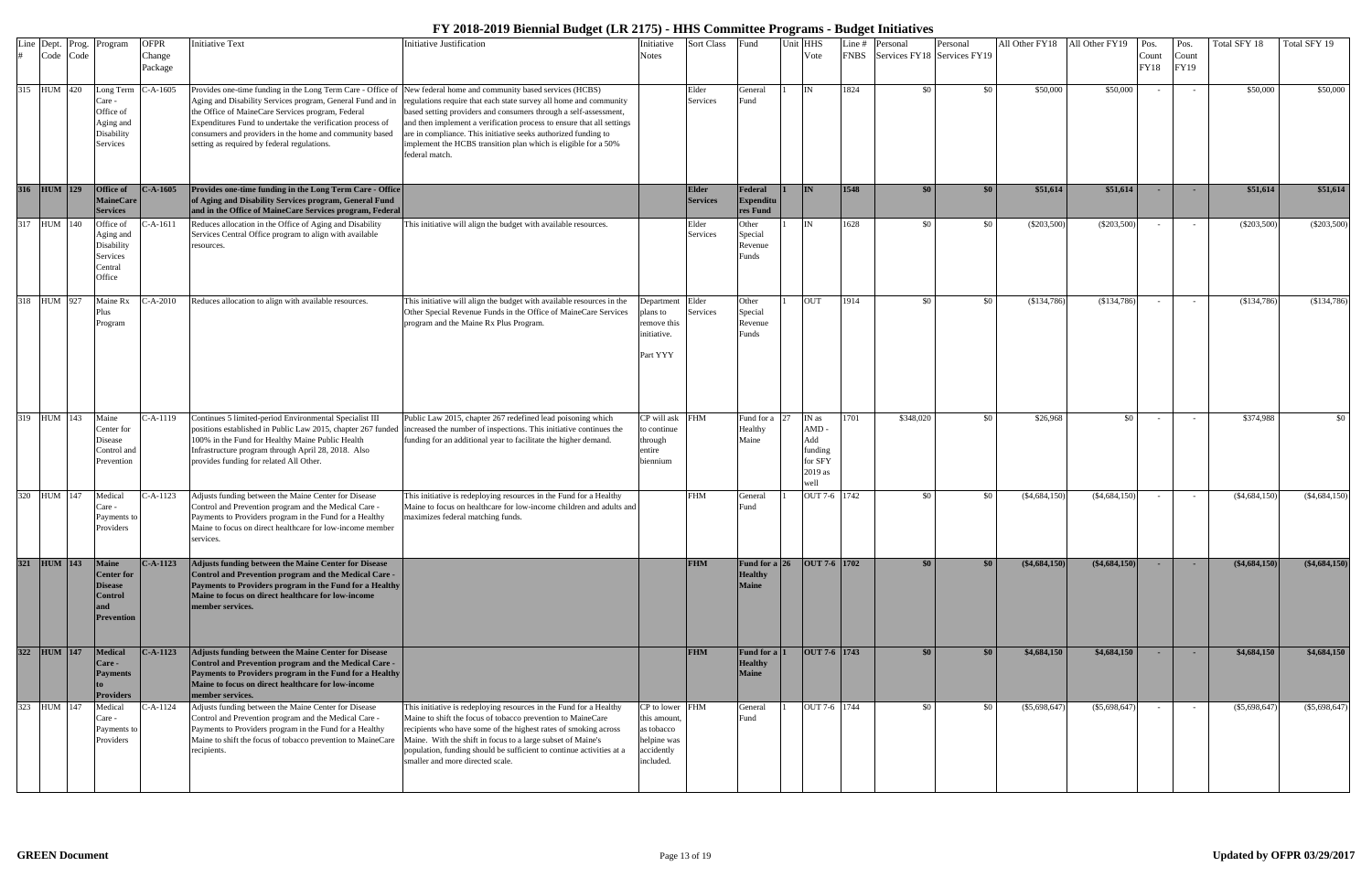|  | Line Dept. Prog.<br>Code Code | Program                                                                                    | <b>OFPR</b><br>Change<br>Package | <b>Initiative Text</b>                                                                                                                                                                                                                                                                                                                                                                                      | Initiative Justification                                                                                                                                                                                                                                                                                                                                                        | Initiative<br>Notes                                                                     | Sort Class                      | Fund                                                    | Unit HHS<br>Vote                                              | Line # | Personal<br>FNBS Services FY18 Services FY19 | Personal | All Other FY18 All Other FY19 |                 | Pos.<br>Count<br><b>FY18</b> | Pos.<br>Count<br>FY19 | Total SFY 18    | Total SFY 19    |
|--|-------------------------------|--------------------------------------------------------------------------------------------|----------------------------------|-------------------------------------------------------------------------------------------------------------------------------------------------------------------------------------------------------------------------------------------------------------------------------------------------------------------------------------------------------------------------------------------------------------|---------------------------------------------------------------------------------------------------------------------------------------------------------------------------------------------------------------------------------------------------------------------------------------------------------------------------------------------------------------------------------|-----------------------------------------------------------------------------------------|---------------------------------|---------------------------------------------------------|---------------------------------------------------------------|--------|----------------------------------------------|----------|-------------------------------|-----------------|------------------------------|-----------------------|-----------------|-----------------|
|  | 315 HUM 420                   | Long Term<br>Care -<br>Office of<br>Aging and<br>Disability<br>Services                    | $C-A-1605$                       | Provides one-time funding in the Long Term Care - Office of New federal home and community based services (HCBS)<br>Aging and Disability Services program, General Fund and in<br>the Office of MaineCare Services program, Federal<br>Expenditures Fund to undertake the verification process of<br>consumers and providers in the home and community based<br>setting as required by federal regulations. | regulations require that each state survey all home and community<br>based setting providers and consumers through a self-assessment,<br>and then implement a verification process to ensure that all settings<br>are in compliance. This initiative seeks authorized funding to<br>implement the HCBS transition plan which is eligible for a 50%<br>federal match.            |                                                                                         | Elder<br>Services               | General<br>Fund                                         | IN                                                            | 1824   | \$0                                          | \$0      | \$50,000                      | \$50,000        |                              |                       | \$50,000        | \$50,000        |
|  | 316 HUM 129                   | Office of<br><b>MaineCare</b><br><b>Services</b>                                           | $C-A-1605$                       | Provides one-time funding in the Long Term Care - Office<br>of Aging and Disability Services program, General Fund<br>and in the Office of MaineCare Services program, Federal                                                                                                                                                                                                                              |                                                                                                                                                                                                                                                                                                                                                                                 |                                                                                         | <b>Elder</b><br><b>Services</b> | Federal<br>Expenditu<br>res Fund                        | <b>IN</b>                                                     | 1548   | \$0                                          | \$0      | \$51,614                      | \$51,614        |                              |                       | \$51,614        | \$51,614        |
|  | 317 HUM 140                   | Office of<br>Aging and<br>Disability<br>Services<br>Central<br>Office                      | $-A-1611$                        | Reduces allocation in the Office of Aging and Disability<br>Services Central Office program to align with available<br>resources.                                                                                                                                                                                                                                                                           | This initiative will align the budget with available resources.                                                                                                                                                                                                                                                                                                                 |                                                                                         | Elder<br>Services               | <b>Other</b><br>Special<br>Revenue<br>unds <sup>?</sup> | IN                                                            | 1628   | \$0                                          | \$0      | $(\$203,500)$                 | $(\$203,500)$   |                              |                       | $(\$203,500)$   | (\$203,500)     |
|  | 318 HUM 927                   | Maine Rx<br>Plus<br>Program                                                                | $- A - 2010$                     | Reduces allocation to align with available resources.                                                                                                                                                                                                                                                                                                                                                       | This initiative will align the budget with available resources in the<br>Other Special Revenue Funds in the Office of MaineCare Services<br>program and the Maine Rx Plus Program.                                                                                                                                                                                              | Department Elder<br>plans to<br>remove this<br>initiative.<br>Part YYY                  | Services                        | Other<br>Special<br>Revenue<br>Funds                    | <b>OUT</b>                                                    | 1914   | \$0                                          | \$0      | $(\$134,786)$                 | (\$134,786)     |                              |                       | (\$134,786)     | (\$134,786)     |
|  | 319 HUM 143                   | Maine<br>Center for<br>Disease<br>Control and<br>Prevention                                | -A-1119                          | Continues 5 limited-period Environmental Specialist III<br>positions established in Public Law 2015, chapter 267 funded<br>100% in the Fund for Healthy Maine Public Health<br>Infrastructure program through April 28, 2018. Also<br>provides funding for related All Other.                                                                                                                               | Public Law 2015, chapter 267 redefined lead poisoning which<br>increased the number of inspections. This initiative continues the<br>funding for an additional year to facilitate the higher demand.                                                                                                                                                                            | CP will ask<br>to continue<br>through<br>entire<br>biennium                             | <b>FHM</b>                      | Fund for a<br>Healthy<br>Maine                          | IN as<br>AMD-<br>Add<br>funding<br>for SFY<br>2019 as<br>well | 1701   | \$348,020                                    | \$0      | \$26,968                      | \$0             |                              |                       | \$374,988       | \$0             |
|  | 320 HUM 147                   | Medical<br>Care -<br>Payments to<br>Providers                                              | C-A-1123                         | Adjusts funding between the Maine Center for Disease<br>Control and Prevention program and the Medical Care -<br>Payments to Providers program in the Fund for a Healthy<br>Maine to focus on direct healthcare for low-income member<br>services.                                                                                                                                                          | This initiative is redeploying resources in the Fund for a Healthy<br>Maine to focus on healthcare for low-income children and adults and<br>maximizes federal matching funds.                                                                                                                                                                                                  |                                                                                         | <b>FHM</b>                      | General<br>≀und                                         | OUT 7-6 1742                                                  |        | \$0                                          | \$0      | $(\$4,684,150$                | $(\$4,684,150)$ |                              |                       | $(\$4,684,150)$ | $(\$4,684,150)$ |
|  | 321 HUM 143                   | <b>Maine</b><br><b>Center for</b><br><b>Disease</b><br><b>Control</b><br><b>Prevention</b> | $C-A-1123$                       | Adjusts funding between the Maine Center for Disease<br>Control and Prevention program and the Medical Care -<br>Payments to Providers program in the Fund for a Healthy<br>Maine to focus on direct healthcare for low-income<br>member services.                                                                                                                                                          |                                                                                                                                                                                                                                                                                                                                                                                 |                                                                                         | <b>FHM</b>                      | Fund for a 26<br><b>Healthy</b><br><b>Maine</b>         | OUT 7-6 1702                                                  |        | \$0                                          | \$0      | $(*4,684,150)$                | ( \$4,684,150)  | <b>COL</b>                   |                       | $(*4,684,150)$  | $(*4,684,150)$  |
|  | 322 HUM 147                   | Medical<br>Care -<br><b>Payments</b><br><b>Providers</b>                                   | $C-A-1123$                       | <b>Adjusts funding between the Maine Center for Disease</b><br>Control and Prevention program and the Medical Care -<br>Payments to Providers program in the Fund for a Healthy<br>Maine to focus on direct healthcare for low-income<br>member services.                                                                                                                                                   |                                                                                                                                                                                                                                                                                                                                                                                 |                                                                                         | <b>FHM</b>                      | <b>Fund for a</b><br><b>Healthy</b><br><b>Maine</b>     | OUT 7-6 1743                                                  |        | \$0                                          | \$0      | \$4,684,150                   | \$4,684,150     |                              |                       | \$4,684,150     | \$4,684,150     |
|  | 323 HUM 147                   | Medical<br>Care -<br>Payments to<br>Providers                                              | C-A-1124                         | Adjusts funding between the Maine Center for Disease<br>Control and Prevention program and the Medical Care -<br>Payments to Providers program in the Fund for a Healthy<br>Maine to shift the focus of tobacco prevention to MaineCare<br>recipients.                                                                                                                                                      | This initiative is redeploying resources in the Fund for a Healthy<br>Maine to shift the focus of tobacco prevention to MaineCare<br>recipients who have some of the highest rates of smoking across<br>Maine. With the shift in focus to a large subset of Maine's<br>population, funding should be sufficient to continue activities at a<br>smaller and more directed scale. | CP to lower FHM<br>this amount.<br>as tobacco<br>helpine was<br>accidently<br>included. |                                 | General<br>Fund                                         | OUT 7-6 1744                                                  |        | \$0                                          | - \$0    | (\$5,698,647)                 | $(\$5,698,647)$ |                              |                       | $(\$5,698,647)$ | (\$5,698,647)   |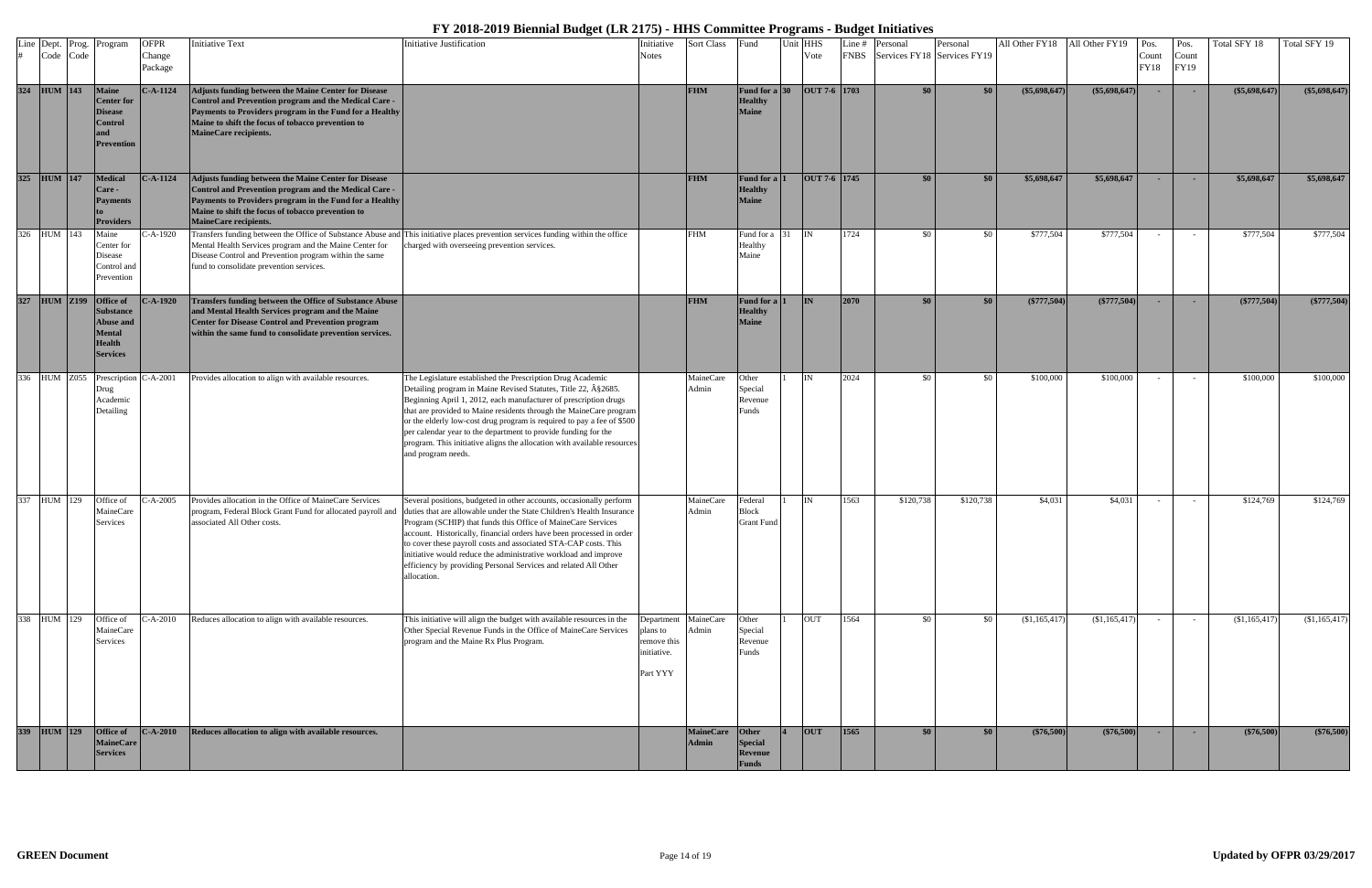| Code Code    | Line Dept. Prog. Program                                                                        | <b>OFPR</b><br>Change<br>Package | <b>Initiative Text</b>                                                                                                                                                                                                                                        | <b>Initiative Justification</b>                                                                                                                                                                                                                                                                                                                                                                                                                                                                                    | nitiative<br>Notes                                                         | Sort Class                       | Fund                                                   | Unit HHS<br>Vote             | Line # | Personal<br>FNBS Services FY18 Services FY19 | Personal         |                 | All Other FY18 All Other FY19 Pos. | Count<br><b>FY18</b> | Pos.<br>Count<br>FY19 | Total SFY 18    | Total SFY 19    |
|--------------|-------------------------------------------------------------------------------------------------|----------------------------------|---------------------------------------------------------------------------------------------------------------------------------------------------------------------------------------------------------------------------------------------------------------|--------------------------------------------------------------------------------------------------------------------------------------------------------------------------------------------------------------------------------------------------------------------------------------------------------------------------------------------------------------------------------------------------------------------------------------------------------------------------------------------------------------------|----------------------------------------------------------------------------|----------------------------------|--------------------------------------------------------|------------------------------|--------|----------------------------------------------|------------------|-----------------|------------------------------------|----------------------|-----------------------|-----------------|-----------------|
| 324 HUM 143  | <b>Maine</b><br><b>Center for</b><br><b>Disease</b><br><b>Control</b><br><b>Prevention</b>      | $C-A-1124$                       | Adjusts funding between the Maine Center for Disease<br>Control and Prevention program and the Medical Care -<br>Payments to Providers program in the Fund for a Healthy<br>Maine to shift the focus of tobacco prevention to<br><b>MaineCare recipients.</b> |                                                                                                                                                                                                                                                                                                                                                                                                                                                                                                                    |                                                                            | <b>FHM</b>                       | <b>Fund for a 30</b><br><b>Healthy</b><br><b>Maine</b> | $\vert$ OUT 7-6 $\vert$ 1703 |        | \$0\$                                        | \$0              | $(\$5,698,647)$ | $(\$5,698,647)$                    |                      |                       | $(\$5,698,647)$ | $(\$5,698,647)$ |
| 325 HUM 147  | <b>Medical</b><br>Care -<br><b>Payments</b><br><b>Providers</b>                                 | $C-A-1124$                       | Adjusts funding between the Maine Center for Disease<br>Control and Prevention program and the Medical Care -<br>Payments to Providers program in the Fund for a Healthy<br>Maine to shift the focus of tobacco prevention to<br>MaineCare recipients.        |                                                                                                                                                                                                                                                                                                                                                                                                                                                                                                                    |                                                                            | <b>FHM</b>                       | <b>Fund for a</b><br><b>Healthy</b><br><b>Maine</b>    | OUT 7-6 1745                 |        | \$0                                          | \$0              | \$5,698,647     | \$5,698,647                        |                      |                       | \$5,698,647     | \$5,698,647     |
| 326 HUM 143  | Maine<br>Center for<br>Disease<br>Control and<br>Prevention                                     | $C-A-1920$                       | Mental Health Services program and the Maine Center for<br>Disease Control and Prevention program within the same<br>fund to consolidate prevention services.                                                                                                 | Transfers funding between the Office of Substance Abuse and This initiative places prevention services funding within the office<br>charged with overseeing prevention services.                                                                                                                                                                                                                                                                                                                                   |                                                                            | <b>FHM</b>                       | Fund for a 31<br>Healthy<br>Maine                      | IIN                          | 1724   | \$0                                          | \$0              | \$777,504       | \$777,504                          |                      | $\sim$                | \$777,504       | \$777,504       |
| 327 HUM Z199 | <b>Office</b> of<br>Substance<br><b>Abuse and</b><br><b>Mental</b><br>Health<br><b>Services</b> | $- A - 1920$                     | Transfers funding between the Office of Substance Abuse<br>and Mental Health Services program and the Maine<br>Center for Disease Control and Prevention program<br>within the same fund to consolidate prevention services.                                  |                                                                                                                                                                                                                                                                                                                                                                                                                                                                                                                    |                                                                            | <b>FHM</b>                       | Fund for a<br><b>Healthy</b><br><b>Maine</b>           | <b>IN</b>                    | 2070   | \$0                                          | \$0              | $(\$777,504)$   | $(*777,504)$                       |                      |                       | (\$777,504)     | $(\$777,504)$   |
| 336 HUM Z055 | Prescription (<br>Drug<br>Academic<br>Detailing                                                 | $- A - 2001$                     | Provides allocation to align with available resources.                                                                                                                                                                                                        | The Legislature established the Prescription Drug Academic<br>Detailing program in Maine Revised Statutes, Title 22, §2685.<br>Beginning April 1, 2012, each manufacturer of prescription drugs<br>that are provided to Maine residents through the MaineCare program<br>or the elderly low-cost drug program is required to pay a fee of \$500<br>per calendar year to the department to provide funding for the<br>program. This initiative aligns the allocation with available resources<br>and program needs. |                                                                            | MaineCare<br>Admin               | Other<br>Special<br>Revenue<br>unds <sup>?</sup>       | <b>IN</b>                    | 2024   | \$0                                          | \$0              | \$100,000       | \$100,000                          |                      |                       | \$100,000       | \$100,000       |
| 337 HUM 129  | Office of<br>MaineCare<br>Services                                                              | $C-A-2005$                       | Provides allocation in the Office of MaineCare Services<br>program, Federal Block Grant Fund for allocated payroll and<br>associated All Other costs.                                                                                                         | Several positions, budgeted in other accounts, occasionally perform<br>duties that are allowable under the State Children's Health Insurance<br>Program (SCHIP) that funds this Office of MaineCare Services<br>account. Historically, financial orders have been processed in order<br>to cover these payroll costs and associated STA-CAP costs. This<br>initiative would reduce the administrative workload and improve<br>efficiency by providing Personal Services and related All Other<br>allocation.       |                                                                            | MaineCare<br>Admin               | Federal<br><b>Block</b><br><b>Grant Fund</b>           | <b>IN</b>                    | 1563   | \$120,738                                    | \$120,738        | \$4,031         | \$4,031                            |                      |                       | \$124,769       | \$124,769       |
| 338 HUM 129  | Office of<br>MaineCare<br>Services                                                              | $C-A-2010$                       | Reduces allocation to align with available resources.                                                                                                                                                                                                         | This initiative will align the budget with available resources in the<br>Other Special Revenue Funds in the Office of MaineCare Services<br>program and the Maine Rx Plus Program.                                                                                                                                                                                                                                                                                                                                 | Department MaineCare<br>plans to<br>remove this<br>initiative.<br>Part YYY | Admin                            | Other<br>Special<br>Revenue<br>Funds                   | OUT                          | 1564   | \$0                                          | \$0              | (\$1,165,417)   | (\$1,165,417)                      |                      |                       | (\$1,165,417)   | (\$1,165,417)   |
| 339 HUM 129  | Office of<br><b>MaineCare</b><br><b>Services</b>                                                | $C-A-2010$                       | Reduces allocation to align with available resources.                                                                                                                                                                                                         |                                                                                                                                                                                                                                                                                                                                                                                                                                                                                                                    |                                                                            | <b>MaineCare</b><br><b>Admin</b> | Other<br><b>Special</b><br>Revenue<br>Funds            | <b>OUT</b>                   | 1565   | \$0                                          | \$0 <sub>1</sub> | $(*76,500)$     | (\$76,500)                         |                      | <b>COL</b>            | $(*76,500)$     | (\$76,500)      |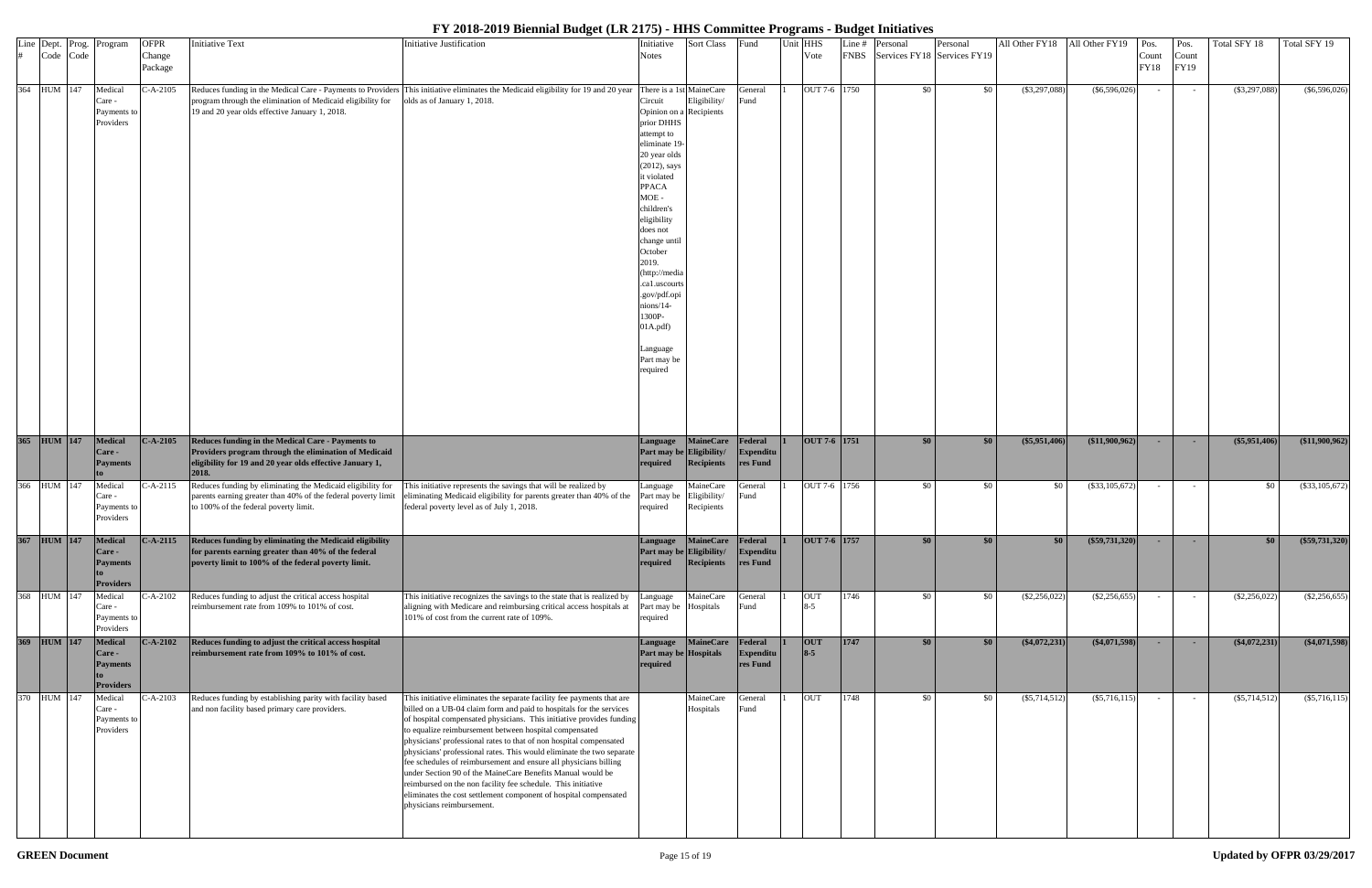| Line Dept. Prog.<br>Code Code | Program                                                              | <b>OFPR</b><br>Change<br>Package | <b>Initiative Text</b>                                                                                                                                                          | <b>Initiative Justification</b>                                                                                                                                                                                                                                                                                                                                                                                                                                                                                                                                                                                                                                                                                                   | Initiative<br>Notes                                                                                                                                                                                                                                                                                                                                                | Sort Class                              | Fund                                    | Unit HHS<br>Vote      | Line # | Personal<br>FNBS Services FY18 Services FY19 | Personal | All Other FY18 All Other FY19 Pos. |                       | Count<br>FY18 | Pos.<br>Count<br>FY19 | Total SFY 18    | Total SFY 19    |
|-------------------------------|----------------------------------------------------------------------|----------------------------------|---------------------------------------------------------------------------------------------------------------------------------------------------------------------------------|-----------------------------------------------------------------------------------------------------------------------------------------------------------------------------------------------------------------------------------------------------------------------------------------------------------------------------------------------------------------------------------------------------------------------------------------------------------------------------------------------------------------------------------------------------------------------------------------------------------------------------------------------------------------------------------------------------------------------------------|--------------------------------------------------------------------------------------------------------------------------------------------------------------------------------------------------------------------------------------------------------------------------------------------------------------------------------------------------------------------|-----------------------------------------|-----------------------------------------|-----------------------|--------|----------------------------------------------|----------|------------------------------------|-----------------------|---------------|-----------------------|-----------------|-----------------|
| 364 HUM 147                   | Medical<br>Care -<br>Payments to<br>Providers                        | $C-A-2105$                       | program through the elimination of Medicaid eligibility for<br>19 and 20 year olds effective January 1, 2018.                                                                   | Reduces funding in the Medical Care - Payments to Providers This initiative eliminates the Medicaid eligibility for 19 and 20 year There is a 1st MaineCare<br>olds as of January 1, 2018.                                                                                                                                                                                                                                                                                                                                                                                                                                                                                                                                        | Circuit<br>Opinion on a Recipients<br>prior DHHS<br>attempt to<br>eliminate 19<br>20 year olds<br>$(2012)$ , says<br>it violated<br><b>PPACA</b><br>$MOE -$<br>children's<br>eligibility<br>does not<br>change until<br>October<br>2019.<br>(http://media<br>ca1.uscourts<br>.gov/pdf.opi<br>nions/14-<br>1300P-<br>01A.pdf<br>Language<br>Part may be<br>required | Eligibility/                            | General<br><sup>7</sup> und             | OUT 7-6 1750          |        | \$0                                          | \$0      | $(\$3,297,088)$                    | $(\$6,596,026)$       |               |                       | $(\$3,297,088)$ | $(\$6,596,026)$ |
| 365 HUM 147                   | Medical<br>Care -<br><b>Payments</b>                                 | $C-A-2105$                       | Reduces funding in the Medical Care - Payments to<br>Providers program through the elimination of Medicaid<br>eligibility for 19 and 20 year olds effective January 1,<br>2018. |                                                                                                                                                                                                                                                                                                                                                                                                                                                                                                                                                                                                                                                                                                                                   | Language<br>Part may be Eligibility/<br>required                                                                                                                                                                                                                                                                                                                   | <b>MaineCare</b><br>Recipients          | Federal<br>Expenditu<br>res Fund        | $OUT 7-6   1751$      |        | \$0 <sub>1</sub>                             | \$0      | $(\$5,951,406)$                    | $($ \$11,900,962)     |               |                       | (\$5,951,406)   | (11,900,962)    |
| 366 HUM 147                   | Medical<br>Care -<br>Payments to<br>Providers                        | C-A-2115                         | Reduces funding by eliminating the Medicaid eligibility for<br>parents earning greater than 40% of the federal poverty limit<br>to 100% of the federal poverty limit.           | This initiative represents the savings that will be realized by<br>eliminating Medicaid eligibility for parents greater than 40% of the Part may be<br>federal poverty level as of July 1, 2018.                                                                                                                                                                                                                                                                                                                                                                                                                                                                                                                                  | Language<br>required                                                                                                                                                                                                                                                                                                                                               | MaineCare<br>Eligibility/<br>Recipients | Feneral<br>und                          | OUT 7-6 1756          |        | \$0                                          | \$0      | \$0                                | (\$33,105,672)        |               |                       | \$0             | (\$33,105,672)  |
|                               | 367 HUM 147 Medical<br>Care -<br><b>Payments</b><br><b>Providers</b> |                                  | C-A-2115 Reduces funding by eliminating the Medicaid eligibility<br>for parents earning greater than 40% of the federal<br>poverty limit to 100% of the federal poverty limit.  |                                                                                                                                                                                                                                                                                                                                                                                                                                                                                                                                                                                                                                                                                                                                   | Language MaineCare<br>Part may be Eligibility/<br>required                                                                                                                                                                                                                                                                                                         | Recipients                              | Federal<br>Expenditu<br>res Fund        | $1$ OUT 7-6 1757      |        |                                              |          |                                    | $($ \$59,731,320) $ $ |               |                       |                 | (\$59,731,320)  |
| 368 HUM 147                   | Medical<br>Care -<br>Payments to<br>Providers                        | $C-A-2102$                       | Reduces funding to adjust the critical access hospital<br>reimbursement rate from 109% to 101% of cost.                                                                         | This initiative recognizes the savings to the state that is realized by<br>aligning with Medicare and reimbursing critical access hospitals at<br>101% of cost from the current rate of 109%.                                                                                                                                                                                                                                                                                                                                                                                                                                                                                                                                     | Language<br>Part may be Hospitals<br>required                                                                                                                                                                                                                                                                                                                      | MaineCare                               | Feneral<br>Fund                         | <b>OUT</b><br>$8 - 5$ | 1746   | \$0                                          | \$0      | $(\$2,256,022$                     | $(\$2,256,655)$       |               |                       | $(\$2,256,022)$ | $(\$2,256,655)$ |
| 369 HUM 147                   | <b>Medical</b><br>Care -<br><b>Payments</b><br><b>Providers</b>      | $C-A-2102$                       | Reduces funding to adjust the critical access hospital<br>reimbursement rate from 109% to 101% of cost.                                                                         |                                                                                                                                                                                                                                                                                                                                                                                                                                                                                                                                                                                                                                                                                                                                   | Language<br>Part may be Hospitals<br>required                                                                                                                                                                                                                                                                                                                      | <b>MaineCare</b>                        | Federal<br><b>Expenditu</b><br>res Fund | <b>OUT</b><br>$8 - 5$ | 1747   | \$0 <sub>1</sub>                             | \$0      | $(*4,072,231)$                     | $(\$4,071,598)$       |               | $\sim$                | $(*4,072,231)$  | ( \$4,071,598)  |
| 370 HUM 147                   | Medical<br>Care -<br>Payments to<br>Providers                        | $C-A-2103$                       | Reduces funding by establishing parity with facility based<br>and non facility based primary care providers.                                                                    | This initiative eliminates the separate facility fee payments that are<br>billed on a UB-04 claim form and paid to hospitals for the services<br>of hospital compensated physicians. This initiative provides funding<br>to equalize reimbursement between hospital compensated<br>physicians' professional rates to that of non hospital compensated<br>physicians' professional rates. This would eliminate the two separate<br>fee schedules of reimbursement and ensure all physicians billing<br>under Section 90 of the MaineCare Benefits Manual would be<br>reimbursed on the non facility fee schedule. This initiative<br>eliminates the cost settlement component of hospital compensated<br>physicians reimbursement. |                                                                                                                                                                                                                                                                                                                                                                    | MaineCare<br>Hospitals                  | General<br>Fund                         | <b>OUT</b>            | 1748   | \$0                                          | \$0      | $(\$5,714,512)$                    | $($ \$5,716,115)      |               |                       | $(\$5,714,512)$ | (\$5,716,115)   |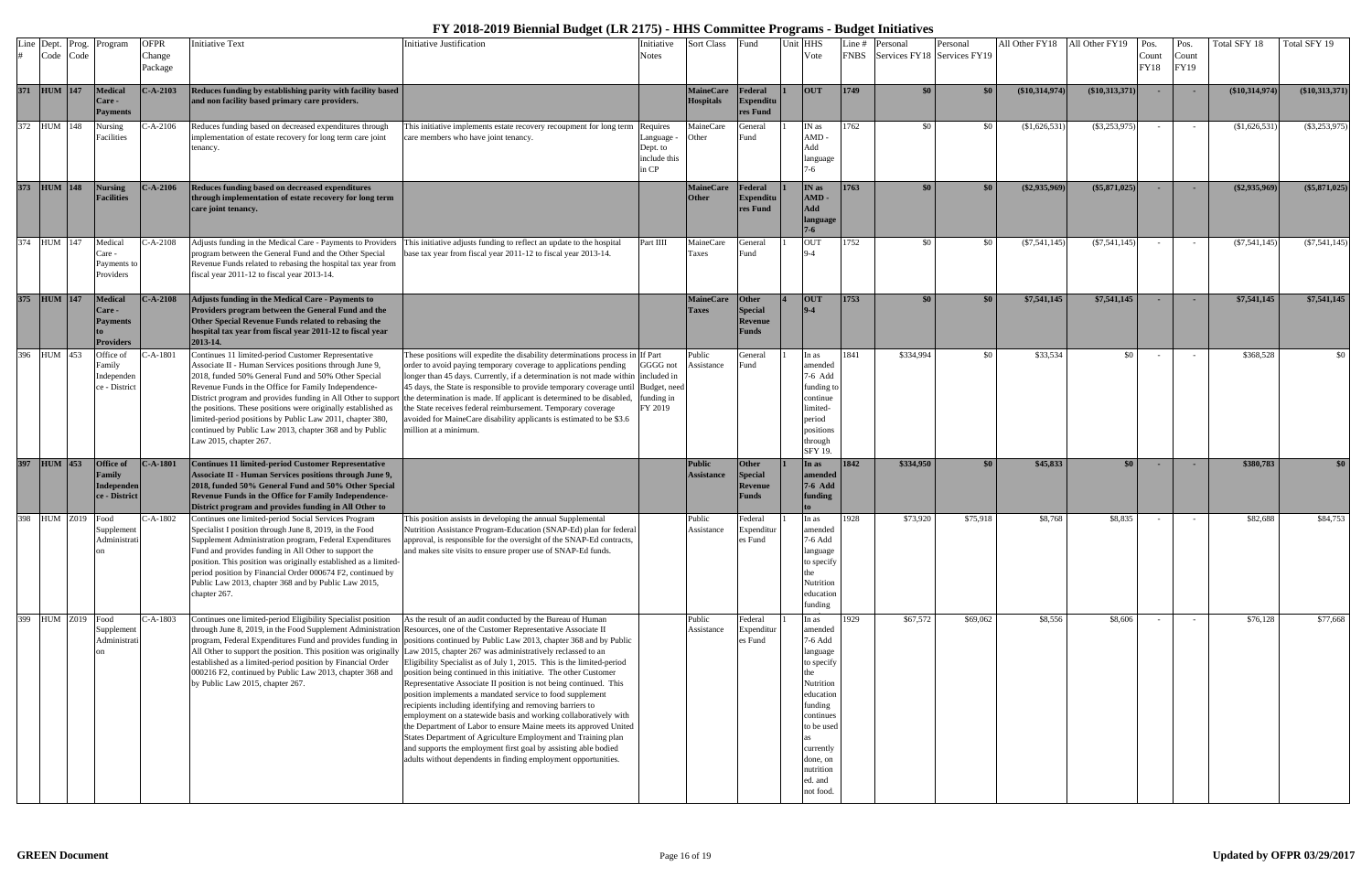| Line | Dept.<br>Code Code | Prog.             | Program                                                         | <b>OFPR</b><br>Change<br>Package | <b>Initiative Text</b>                                                                                                                                                                                                                                                                                                                                                                                                                                                                                           | <b>Initiative Justification</b>                                                                                                                                                                                                                                                                                                                                                                                                                                                                                                                                                                                                                                                                                                                                                                                                                                                      | Initiative<br>Notes                               | <b>Sort Class</b>                    | Fund                                               | Unit HHS | Vote                                                                                                                                                                                | Line $#$    | Personal<br>FNBS Services FY18 Services FY19 | Personal | All Other FY18  | All Other FY19   | Pos.<br>Count<br>FY18 | Pos.<br>Count<br>FY19 | Total SFY 18     | Total SFY 19     |
|------|--------------------|-------------------|-----------------------------------------------------------------|----------------------------------|------------------------------------------------------------------------------------------------------------------------------------------------------------------------------------------------------------------------------------------------------------------------------------------------------------------------------------------------------------------------------------------------------------------------------------------------------------------------------------------------------------------|--------------------------------------------------------------------------------------------------------------------------------------------------------------------------------------------------------------------------------------------------------------------------------------------------------------------------------------------------------------------------------------------------------------------------------------------------------------------------------------------------------------------------------------------------------------------------------------------------------------------------------------------------------------------------------------------------------------------------------------------------------------------------------------------------------------------------------------------------------------------------------------|---------------------------------------------------|--------------------------------------|----------------------------------------------------|----------|-------------------------------------------------------------------------------------------------------------------------------------------------------------------------------------|-------------|----------------------------------------------|----------|-----------------|------------------|-----------------------|-----------------------|------------------|------------------|
|      | 371 HUM 147        |                   | <b>Medical</b><br>Care -<br><b>Payments</b>                     | $C-A-2103$                       | Reduces funding by establishing parity with facility based<br>and non facility based primary care providers.                                                                                                                                                                                                                                                                                                                                                                                                     |                                                                                                                                                                                                                                                                                                                                                                                                                                                                                                                                                                                                                                                                                                                                                                                                                                                                                      |                                                   | <b>MaineCare</b><br><b>Hospitals</b> | Federal<br><b>Expenditu</b><br>res Fund            |          | <b>OUT</b>                                                                                                                                                                          | <b>1749</b> | \$0                                          | \$0      | (\$10,314,974)  | $(\$10,313,371)$ |                       |                       | $(\$10,314,974)$ | (\$10,313,371)   |
|      | 372 HUM 148        |                   | Nursing<br>Facilities                                           | $C-A-2106$                       | Reduces funding based on decreased expenditures through<br>implementation of estate recovery for long term care joint<br>tenancy.                                                                                                                                                                                                                                                                                                                                                                                | This initiative implements estate recovery recoupment for long term Requires<br>care members who have joint tenancy.                                                                                                                                                                                                                                                                                                                                                                                                                                                                                                                                                                                                                                                                                                                                                                 | Language<br>Dept. to<br>include this<br>in CP     | MaineCare<br>Other                   | General<br>und -                                   |          | IN as<br>$AMD -$<br>Add<br>language<br>7-6                                                                                                                                          | 1762        |                                              | \$0      | \$1,626,531     | $(\$3,253,975)$  |                       |                       | \$1,626,531      | $(\$3,253,975)$  |
|      | 373 HUM 148        |                   | <b>Nursing</b><br><b>Facilities</b>                             | $C-A-2106$                       | Reduces funding based on decreased expenditures<br>through implementation of estate recovery for long term<br>care joint tenancy.                                                                                                                                                                                                                                                                                                                                                                                |                                                                                                                                                                                                                                                                                                                                                                                                                                                                                                                                                                                                                                                                                                                                                                                                                                                                                      |                                                   | <b>MaineCare</b><br><b>Other</b>     | Federal<br><b>Expenditu</b><br>res Fund            |          | IN as<br>AMD<br>Add<br>language<br>$7 - 6$                                                                                                                                          | 1763        | \$0                                          | \$0      | $(\$2,935,969)$ | $(\$5,871,025)$  |                       |                       | $(\$2,935,969)$  | $(\$5,871,025)$  |
|      | 374 HUM 147        |                   | Medical<br>Care -<br>Payments to<br>Providers                   | C-A-2108                         | Adjusts funding in the Medical Care - Payments to Providers<br>program between the General Fund and the Other Special<br>Revenue Funds related to rebasing the hospital tax year from<br>fiscal year 2011-12 to fiscal year 2013-14.                                                                                                                                                                                                                                                                             | This initiative adjusts funding to reflect an update to the hospital<br>base tax year from fiscal year 2011-12 to fiscal year 2013-14.                                                                                                                                                                                                                                                                                                                                                                                                                                                                                                                                                                                                                                                                                                                                               | Part IIII                                         | MaineCare<br>Taxes                   | General<br>≀und                                    |          | <b>OUT</b><br>$9-4$                                                                                                                                                                 | 1752        | \$0                                          | \$0      | (S7, 541, 145)  | $(\$7,541,145)$  |                       | $\sim$                | $(\$7,541,145)$  | $(\$7,541,145)$  |
|      | 375 HUM 147        |                   | Medical<br><b>Care -</b><br><b>Payments</b><br><b>Providers</b> | $C-A-2108$                       | Adjusts funding in the Medical Care - Payments to<br>Providers program between the General Fund and the<br>Other Special Revenue Funds related to rebasing the<br>hospital tax year from fiscal year 2011-12 to fiscal year<br>2013-14.                                                                                                                                                                                                                                                                          |                                                                                                                                                                                                                                                                                                                                                                                                                                                                                                                                                                                                                                                                                                                                                                                                                                                                                      |                                                   | <b>MaineCare</b><br>Taxes            | <b>Other</b><br>Special<br>Revenue<br><b>Funds</b> |          | <b>OUT</b><br>$9 - 4$                                                                                                                                                               | 1753        | \$0                                          | \$0      | \$7,541,145     | \$7,541,145      |                       |                       | \$7,541,145      | \$7,541,145      |
|      | 396 HUM 453        |                   | Office of<br>Family<br>Independen<br>ce - District              | $2-A-1801$                       | Continues 11 limited-period Customer Representative<br>Associate II - Human Services positions through June 9,<br>2018, funded 50% General Fund and 50% Other Special<br>Revenue Funds in the Office for Family Independence-<br>District program and provides funding in All Other to suppor<br>the positions. These positions were originally established as<br>limited-period positions by Public Law 2011, chapter 380,<br>continued by Public Law 2013, chapter 368 and by Public<br>Law 2015, chapter 267. | These positions will expedite the disability determinations process in If Part<br>order to avoid paying temporary coverage to applications pending<br>longer than 45 days. Currently, if a determination is not made within included in<br>45 days, the State is responsible to provide temporary coverage until<br>the determination is made. If applicant is determined to be disabled,<br>the State receives federal reimbursement. Temporary coverage<br>avoided for MaineCare disability applicants is estimated to be \$3.6<br>million at a minimum.                                                                                                                                                                                                                                                                                                                           | GGGG not<br>Budget, need<br>funding in<br>FY 2019 | Public<br>Assistance                 | General<br><sup>7</sup> und                        |          | In as<br>amended<br>7-6 Add<br>funding to<br>continue<br>imited-<br>period<br>positions<br>through<br>SFY 19.                                                                       | 1841        | \$334,994                                    | \$0      | \$33,534        | \$0              |                       |                       | \$368,528        | $\frac{1}{20}$   |
|      | 397 HUM 453        |                   | Office of<br>Family<br><b>Independen</b><br>ce - District       | $C-A-1801$                       | <b>Continues 11 limited-period Customer Representative</b><br>Associate II - Human Services positions through June 9,<br>2018, funded 50% General Fund and 50% Other Special<br>Revenue Funds in the Office for Family Independence-<br>District program and provides funding in All Other to                                                                                                                                                                                                                    |                                                                                                                                                                                                                                                                                                                                                                                                                                                                                                                                                                                                                                                                                                                                                                                                                                                                                      |                                                   | <b>Public</b><br><b>Assistance</b>   | <b>Other</b><br>Special<br>Revenue<br><b>Funds</b> |          | In as<br>amended<br>7-6 Add<br>funding                                                                                                                                              | 1842        | \$334,950                                    | \$0      | \$45,833        | \$0 <sub>1</sub> |                       |                       | \$380,783        | \$0 <sub>1</sub> |
|      | 398 HUM Z019       |                   | Food<br>Supplement<br>$\alpha$                                  | C-A-1802                         | Continues one limited-period Social Services Program<br>Specialist I position through June 8, 2019, in the Food<br>Supplement Administration program, Federal Expenditures<br>Fund and provides funding in All Other to support the<br>position. This position was originally established as a limited-<br>period position by Financial Order 000674 F2, continued by<br>Public Law 2013, chapter 368 and by Public Law 2015,<br>chapter 267.                                                                    | This position assists in developing the annual Supplemental<br>Nutrition Assistance Program-Education (SNAP-Ed) plan for federal<br>approval, is responsible for the oversight of the SNAP-Ed contracts,<br>and makes site visits to ensure proper use of SNAP-Ed funds.                                                                                                                                                                                                                                                                                                                                                                                                                                                                                                                                                                                                             |                                                   | Public<br>Assistance                 | Federal<br>Expenditur<br>es Fund                   |          | In as<br>amended<br>7-6 Add<br>language<br>to specify<br>Nutrition<br>education<br>funding                                                                                          | 1928        | \$73,920                                     | \$75,918 | \$8,768         | \$8,835          |                       |                       | \$82,688         | \$84,753         |
|      |                    | 399 HUM Z019 Food | Supplement<br>Administrat<br>$\alpha$                           | $C-A-1803$                       | Continues one limited-period Eligibility Specialist position<br>through June 8, 2019, in the Food Supplement Administration Resources, one of the Customer Representative Associate II<br>All Other to support the position. This position was originally Law 2015, chapter 267 was administratively reclassed to an<br>established as a limited-period position by Financial Order<br>000216 F2, continued by Public Law 2013, chapter 368 and<br>by Public Law 2015, chapter 267.                              | As the result of an audit conducted by the Bureau of Human<br>program, Federal Expenditures Fund and provides funding in positions continued by Public Law 2013, chapter 368 and by Public<br>Eligibility Specialist as of July 1, 2015. This is the limited-period<br>position being continued in this initiative. The other Customer<br>Representative Associate II position is not being continued. This<br>position implements a mandated service to food supplement<br>recipients including identifying and removing barriers to<br>employment on a statewide basis and working collaboratively with<br>the Department of Labor to ensure Maine meets its approved United<br>States Department of Agriculture Employment and Training plan<br>and supports the employment first goal by assisting able bodied<br>adults without dependents in finding employment opportunities. |                                                   | Public<br>Assistance                 | Federal<br>Expenditur<br>es Fund                   |          | In as<br>amended<br>7-6 Add<br>language<br>to specify<br>Nutrition<br>education<br>funding<br>continues<br>to be used<br>currently<br>done, on<br>nutrition<br>ed. and<br>not food. | 1929        | \$67,572                                     | \$69,062 | \$8,556         | \$8,606          |                       |                       | \$76,128         | \$77,668         |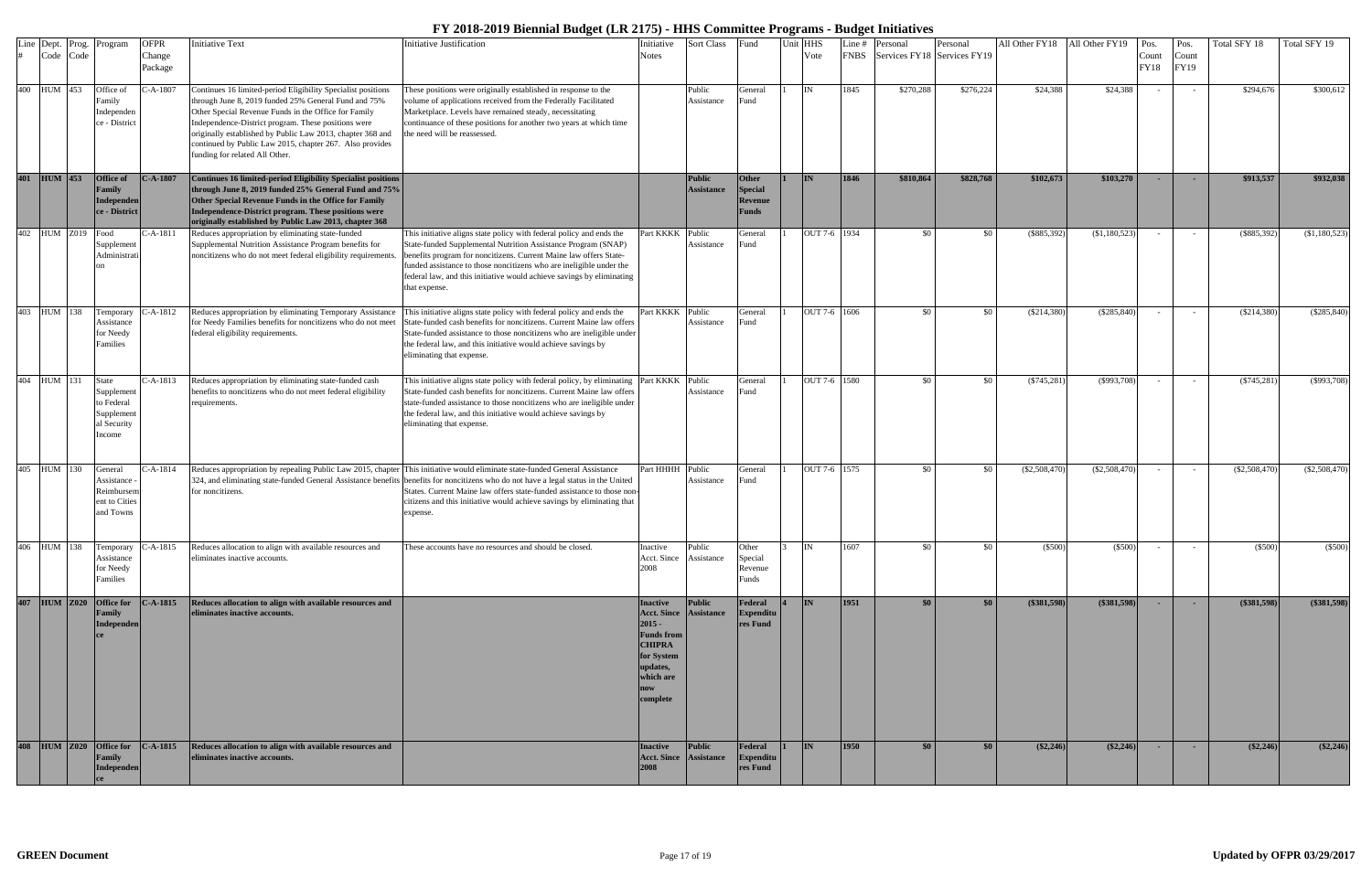|     | Line Dept. Prog.<br>Code Code | Program                                                                 | <b>OFPR</b><br>Change<br>Package | <b>Initiative Text</b>                                                                                                                                                                                                                                                                                                                                                                          | <b>Initiative Justification</b>                                                                                                                                                                                                                                                                                                                                                                                                    | Initiative<br><b>Notes</b>                                                                                                                            | <b>Sort Class</b>                  | Fund                                    | Jnit HHS<br>Vote | Line #<br><b>FNBS</b> | Personal<br>Services FY18 Services FY19 | Personal         | All Other FY18 All Other FY19 |                    | Pos.<br>Count<br><b>FY18</b> | Pos.<br>Count<br>FY19 | Total SFY 18    | Total SFY 19  |
|-----|-------------------------------|-------------------------------------------------------------------------|----------------------------------|-------------------------------------------------------------------------------------------------------------------------------------------------------------------------------------------------------------------------------------------------------------------------------------------------------------------------------------------------------------------------------------------------|------------------------------------------------------------------------------------------------------------------------------------------------------------------------------------------------------------------------------------------------------------------------------------------------------------------------------------------------------------------------------------------------------------------------------------|-------------------------------------------------------------------------------------------------------------------------------------------------------|------------------------------------|-----------------------------------------|------------------|-----------------------|-----------------------------------------|------------------|-------------------------------|--------------------|------------------------------|-----------------------|-----------------|---------------|
|     | 400 HUM 453                   | Office of<br>amily<br>Independen<br>ce - District                       | $C-A-1807$                       | Continues 16 limited-period Eligibility Specialist positions<br>through June 8, 2019 funded 25% General Fund and 75%<br>Other Special Revenue Funds in the Office for Family<br>Independence-District program. These positions were<br>originally established by Public Law 2013, chapter 368 and<br>continued by Public Law 2015, chapter 267. Also provides<br>funding for related All Other. | These positions were originally established in response to the<br>volume of applications received from the Federally Facilitated<br>Marketplace. Levels have remained steady, necessitating<br>continuance of these positions for another two years at which time<br>the need will be reassessed.                                                                                                                                  |                                                                                                                                                       | Public<br>Assistance               | General<br>≀und                         | IN               | 1845                  | \$270,288                               | \$276,224        | \$24,388                      | \$24,388           |                              |                       | \$294,676       | \$300,612     |
| 401 | $HUM$ 453                     | Office of<br><b>Tamily</b><br>Independen<br>ce - District               | $C-A-1807$                       | Continues 16 limited-period Eligibility Specialist positions<br>through June 8, 2019 funded 25% General Fund and 75%<br>Other Special Revenue Funds in the Office for Family<br>Independence-District program. These positions were<br>originally established by Public Law 2013, chapter 368                                                                                                   |                                                                                                                                                                                                                                                                                                                                                                                                                                    |                                                                                                                                                       | <b>Public</b><br><b>Assistance</b> | Other<br>Special<br>Revenue<br>Funds    | <b>IN</b>        | 1846                  | \$810,864                               | \$828,768        | \$102,673                     | \$103,270          |                              |                       | \$913,537       | \$932,038     |
| 402 | <b>HUM Z019</b>               | Food<br>Supplement<br>Administrati                                      | -A-1811                          | Reduces appropriation by eliminating state-funded<br>Supplemental Nutrition Assistance Program benefits for<br>noncitizens who do not meet federal eligibility requirements.                                                                                                                                                                                                                    | This initiative aligns state policy with federal policy and ends the<br>State-funded Supplemental Nutrition Assistance Program (SNAP)<br>benefits program for noncitizens. Current Maine law offers State-<br>funded assistance to those noncitizens who are ineligible under the<br>federal law, and this initiative would achieve savings by eliminating<br>that expense.                                                        | Part KKKK                                                                                                                                             | Public<br>Assistance               | General<br>≀und                         | OUT 7-6 1934     |                       | \$0                                     | \$0              | (\$885,392)                   | (\$1,180,523)      |                              |                       | $(\$885,392)$   | (\$1,180,523) |
| 403 | HUM 138                       | `emporary<br>Assistance<br>for Needy<br>amilies                         | -A-1812                          | Reduces appropriation by eliminating Temporary Assistance<br>for Needy Families benefits for noncitizens who do not meet<br>federal eligibility requirements.                                                                                                                                                                                                                                   | This initiative aligns state policy with federal policy and ends the<br>State-funded cash benefits for noncitizens. Current Maine law offers<br>State-funded assistance to those noncitizens who are ineligible under<br>the federal law, and this initiative would achieve savings by<br>eliminating that expense.                                                                                                                | Part KKKK                                                                                                                                             | Public<br>Assistance               | General<br>Fund                         | OUT 7-6 1606     |                       | \$0                                     | \$0              | $(\$214,380)$                 | $(\$285,840)$      |                              | $\sim$                | $(\$214,380)$   | $(\$285,840)$ |
|     | 404 HUM 131                   | State<br>Supplement<br>to Federal<br>Supplement<br>al Security<br>ncome | $-A-1813$                        | Reduces appropriation by eliminating state-funded cash<br>benefits to noncitizens who do not meet federal eligibility<br>requirements.                                                                                                                                                                                                                                                          | This initiative aligns state policy with federal policy, by eliminating Part KKKK<br>State-funded cash benefits for noncitizens. Current Maine law offers<br>state-funded assistance to those noncitizens who are ineligible under<br>the federal law, and this initiative would achieve savings by<br>eliminating that expense.                                                                                                   |                                                                                                                                                       | Public<br>Assistance               | General<br>Fund                         | OUT 7-6 1580     |                       | \$0                                     | \$0              | $(\$745,281$                  | $(\$993,708)$      |                              |                       | $(\$745,281)$   | $(\$993,708)$ |
|     | 405 HUM 130                   | General<br>Assistance -<br>Reimbursem<br>ent to Cities<br>and Towns     | -A-1814                          | for noncitizens.                                                                                                                                                                                                                                                                                                                                                                                | Reduces appropriation by repealing Public Law 2015, chapter This initiative would eliminate state-funded General Assistance<br>324, and eliminating state-funded General Assistance benefits benefits for noncitizens who do not have a legal status in the United<br>States. Current Maine law offers state-funded assistance to those non-<br>citizens and this initiative would achieve savings by eliminating that<br>expense. | Part HHHH                                                                                                                                             | Public<br>Assistance               | General<br>≀und                         | OUT 7-6 1575     |                       | \$0                                     | \$0              | $(\$2,508,470$                | $(\$2,508,470)$    |                              |                       | $(\$2,508,470)$ | (\$2,508,470) |
|     | 406 HUM 138                   | Assistance<br>for Needy<br>Families                                     | Temporary C-A-1815               | Reduces allocation to align with available resources and<br>eliminates inactive accounts.                                                                                                                                                                                                                                                                                                       | These accounts have no resources and should be closed.                                                                                                                                                                                                                                                                                                                                                                             | Inactive<br>Acct. Since<br>2008                                                                                                                       | Public<br>Assistance               | Other<br>Special<br>Revenue<br>Funds    | IN               | 1607                  | \$0                                     | \$0              | $(\$500)$                     | $(\$500)$          |                              |                       | $(\$500)$       | $(\$500)$     |
|     |                               | 407 HUM Z020 Office for<br>Family<br>Independen                         | $C-A-1815$                       | Reduces allocation to align with available resources and<br>eliminates inactive accounts.                                                                                                                                                                                                                                                                                                       |                                                                                                                                                                                                                                                                                                                                                                                                                                    | <b>Inactive</b><br><b>Acct. Since Assistance</b><br>$2015 -$<br><b>Funds from</b><br><b>CHIPRA</b><br>for System<br>updates,<br>which are<br>complete | Public                             | Federal<br>Expenditu<br><b>res Fund</b> | I <sub>IN</sub>  | 1951                  | \$0                                     | \$0              | (\$381,598)                   | $($ \$381,598) $ $ |                              | $\sim$                | (\$381,598)     | $(*381,598)$  |
| 408 | <b>HUM</b> Z020               | <b>Office for</b><br>Family<br>Independen                               | $C-A-1815$                       | Reduces allocation to align with available resources and<br>eliminates inactive accounts.                                                                                                                                                                                                                                                                                                       |                                                                                                                                                                                                                                                                                                                                                                                                                                    | <b>Inactive</b><br><b>Acct.</b> Since <b>Assistance</b><br>2008                                                                                       | Public                             | Federal<br><b>Expenditu</b><br>res Fund | IN               | 1950                  | \$0                                     | \$0 <sub>1</sub> | $(\$2,246)$                   | $(*2,246)$         | $\sim$                       | - 1                   | (\$2,246)       | $(\$2,246)$   |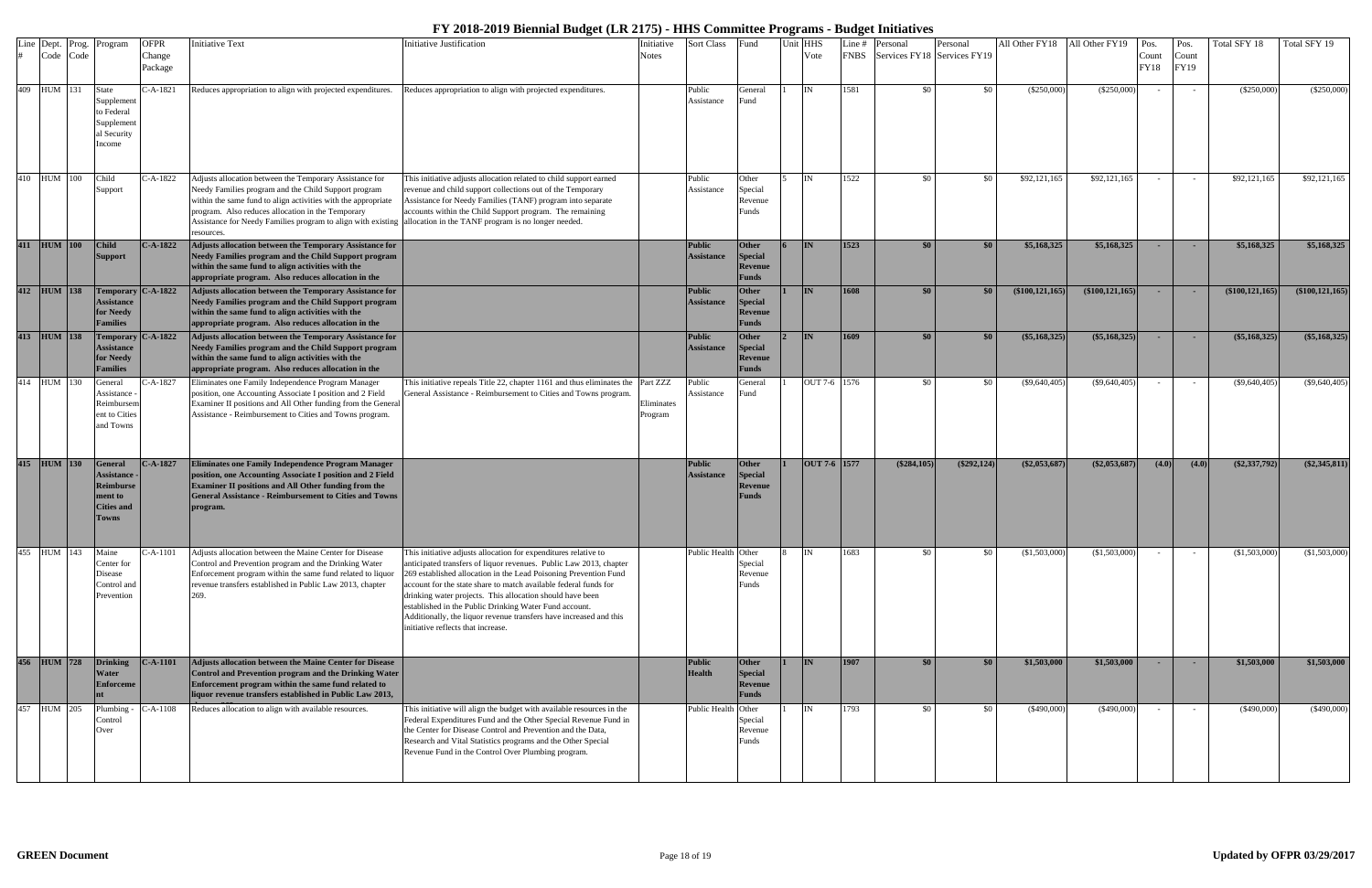| Line | Dept. Prog.<br>Code Code | Program                                                                                          | <b>OFPR</b><br>Change<br>Package | <b>Initiative Text</b>                                                                                                                                                                                                                                                                                                                                                  | <b>Initiative Justification</b>                                                                                                                                                                                                                                                                                                                                                                                                                                                                                  | Initiative<br>Notes   | <b>Sort Class</b>                  | Fund                                                      | Jnit HHS<br>Vote | Line #<br><b>FNBS</b> | Personal<br>Services FY18 Services FY19 | Personal      | All Other FY18 All Other FY19 |                     | Pos<br>Count<br><b>FY18</b> | Pos.<br>Count<br>FY19 | Total SFY 18      | Total SFY 19      |
|------|--------------------------|--------------------------------------------------------------------------------------------------|----------------------------------|-------------------------------------------------------------------------------------------------------------------------------------------------------------------------------------------------------------------------------------------------------------------------------------------------------------------------------------------------------------------------|------------------------------------------------------------------------------------------------------------------------------------------------------------------------------------------------------------------------------------------------------------------------------------------------------------------------------------------------------------------------------------------------------------------------------------------------------------------------------------------------------------------|-----------------------|------------------------------------|-----------------------------------------------------------|------------------|-----------------------|-----------------------------------------|---------------|-------------------------------|---------------------|-----------------------------|-----------------------|-------------------|-------------------|
|      | 409 HUM 131              | State<br>Supplement<br>to Federal<br>Supplement<br>al Security<br>ncome                          | $-A-1821$                        | Reduces appropriation to align with projected expenditures.                                                                                                                                                                                                                                                                                                             | Reduces appropriation to align with projected expenditures.                                                                                                                                                                                                                                                                                                                                                                                                                                                      |                       | Public<br>Assistance               | General<br>≀und                                           | <b>IN</b>        | 1581                  | \$0                                     | \$0           | $(\$250,000)$                 | $(\$250,000)$       |                             |                       | $(\$250,000)$     | (\$250,000)       |
|      | 410 HUM 100              | Child<br>Support                                                                                 | C-A-1822                         | Adjusts allocation between the Temporary Assistance for<br>Needy Families program and the Child Support program<br>within the same fund to align activities with the appropriate<br>program. Also reduces allocation in the Temporary<br>Assistance for Needy Families program to align with existing allocation in the TANF program is no longer needed.<br>resources. | This initiative adjusts allocation related to child support earned<br>revenue and child support collections out of the Temporary<br>Assistance for Needy Families (TANF) program into separate<br>accounts within the Child Support program. The remaining                                                                                                                                                                                                                                                       |                       | Public<br>Assistance               | Other<br>Special<br>Revenue<br>Funds                      | IN               | 1522                  | \$0                                     | \$0           | \$92,121,165                  | \$92,121,165        |                             |                       | \$92,121,165      | \$92,121,165      |
|      | 411 HUM 100              | <b>Child</b><br><b>Support</b>                                                                   | $C-A-1822$                       | Adjusts allocation between the Temporary Assistance for<br>Needy Families program and the Child Support program<br>within the same fund to align activities with the<br>appropriate program. Also reduces allocation in the                                                                                                                                             |                                                                                                                                                                                                                                                                                                                                                                                                                                                                                                                  |                       | <b>Public</b><br><b>Assistance</b> | <b>Other</b><br>Special<br>Revenue<br>Funds               | <b>IN</b>        | 1523                  | \$0\$                                   | \$0           | \$5,168,325                   | \$5,168,325         |                             |                       | \$5,168,325       | \$5,168,325       |
| 412  | $HUM$ 138                | <b>Assistance</b><br>for Needy<br><b>Tamilies</b>                                                | Temporary C-A-1822               | Adjusts allocation between the Temporary Assistance for<br>Needy Families program and the Child Support program<br>within the same fund to align activities with the<br>appropriate program. Also reduces allocation in the                                                                                                                                             |                                                                                                                                                                                                                                                                                                                                                                                                                                                                                                                  |                       | Public<br><b>Assistance</b>        | <b>Other</b><br><b>Special</b><br>Revenue<br><b>Funds</b> | <b>IN</b>        | 1608                  | \$0                                     | \$0           | $(\$100, 121, 165)$           | $(\$100, 121, 165)$ |                             |                       | (\$100, 121, 165) | (\$100, 121, 165) |
|      | 413 HUM 138              | <b>Assistance</b><br>for Needy<br>`amilies                                                       | Temporary C-A-1822               | Adjusts allocation between the Temporary Assistance for<br>Needy Families program and the Child Support program<br>within the same fund to align activities with the<br>appropriate program. Also reduces allocation in the                                                                                                                                             |                                                                                                                                                                                                                                                                                                                                                                                                                                                                                                                  |                       | <b>Public</b><br><b>Assistance</b> | Other<br><b>Special</b><br>Revenue<br><b>Funds</b>        | <b>IN</b>        | 1609                  | \$0                                     | \$0           | $(\$5,168,325)$               | $(\$5,168,325)$     |                             |                       | (\$5,168,325)     | (\$5,168,325)     |
|      | 414 HUM 130              | General<br>Assistance<br>eimbursem!<br>ent to Cities<br>and Towns                                | C-A-1827                         | Eliminates one Family Independence Program Manager<br>position, one Accounting Associate I position and 2 Field<br>Examiner II positions and All Other funding from the General<br>Assistance - Reimbursement to Cities and Towns program.                                                                                                                              | This initiative repeals Title 22, chapter 1161 and thus eliminates the Part ZZZ<br>General Assistance - Reimbursement to Cities and Towns program.                                                                                                                                                                                                                                                                                                                                                               | Eliminates<br>Program | Public<br>Assistance               | General<br>≀und                                           | OUT 7-6 1576     |                       | \$0                                     | \$0           | $(\$9,640,405)$               | $(\$9,640,405)$     |                             |                       | $(\$9,640,405)$   | $(\$9,640,405)$   |
|      | 415 HUM 130              | <b>General</b><br><b>Assistance</b><br>Reimburse<br>nent to<br><b>Cities and</b><br><b>Towns</b> | $C-A-1827$                       | Eliminates one Family Independence Program Manager<br>position, one Accounting Associate I position and 2 Field<br>Examiner II positions and All Other funding from the<br><b>General Assistance - Reimbursement to Cities and Towns</b><br>program.                                                                                                                    |                                                                                                                                                                                                                                                                                                                                                                                                                                                                                                                  |                       | <b>Public</b><br><b>Assistance</b> | <b>Other</b><br>Special<br><b>Revenue</b><br><b>Funds</b> | OUT 7-6 1577     |                       | $(\$284,105)$                           | $(\$292,124)$ | \$2,053,687                   | $(\$2,053,687)$     | (4.0)                       | (4.0)                 | $(\$2,337,792)$   | $(\$2,345,811)$   |
|      | 455 HUM 143              | Maine<br>Center for<br>Disease<br>Control and<br>Prevention                                      | C-A-1101                         | Adjusts allocation between the Maine Center for Disease<br>Control and Prevention program and the Drinking Water<br>Enforcement program within the same fund related to liquor<br>revenue transfers established in Public Law 2013, chapter<br>269.                                                                                                                     | This initiative adjusts allocation for expenditures relative to<br>anticipated transfers of liquor revenues. Public Law 2013, chapter<br>269 established allocation in the Lead Poisoning Prevention Fund<br>account for the state share to match available federal funds for<br>drinking water projects. This allocation should have been<br>established in the Public Drinking Water Fund account.<br>Additionally, the liquor revenue transfers have increased and this<br>initiative reflects that increase. |                       | Public Health Other                | Special<br>Revenue<br>≀unds                               | IN               | 1683                  | \$0                                     | \$0           | (\$1,503,000)                 | (\$1,503,000)       |                             |                       | (\$1,503,000)     | (\$1,503,000)     |
|      | 456 HUM 728              | <b>Drinking</b><br>Water<br><b>Enforceme</b>                                                     | $C-A-1101$                       | Adjusts allocation between the Maine Center for Disease<br>Control and Prevention program and the Drinking Water<br>Enforcement program within the same fund related to<br>liquor revenue transfers established in Public Law 2013,                                                                                                                                     |                                                                                                                                                                                                                                                                                                                                                                                                                                                                                                                  |                       | <b>Public</b><br><b>Health</b>     | <b>Other</b><br>Special<br>Revenue<br><b>Funds</b>        | <b>IN</b>        | 1907                  | \$0                                     | \$0\$         | \$1,503,000                   | \$1,503,000         |                             |                       | \$1,503,000       | \$1,503,000       |
|      | 457 HUM 205              | Plumbing<br>Control<br>Over                                                                      | -A-1108                          | Reduces allocation to align with available resources.                                                                                                                                                                                                                                                                                                                   | This initiative will align the budget with available resources in the<br>Federal Expenditures Fund and the Other Special Revenue Fund in<br>the Center for Disease Control and Prevention and the Data,<br>Research and Vital Statistics programs and the Other Special<br>Revenue Fund in the Control Over Plumbing program.                                                                                                                                                                                    |                       | Public Health Other                | Special<br>Revenue<br>Funds                               | IN               | 1793                  | \$0                                     | \$0           | (\$490,000)                   | $(\$490,000)$       |                             |                       | $(\$490,000)$     | (\$490,000)       |